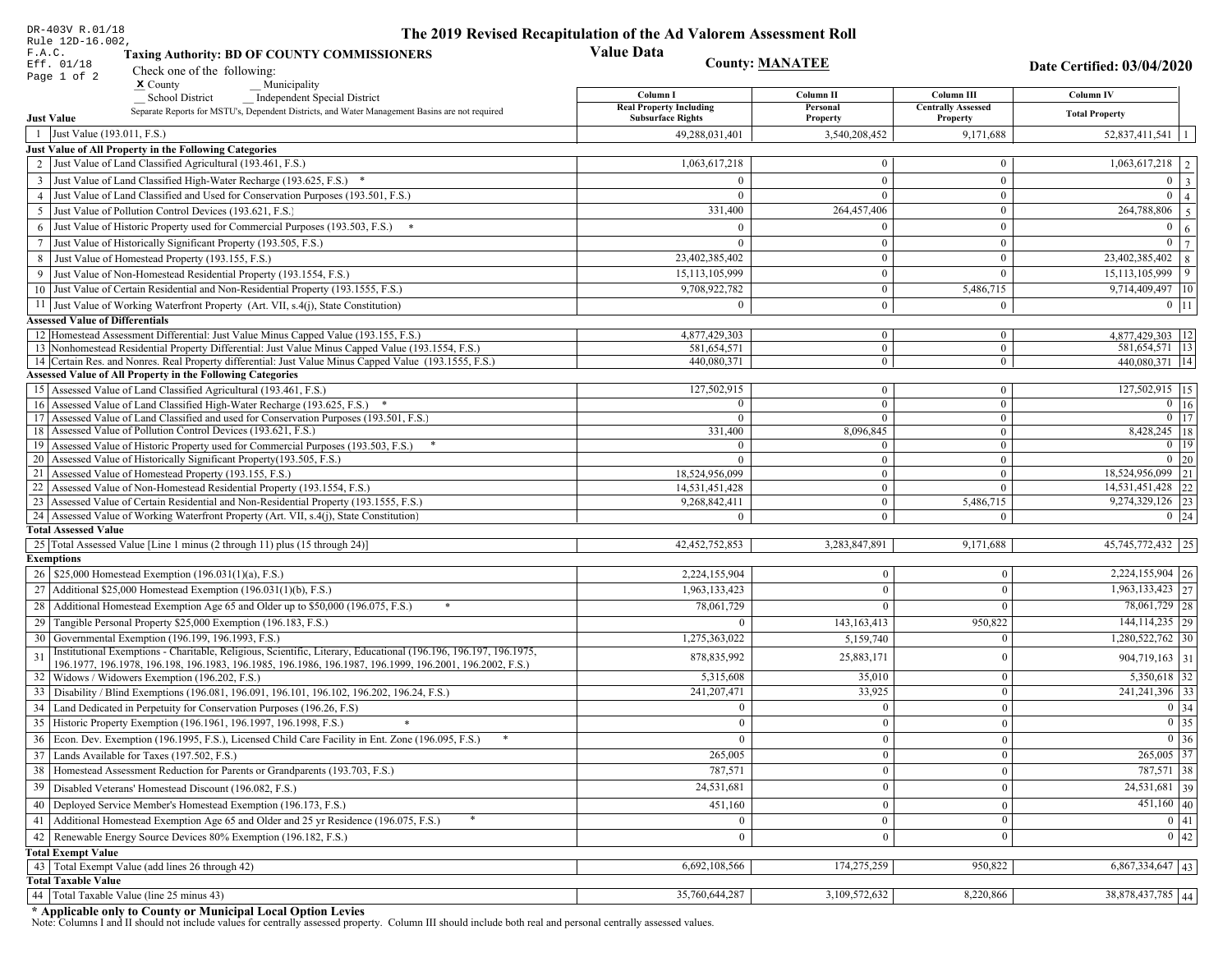| DR-403V R.01/18                        |                                                                                                                                                                                                             | The 2019 Revised Recapitulation of the Ad Valorem Assessment Roll |                                  |                                |                                      |  |
|----------------------------------------|-------------------------------------------------------------------------------------------------------------------------------------------------------------------------------------------------------------|-------------------------------------------------------------------|----------------------------------|--------------------------------|--------------------------------------|--|
| Rule 12D-16.002,<br>F.A.C.             |                                                                                                                                                                                                             | <b>Value Data</b>                                                 |                                  |                                |                                      |  |
| Eff. 01/18                             | <b>Taxing Authority: BD OF COUNTY COMMISSIONERS</b>                                                                                                                                                         | <b>County: MANATEE</b>                                            |                                  |                                | Date Certified: 03/04/2020           |  |
| Page 1 of 2                            | Check one of the following:<br>$\boldsymbol{\mathsf{x}}$ County<br>Municipality                                                                                                                             |                                                                   |                                  |                                |                                      |  |
|                                        | <b>School District</b><br><b>Independent Special District</b>                                                                                                                                               | Column I                                                          | Column II                        | Column III                     | Column IV                            |  |
|                                        | Separate Reports for MSTU's, Dependent Districts, and Water Management Basins are not required                                                                                                              | <b>Real Property Including</b>                                    | Personal                         | <b>Centrally Assessed</b>      | <b>Total Property</b>                |  |
| <b>Just Value</b>                      |                                                                                                                                                                                                             | <b>Subsurface Rights</b>                                          | Property                         | Property                       |                                      |  |
| 1 Just Value (193.011, F.S.)           |                                                                                                                                                                                                             | 49,288,031,401                                                    | 3,540,208,452                    | 9,171,688                      | $52,837,411,541$   1                 |  |
|                                        | Just Value of All Property in the Following Categories                                                                                                                                                      |                                                                   |                                  |                                |                                      |  |
|                                        | 2 Just Value of Land Classified Agricultural (193.461, F.S.)                                                                                                                                                | 1,063,617,218                                                     | $\bf{0}$                         | $\bf{0}$                       | $1,063,617,218$   2                  |  |
|                                        | 3 Just Value of Land Classified High-Water Recharge (193.625, F.S.) *                                                                                                                                       | $\Omega$                                                          | $\overline{0}$                   | $\mathbf{0}$                   | $0 \quad 3$                          |  |
|                                        | 4 Just Value of Land Classified and Used for Conservation Purposes (193.501, F.S.)                                                                                                                          | $\overline{0}$                                                    | $\mathbf{0}$                     | $\bf{0}$                       | $0 \mid 4$                           |  |
|                                        | 5 Just Value of Pollution Control Devices (193.621, F.S.)                                                                                                                                                   | 331,400                                                           | 264,457,406                      | $\bf{0}$                       | 264,788,806<br>$\vert 5 \vert$       |  |
|                                        | 6 Just Value of Historic Property used for Commercial Purposes (193.503, F.S.) *                                                                                                                            | $\Omega$                                                          | $\mathbf{0}$                     | $\bf{0}$                       | $0 \mid 6$                           |  |
|                                        | 7 Just Value of Historically Significant Property (193.505, F.S.)                                                                                                                                           | $\Omega$                                                          | $\mathbf{0}$                     | $\bf{0}$                       | $0 \mid 7$                           |  |
|                                        | 8 Just Value of Homestead Property (193.155, F.S.)                                                                                                                                                          | 23,402,385,402                                                    | $\mathbf{0}$                     | $\boldsymbol{0}$               | $23,402,385,402$ 8                   |  |
|                                        | 9 Just Value of Non-Homestead Residential Property (193.1554, F.S.)                                                                                                                                         | 15,113,105,999                                                    | $\bf{0}$                         | $\mathbf{0}$                   | $15,113,105,999$ 9                   |  |
|                                        | 10 Just Value of Certain Residential and Non-Residential Property (193.1555, F.S.)                                                                                                                          | 9,708,922,782                                                     | $\mathbf{0}$                     | 5,486,715                      | $9,714,409,497$   10                 |  |
|                                        | 11 Just Value of Working Waterfront Property (Art. VII, s.4(j), State Constitution)                                                                                                                         | $\Omega$                                                          | $\mathbf{0}$                     | $\boldsymbol{0}$               | $0$   11                             |  |
| <b>Assessed Value of Differentials</b> |                                                                                                                                                                                                             |                                                                   |                                  |                                |                                      |  |
|                                        | 12 Homestead Assessment Differential: Just Value Minus Capped Value (193.155, F.S.)                                                                                                                         | 4,877,429,303                                                     | $\bf{0}$                         | $\mathbf{0}$                   | 4,877,429,303   12                   |  |
|                                        | 13 Nonhomestead Residential Property Differential: Just Value Minus Capped Value (193.1554, F.S.)<br>14 Certain Res. and Nonres. Real Property differential: Just Value Minus Capped Value (193.1555, F.S.) | 581,654,571<br>440,080,371                                        | $\overline{0}$<br>$\overline{0}$ | $\mathbf{0}$<br>$\overline{0}$ | 581,654,571   13<br>440,080,371   14 |  |
|                                        | <b>Assessed Value of All Property in the Following Categories</b>                                                                                                                                           |                                                                   |                                  |                                |                                      |  |
|                                        | 15 Assessed Value of Land Classified Agricultural (193.461, F.S.)                                                                                                                                           | 127,502,915                                                       | $\overline{0}$                   | $\bf{0}$                       | 127,502,915 15                       |  |
|                                        | 16 Assessed Value of Land Classified High-Water Recharge (193.625, F.S.)                                                                                                                                    | $\overline{0}$                                                    | $\mathbf{0}$                     | $\overline{0}$                 | $0 \overline{16}$                    |  |
|                                        | 17 Assessed Value of Land Classified and used for Conservation Purposes (193.501, F.S.)                                                                                                                     | $\Omega$                                                          | $\mathbf{0}$                     | $\mathbf{0}$                   | $0$ 17                               |  |
|                                        | 18 Assessed Value of Pollution Control Devices (193.621, F.S.)                                                                                                                                              | 331,400                                                           | 8,096,845                        | $\bf{0}$                       | 8,428,245 18                         |  |
|                                        | 19 Assessed Value of Historic Property used for Commercial Purposes (193.503, F.S.)                                                                                                                         |                                                                   | $\mathbf{0}$                     | $\boldsymbol{0}$               | $0$ 19                               |  |
|                                        | 20 Assessed Value of Historically Significant Property (193.505, F.S.)                                                                                                                                      | $\Omega$                                                          | $\overline{0}$                   | $\mathbf{0}$                   | $0 \mid 20$                          |  |
|                                        | 21 Assessed Value of Homestead Property (193.155, F.S.)                                                                                                                                                     | 18,524,956,099                                                    | $\bf{0}$                         | $\bf{0}$                       | 18,524,956,099 21                    |  |
|                                        | 22 Assessed Value of Non-Homestead Residential Property (193.1554, F.S.)                                                                                                                                    | 14,531,451,428                                                    | $\overline{0}$                   | $\boldsymbol{0}$               | 14,531,451,428 22                    |  |
|                                        | 23 Assessed Value of Certain Residential and Non-Residential Property (193.1555, F.S.)                                                                                                                      | 9,268,842,411                                                     | $\mathbf{0}$                     | 5,486,715                      | 9,274,329,126 23                     |  |
|                                        | 24 Assessed Value of Working Waterfront Property (Art. VII, s.4(j), State Constitution)                                                                                                                     | $\theta$                                                          | $\overline{0}$                   | $\mathbf{0}$                   | $0 \mid 24$                          |  |
| <b>Total Assessed Value</b>            |                                                                                                                                                                                                             |                                                                   |                                  |                                |                                      |  |
|                                        | 25 Total Assessed Value [Line 1 minus (2 through 11) plus (15 through 24)]                                                                                                                                  | 42, 452, 752, 853                                                 | 3,283,847,891                    | 9,171,688                      | 45, 745, 772, 432 25                 |  |
| <b>Exemptions</b>                      |                                                                                                                                                                                                             |                                                                   |                                  |                                |                                      |  |
|                                        | 26   \$25,000 Homestead Exemption (196.031(1)(a), F.S.)                                                                                                                                                     | 2,224,155,904                                                     | $\boldsymbol{0}$                 | $\Omega$                       | 2,224,155,904 26                     |  |
|                                        | 27   Additional \$25,000 Homestead Exemption (196.031(1)(b), F.S.)                                                                                                                                          | 1,963,133,423                                                     | $\Omega$                         | $\Omega$                       | $1,963,133,423$ 27                   |  |
|                                        | 28 Additional Homestead Exemption Age 65 and Older up to \$50,000 (196.075, F.S.)                                                                                                                           | 78,061,729                                                        | $\Omega$                         | $\Omega$                       | 78,061,729 28                        |  |
|                                        | 29 Tangible Personal Property \$25,000 Exemption (196.183, F.S.)                                                                                                                                            | $\Omega$                                                          | 143, 163, 413                    | 950,822                        | $144, 114, 235$   29                 |  |
|                                        | 30 Governmental Exemption (196.199, 196.1993, F.S.)                                                                                                                                                         | 1,275,363,022                                                     | 5,159,740                        | $\Omega$                       | $1,280,522,762$ 30                   |  |
| 31                                     | Institutional Exemptions - Charitable, Religious, Scientific, Literary, Educational (196.196, 196.197, 196.1975,                                                                                            | 878, 835, 992                                                     | 25,883,171                       | $\Omega$                       | 904,719,163   31                     |  |
|                                        | 196.1977, 196.1978, 196.198, 196.1983, 196.1985, 196.1986, 196.1987, 196.1999, 196.2001, 196.2002, F.S.)<br>32   Widows / Widowers Exemption (196.202, F.S.)                                                | 5,315,608                                                         | 35,010                           | $\Omega$                       | $\overline{5,350,618}$ 32            |  |
| 33                                     | Disability / Blind Exemptions (196.081, 196.091, 196.101, 196.102, 196.202, 196.24, F.S.)                                                                                                                   | 241,207,471                                                       | 33,925                           | $\Omega$                       | 241, 241, 396 33                     |  |
| 34                                     | Land Dedicated in Perpetuity for Conservation Purposes (196.26, F.S)                                                                                                                                        | $\Omega$                                                          | $\boldsymbol{0}$                 | $\theta$                       | 0 34                                 |  |
|                                        | 35 Historic Property Exemption (196.1961, 196.1997, 196.1998, F.S.)                                                                                                                                         | $\mathbf{0}$                                                      | $\bf{0}$                         | $\boldsymbol{0}$               | $\boxed{0}$ 35                       |  |
|                                        | 36 Econ. Dev. Exemption (196.1995, F.S.), Licensed Child Care Facility in Ent. Zone (196.095, F.S.)                                                                                                         | $\mathbf{0}$                                                      | $\boldsymbol{0}$                 | $\Omega$                       | $0 \mid 36$                          |  |
|                                        | 37 Lands Available for Taxes (197.502, F.S.)                                                                                                                                                                | 265,005                                                           | $\bf{0}$                         | $\theta$                       | 265,005 37                           |  |
|                                        |                                                                                                                                                                                                             |                                                                   |                                  |                                | 787,571 38                           |  |
|                                        | 38   Homestead Assessment Reduction for Parents or Grandparents (193.703, F.S.)                                                                                                                             | 787,571                                                           | $\mathbf{0}$                     | $\mathbf{0}$                   | $\overline{24,531,681}$ 39           |  |
|                                        | 39   Disabled Veterans' Homestead Discount (196.082, F.S.)                                                                                                                                                  | 24,531,681                                                        | $\boldsymbol{0}$                 | $\theta$                       |                                      |  |
| 40                                     | Deployed Service Member's Homestead Exemption (196.173, F.S.)                                                                                                                                               | 451,160                                                           | $\mathbf{0}$                     | $\Omega$                       | $451,160$ 40                         |  |
|                                        | 41 Additional Homestead Exemption Age 65 and Older and 25 yr Residence (196.075, F.S.)                                                                                                                      | $\mathbf{0}$                                                      | $\overline{0}$                   | $\mathbf{0}$                   | 0 41                                 |  |
|                                        | 42 Renewable Energy Source Devices 80% Exemption (196.182, F.S.)                                                                                                                                            | $\mathbf{0}$                                                      | $\mathbf{0}$                     | $\Omega$                       | 0 42                                 |  |
| <b>Total Exempt Value</b>              |                                                                                                                                                                                                             |                                                                   |                                  |                                |                                      |  |
|                                        | 43 Total Exempt Value (add lines 26 through 42)                                                                                                                                                             | 6,692,108,566                                                     | 174,275,259                      | 950,822                        | $6,867,334,647$ 43                   |  |
| <b>Total Taxable Value</b>             |                                                                                                                                                                                                             |                                                                   |                                  |                                |                                      |  |
|                                        | 44   Total Taxable Value (line 25 minus 43)                                                                                                                                                                 | 35,760,644,287                                                    | 3,109,572,632                    | 8,220,866                      | 38,878,437,785 44                    |  |

DR-403V R.01/18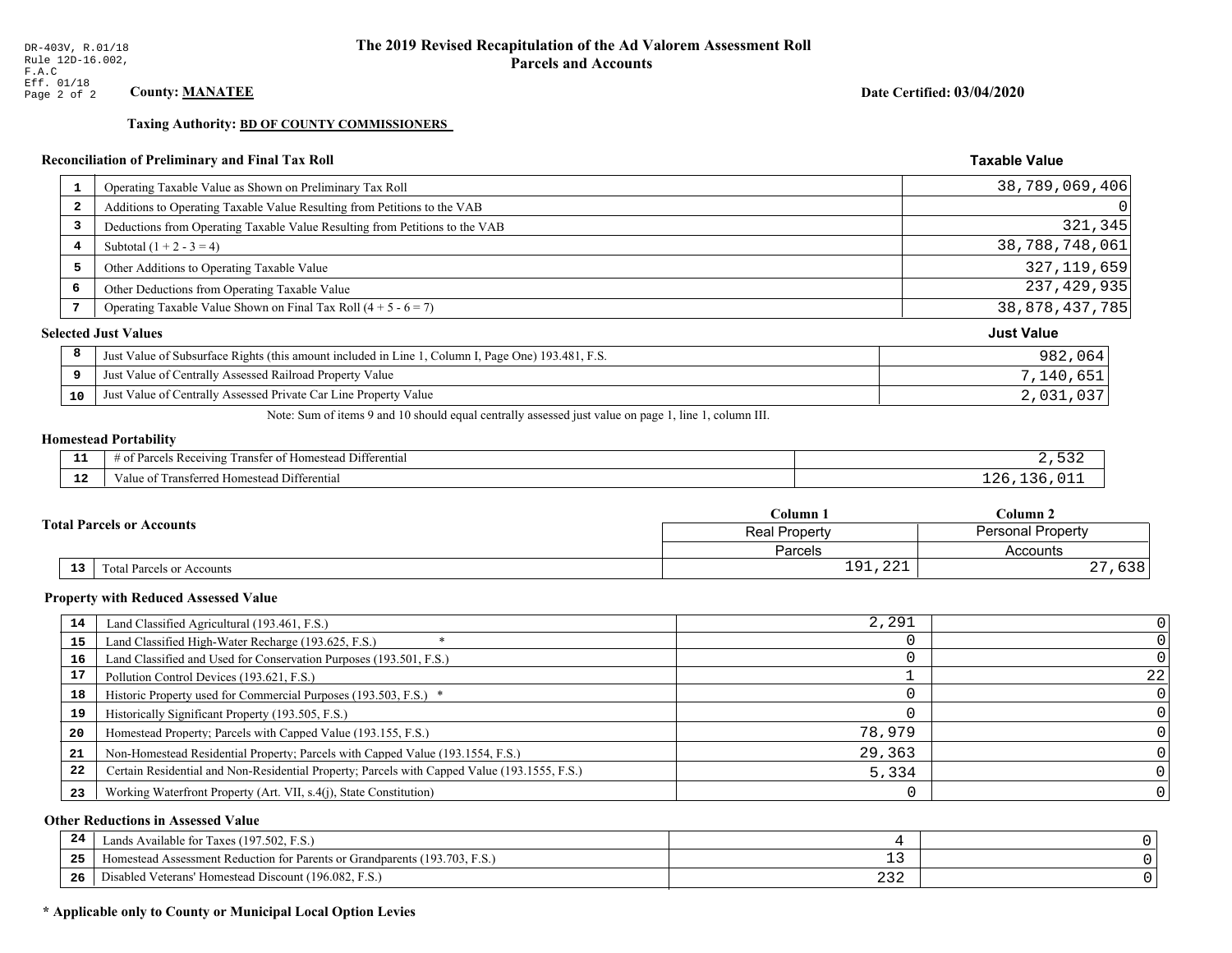**Taxing Authority: BD OF COUNTY COMMISSIONERS** 

## Reconciliation of Preliminary and Final Tax Roll

| $\mathbf{1}$ | Operating Taxable Value as Shown on Preliminary Tax Roll                                           | 38,789,069,406    |
|--------------|----------------------------------------------------------------------------------------------------|-------------------|
| 2            | Additions to Operating Taxable Value Resulting from Petitions to the VAB                           | $\Omega$          |
| 3            | Deductions from Operating Taxable Value Resulting from Petitions to the VAB                        | 321,345           |
| 4            | Subtotal $(1 + 2 - 3 = 4)$                                                                         | 38,788,748,061    |
| 5            | Other Additions to Operating Taxable Value                                                         | 327, 119, 659     |
| 6            | Other Deductions from Operating Taxable Value                                                      | 237, 429, 935     |
| 7            | Operating Taxable Value Shown on Final Tax Roll $(4 + 5 - 6 = 7)$                                  | 38,878,437,785    |
|              | <b>Selected Just Values</b>                                                                        | <b>Just Value</b> |
| 8            | Just Value of Subsurface Rights (this amount included in Line 1, Column I, Page One) 193.481, F.S. | 982,064           |
| 9            | Just Value of Centrally Assessed Railroad Property Value                                           | 7,140,651         |
| 10           | Just Value of Centrally Assessed Private Car Line Property Value                                   | 2,031,037         |

Note: Sum of items 9 and 10 should equal centrally assessed just value on page 1, line 1, column III.

# **Homestead Portability**

| - -<br>---   | $\cdots$<br>. Differential<br>' Rec<br>enving<br>…er ot P<br>ranster |  |
|--------------|----------------------------------------------------------------------|--|
| $\sim$<br>-- | Differential<br>l ransterred<br>Homestead i<br>Value oi              |  |

|                                  |    |                                  | Column 1                           | Column 2             |  |
|----------------------------------|----|----------------------------------|------------------------------------|----------------------|--|
| <b>Total Parcels or Accounts</b> |    | <b>Real Property</b>             | <b>Personal Property</b>           |                      |  |
|                                  |    |                                  | Parcels                            | Accounts             |  |
|                                  | 13 | <b>Fotal Parcels or Accounts</b> | $\bigcap$<br>01<br><b>⊥</b> ノ⊥/△△⊥ | $\sim$ $\sim$<br>りうさ |  |

#### **Property with Reduced Assessed Value**

| 14 | Land Classified Agricultural (193.461, F.S.)                                                 | 2,291  |    |
|----|----------------------------------------------------------------------------------------------|--------|----|
| 15 | Land Classified High-Water Recharge (193.625, F.S.)                                          |        |    |
| 16 | Land Classified and Used for Conservation Purposes (193.501, F.S.)                           |        |    |
|    | Pollution Control Devices (193.621, F.S.)                                                    |        | 22 |
| 18 | Historic Property used for Commercial Purposes (193.503, F.S.) *                             |        |    |
| 19 | Historically Significant Property (193.505, F.S.)                                            |        |    |
| 20 | Homestead Property; Parcels with Capped Value (193.155, F.S.)                                | 78,979 |    |
| 21 | Non-Homestead Residential Property; Parcels with Capped Value (193.1554, F.S.)               | 29,363 |    |
| 22 | Certain Residential and Non-Residential Property; Parcels with Capped Value (193.1555, F.S.) | 5,334  |    |
| 23 | Working Waterfront Property (Art. VII, s.4(j), State Constitution)                           |        |    |

## **Other Reductions in Assessed Value**

| 24    | Lands Available for Taxes (197.502, F.S.)                                  |     |  |
|-------|----------------------------------------------------------------------------|-----|--|
| - - - | Homestead Assessment Reduction for Parents or Grandparents (193.703, F.S.) | - - |  |
| -26   | Disabled Veterans' Homestead Discount (196.082, F.<br>F.S.                 | ے ت |  |

## \* Applicable only to County or Municipal Local Option Levies

Date Certified: 03/04/2020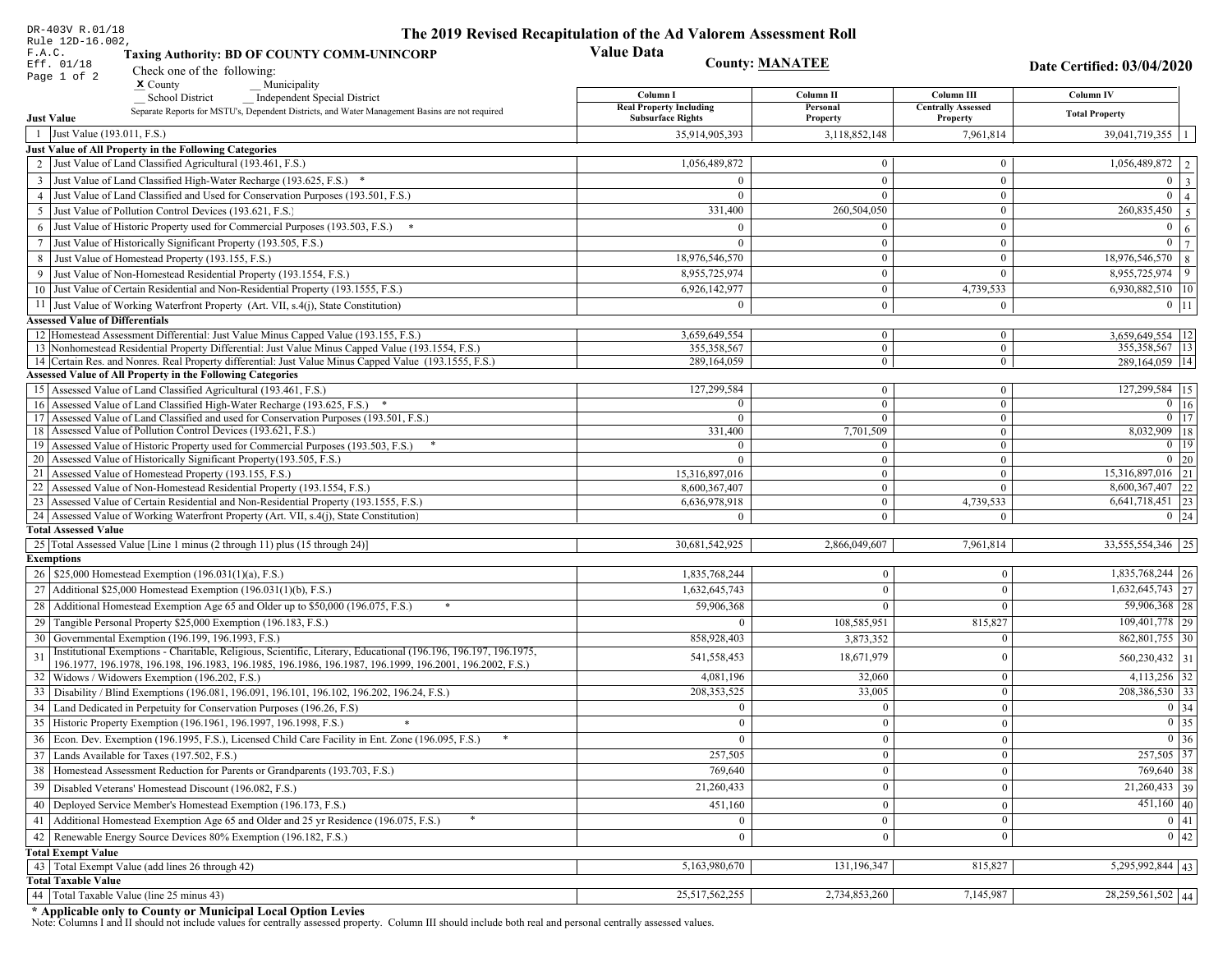| DR-403V R.01/18                                                                                                                                                                                             | The 2019 Revised Recapitulation of the Ad Valorem Assessment Roll |                                  |                                         |                                  |
|-------------------------------------------------------------------------------------------------------------------------------------------------------------------------------------------------------------|-------------------------------------------------------------------|----------------------------------|-----------------------------------------|----------------------------------|
| Rule 12D-16.002,<br>F.A.C.<br><b>Taxing Authority: BD OF COUNTY COMM-UNINCORP</b>                                                                                                                           | <b>Value Data</b>                                                 |                                  |                                         |                                  |
| Eff. 01/18<br>Check one of the following:<br>Page 1 of 2                                                                                                                                                    | <b>County: MANATEE</b>                                            |                                  |                                         | Date Certified: 03/04/2020       |
| $x$ County<br>Municipality                                                                                                                                                                                  |                                                                   |                                  |                                         |                                  |
| School District<br><b>Independent Special District</b>                                                                                                                                                      | Column I<br><b>Real Property Including</b>                        | Column II<br>Personal            | Column III<br><b>Centrally Assessed</b> | Column IV                        |
| Separate Reports for MSTU's, Dependent Districts, and Water Management Basins are not required<br><b>Just Value</b>                                                                                         | <b>Subsurface Rights</b>                                          | Property                         | Property                                | <b>Total Property</b>            |
| 1 Just Value (193.011, F.S.)                                                                                                                                                                                | 35,914,905,393                                                    | 3,118,852,148                    | 7,961,814                               | $39,041,719,355$   1             |
| Just Value of All Property in the Following Categories                                                                                                                                                      |                                                                   |                                  |                                         |                                  |
| 2 Just Value of Land Classified Agricultural (193.461, F.S.)                                                                                                                                                | 1,056,489,872                                                     | $\bf{0}$                         | $\bf{0}$                                | $1,056,489,872$   2              |
| 3 Just Value of Land Classified High-Water Recharge (193.625, F.S.) *                                                                                                                                       | $\Omega$                                                          | $\mathbf{0}$                     | $\boldsymbol{0}$                        | $0 \mid 3$                       |
| 4 Just Value of Land Classified and Used for Conservation Purposes (193.501, F.S.)                                                                                                                          | $\Omega$                                                          | $\Omega$                         | $\boldsymbol{0}$                        | $\overline{0}$<br>$\vert$ 4      |
| 5 Just Value of Pollution Control Devices (193.621, F.S.)                                                                                                                                                   | 331,400                                                           | 260,504,050                      | $\bf{0}$                                | $\overline{260,835,450}$ 5       |
| 6 Just Value of Historic Property used for Commercial Purposes (193.503, F.S.) *                                                                                                                            | $\Omega$                                                          |                                  | $\boldsymbol{0}$                        | $\boldsymbol{0}$<br><sup>6</sup> |
| 7 Just Value of Historically Significant Property (193.505, F.S.)                                                                                                                                           | $\Omega$                                                          | $\bf{0}$                         | $\bf{0}$                                | $0 \overline{7}$                 |
| 8 Just Value of Homestead Property (193.155, F.S.)                                                                                                                                                          | 18,976,546,570                                                    | $\bf{0}$                         | $\boldsymbol{0}$                        | 18,976,546,570 8                 |
| 9 Just Value of Non-Homestead Residential Property (193.1554, F.S.)                                                                                                                                         | 8,955,725,974                                                     | $\bf{0}$                         | $\theta$                                | 8,955,725,974<br>$\vert$ 9       |
| 10 Just Value of Certain Residential and Non-Residential Property (193.1555, F.S.)                                                                                                                          | 6,926,142,977                                                     | $\mathbf{0}$                     | 4,739,533                               | $6,930,882,510$   10             |
| 11 Just Value of Working Waterfront Property (Art. VII, s.4(j), State Constitution)                                                                                                                         | $\Omega$                                                          | $\bf{0}$                         | $\mathbf{0}$                            | $0$   11                         |
| <b>Assessed Value of Differentials</b>                                                                                                                                                                      |                                                                   |                                  |                                         |                                  |
| 12   Homestead Assessment Differential: Just Value Minus Capped Value (193.155, F.S.)                                                                                                                       | 3,659,649,554                                                     | $\mathbf{0}$                     | $\bf{0}$                                | 3,659,649,554   12               |
| 13 Nonhomestead Residential Property Differential: Just Value Minus Capped Value (193.1554, F.S.)<br>14 Certain Res. and Nonres. Real Property differential: Just Value Minus Capped Value (193.1555, F.S.) | 355.358.567                                                       | $\mathbf{0}$                     | $\mathbf{0}$                            | 355, 358, 567   13               |
| <b>Assessed Value of All Property in the Following Categories</b>                                                                                                                                           | 289,164,059                                                       | $\overline{0}$                   | $\overline{0}$                          | 289,164,059   14                 |
| 15 Assessed Value of Land Classified Agricultural (193.461, F.S.)                                                                                                                                           | 127,299,584                                                       | $\mathbf{0}$                     | $\mathbf{0}$                            | 127,299,584 15                   |
| Assessed Value of Land Classified High-Water Recharge (193.625, F.S.) *                                                                                                                                     | $\Omega$                                                          | $\overline{0}$                   | $\mathbf{0}$                            | $\overline{0}$ 16                |
| Assessed Value of Land Classified and used for Conservation Purposes (193.501, F.S.)<br>17                                                                                                                  | $\Omega$                                                          | $\overline{0}$                   | $\boldsymbol{0}$                        | $0$   17                         |
| Assessed Value of Pollution Control Devices (193.621, F.S.)<br>18                                                                                                                                           | 331,400                                                           | 7,701,509                        | $\mathbf{0}$                            | $8,032,909$ 18                   |
| 19 Assessed Value of Historic Property used for Commercial Purposes (193.503, F.S.)                                                                                                                         | $\overline{0}$                                                    | $\overline{0}$                   | $\overline{0}$                          | $0 \mid 19$                      |
| 20 Assessed Value of Historically Significant Property (193.505, F.S.)                                                                                                                                      | $\Omega$                                                          | $\overline{0}$                   | $\overline{0}$                          | $0 \mid 20$                      |
| 21 Assessed Value of Homestead Property (193.155, F.S.)                                                                                                                                                     | 15,316,897,016                                                    | $\overline{0}$                   | $\boldsymbol{0}$                        | 15,316,897,016 21                |
| 22 Assessed Value of Non-Homestead Residential Property (193.1554, F.S.)                                                                                                                                    | 8,600,367,407                                                     | $\overline{0}$                   | $\mathbf{0}$                            | $8,600,367,407$ 22               |
| 23 Assessed Value of Certain Residential and Non-Residential Property (193.1555, F.S.)<br>24 Assessed Value of Working Waterfront Property (Art. VII, s.4(j), State Constitution)                           | 6,636,978,918<br>$\Omega$                                         | $\overline{0}$<br>$\overline{0}$ | 4,739,533<br>$\mathbf{0}$               | 6,641,718,451 23                 |
| <b>Total Assessed Value</b>                                                                                                                                                                                 |                                                                   |                                  |                                         | $0 \mid 24$                      |
| 25 Total Assessed Value [Line 1 minus (2 through 11) plus (15 through 24)]                                                                                                                                  | 30,681,542,925                                                    | 2,866,049,607                    | 7,961,814                               | 33,555,554,346 25                |
| <b>Exemptions</b>                                                                                                                                                                                           |                                                                   |                                  |                                         |                                  |
| 26   \$25,000 Homestead Exemption (196.031(1)(a), F.S.)                                                                                                                                                     | 1,835,768,244                                                     | $\mathbf{0}$                     | $\mathbf{0}$                            | $1,835,768,244$   26             |
| 27   Additional \$25,000 Homestead Exemption $(196.031(1)(b), F.S.)$                                                                                                                                        | 1,632,645,743                                                     | $\Omega$                         | $\Omega$                                | $\overline{1,632,645,743}$ 27    |
| 28 Additional Homestead Exemption Age 65 and Older up to \$50,000 (196.075, F.S.)                                                                                                                           | 59,906,368                                                        | $\Omega$                         | $\Omega$                                | $59,906,368$ 28                  |
| 29 Tangible Personal Property \$25,000 Exemption (196.183, F.S.)                                                                                                                                            |                                                                   | 108,585,951                      | 815,827                                 | 109,401,778 29                   |
| 30 Governmental Exemption (196.199, 196.1993, F.S.)                                                                                                                                                         | 858,928,403                                                       | 3,873,352                        | $\Omega$                                | 862,801,755 30                   |
| Institutional Exemptions - Charitable, Religious, Scientific, Literary, Educational (196.196, 196.197, 196.1975,                                                                                            |                                                                   | 18,671,979                       | $\Omega$                                |                                  |
| 196.1977, 196.1978, 196.198, 196.1983, 196.1985, 196.1986, 196.1987, 196.1999, 196.2001, 196.2002, F.S.)                                                                                                    | 541,558,453                                                       |                                  |                                         | 560,230,432 31                   |
| 32 Widows / Widowers Exemption (196.202, F.S.)                                                                                                                                                              | 4,081,196                                                         | 32,060                           | $\mathbf{0}$                            | $4,113,256$ 32                   |
| 33 Disability / Blind Exemptions (196.081, 196.091, 196.101, 196.102, 196.202, 196.24, F.S.)                                                                                                                | 208, 353, 525                                                     | 33,005                           | $\Omega$                                | 208,386,530 33                   |
| 34 Land Dedicated in Perpetuity for Conservation Purposes (196.26, F.S)                                                                                                                                     | $\Omega$                                                          | $\mathbf{0}$                     | $\Omega$                                | 0 34                             |
| 35 Historic Property Exemption (196.1961, 196.1997, 196.1998, F.S.)                                                                                                                                         | 0                                                                 | $\mathbf{0}$                     | $\mathbf{0}$                            | $\boxed{0}$ 35                   |
| 36 Econ. Dev. Exemption (196.1995, F.S.), Licensed Child Care Facility in Ent. Zone (196.095, F.S.)                                                                                                         |                                                                   | $\boldsymbol{0}$                 | $\Omega$                                | $\boxed{0}$ 36                   |
| 37 Lands Available for Taxes (197.502, F.S.)                                                                                                                                                                | 257,505                                                           | $\mathbf{0}$                     | $\Omega$                                | 257,505 37                       |
| 38   Homestead Assessment Reduction for Parents or Grandparents (193.703, F.S.)                                                                                                                             | 769,640                                                           | $\mathbf{0}$                     | $\overline{0}$                          | $769,640$ 38                     |
| 39   Disabled Veterans' Homestead Discount (196.082, F.S.)                                                                                                                                                  | 21,260,433                                                        | $\mathbf{0}$                     | $\overline{0}$                          | $\overline{21,260,433}$ 39       |
| 40   Deployed Service Member's Homestead Exemption (196.173, F.S.)                                                                                                                                          | 451,160                                                           | $\mathbf{0}$                     | $\Omega$                                | $451,160$ 40                     |
| 41   Additional Homestead Exemption Age 65 and Older and 25 yr Residence (196.075, F.S.)                                                                                                                    | $\overline{0}$                                                    | $\mathbf{0}$                     | $\mathbf{0}$                            | 0 41                             |
| 42 Renewable Energy Source Devices 80% Exemption (196.182, F.S.)                                                                                                                                            | $\mathbf{0}$                                                      | $\mathbf{0}$                     | $\Omega$                                | $\boxed{0}$ 42                   |
| <b>Total Exempt Value</b>                                                                                                                                                                                   |                                                                   |                                  |                                         |                                  |
| 43 Total Exempt Value (add lines 26 through 42)                                                                                                                                                             | 5,163,980,670                                                     | 131,196,347                      | 815,827                                 | 5,295,992,844 43                 |
| <b>Total Taxable Value</b>                                                                                                                                                                                  |                                                                   |                                  |                                         |                                  |
| 44 Total Taxable Value (line 25 minus 43)                                                                                                                                                                   | 25,517,562,255                                                    | 2,734,853,260                    | 7,145,987                               | 28,259,561,502 44                |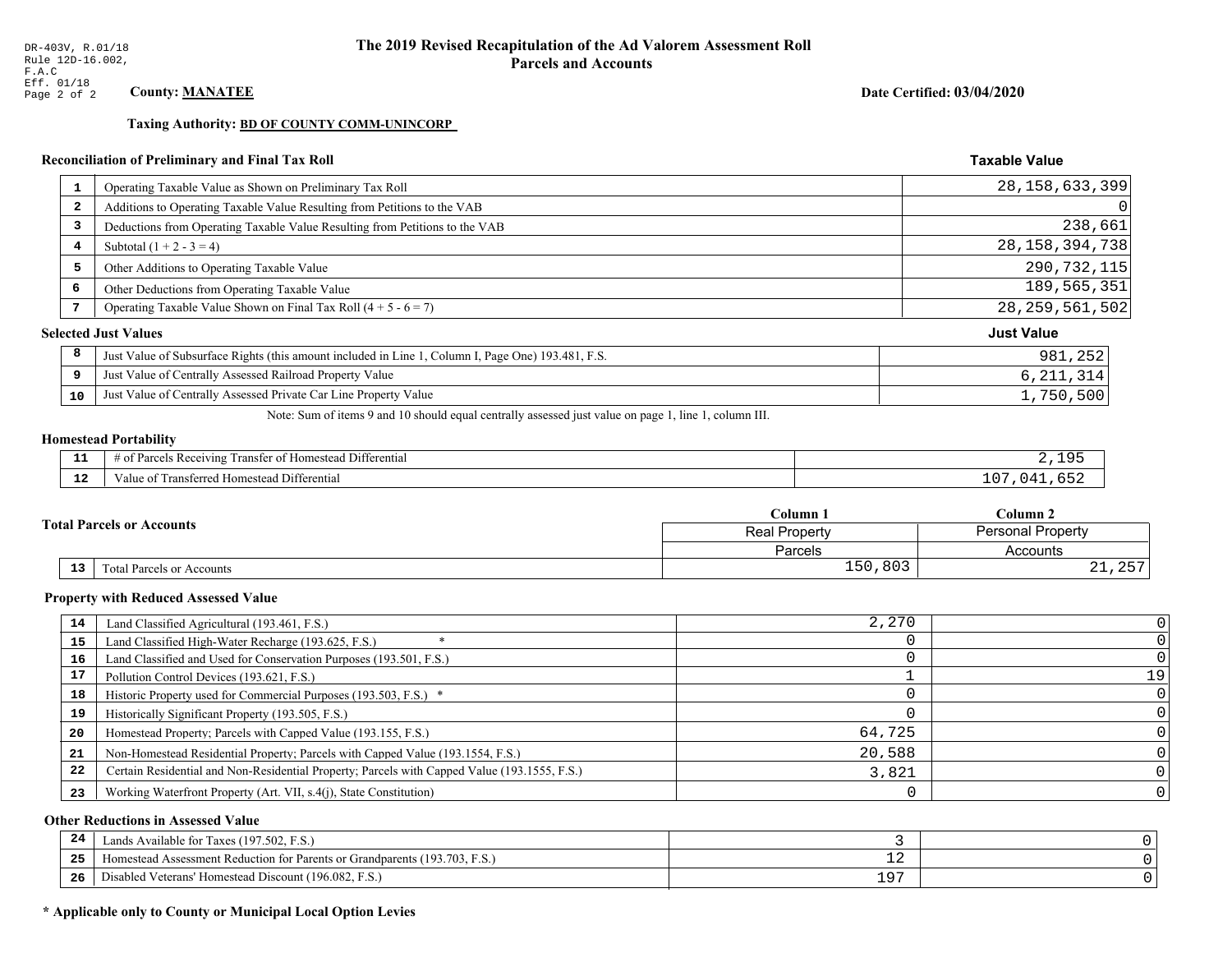**Taxing Authority: BD OF COUNTY COMM-UNINCORP** 

## Reconciliation of Preliminary and Final Tax Roll

| 1                       | Operating Taxable Value as Shown on Preliminary Tax Roll                                           | 28, 158, 633, 399 |
|-------------------------|----------------------------------------------------------------------------------------------------|-------------------|
| $\overline{\mathbf{2}}$ | Additions to Operating Taxable Value Resulting from Petitions to the VAB                           | 0                 |
| 3                       | Deductions from Operating Taxable Value Resulting from Petitions to the VAB                        | 238,661           |
| 4                       | Subtotal $(1 + 2 - 3 = 4)$                                                                         | 28, 158, 394, 738 |
| 5                       | Other Additions to Operating Taxable Value                                                         | 290,732,115       |
| 6                       | Other Deductions from Operating Taxable Value                                                      | 189, 565, 351     |
|                         | Operating Taxable Value Shown on Final Tax Roll $(4 + 5 - 6 = 7)$                                  | 28, 259, 561, 502 |
|                         | <b>Selected Just Values</b>                                                                        | <b>Just Value</b> |
| 8                       | Just Value of Subsurface Rights (this amount included in Line 1, Column I, Page One) 193.481, F.S. | 981,252           |
| 9                       | Just Value of Centrally Assessed Railroad Property Value                                           | 6, 211, 314       |
| 10                      | Just Value of Centrally Assessed Private Car Line Property Value                                   | 1,750,500         |

Note: Sum of items 9 and 10 should equal centrally assessed just value on page 1, line 1, column III.

# **Homestead Portability**

| - -<br>.     | Differential<br>: Receiving<br>ranster<br>$\sim$ $\sim$ $\sim$<br>Homestead |     |
|--------------|-----------------------------------------------------------------------------|-----|
| $\sim$<br>-- | `'utterential<br>' ransferred<br>' Homestead L<br>. anie                    | ∸ ~ |

|  |                                                          |                                  | Column 1                 | Column 2               |  |
|--|----------------------------------------------------------|----------------------------------|--------------------------|------------------------|--|
|  | <b>Total Parcels or Accounts</b><br><b>Real Property</b> |                                  | <b>Personal Property</b> |                        |  |
|  |                                                          |                                  | Parcels                  | Accounts               |  |
|  | 13                                                       | <b>Fotal Parcels or Accounts</b> | 150,803                  | $\cap$ $\Box$<br>21,2J |  |

#### **Property with Reduced Assessed Value**

| 14 | Land Classified Agricultural (193.461, F.S.)                                                 | 2,270  |    |
|----|----------------------------------------------------------------------------------------------|--------|----|
| 15 | Land Classified High-Water Recharge (193.625, F.S.)                                          |        |    |
| 16 | Land Classified and Used for Conservation Purposes (193.501, F.S.)                           |        |    |
| 17 | Pollution Control Devices (193.621, F.S.)                                                    |        | 19 |
| 18 | Historic Property used for Commercial Purposes (193.503, F.S.) *                             |        |    |
| 19 | Historically Significant Property (193.505, F.S.)                                            |        |    |
| 20 | Homestead Property; Parcels with Capped Value (193.155, F.S.)                                | 64,725 |    |
| 21 | Non-Homestead Residential Property; Parcels with Capped Value (193.1554, F.S.)               | 20,588 |    |
| 22 | Certain Residential and Non-Residential Property; Parcels with Capped Value (193.1555, F.S.) | 3,821  |    |
| 23 | Working Waterfront Property (Art. VII, s.4(j), State Constitution)                           |        |    |

## **Other Reductions in Assessed Value**

| 24    | (197.502, F.S.)<br>Lands Available for Taxes (                       |                  |  |
|-------|----------------------------------------------------------------------|------------------|--|
| - - - | Iomestead Assessment Reduction for Parents or Grandparents (193.703, | — <i>—</i>       |  |
| -26   | I Veterans' Homestead Discount (196.082, F.S.)<br>Disabled           | ים ו<br><u>+</u> |  |

## \* Applicable only to County or Municipal Local Option Levies

Date Certified: 03/04/2020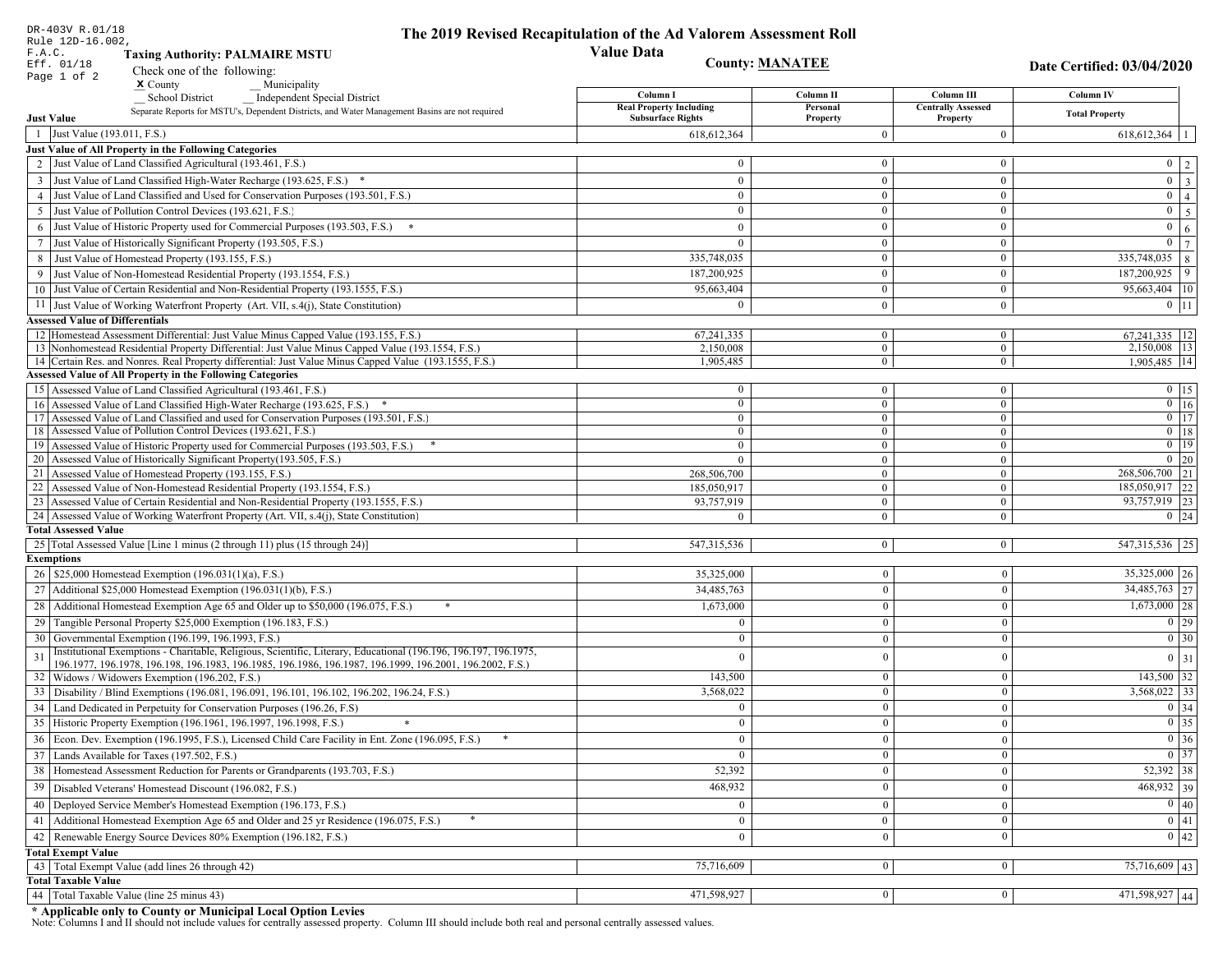| DR-403V R.01/18<br>Rule 12D-16.002,                                                                                                                                               | The 2019 Revised Recapitulation of the Ad Valorem Assessment Roll |                            |                                       |                                                                       |
|-----------------------------------------------------------------------------------------------------------------------------------------------------------------------------------|-------------------------------------------------------------------|----------------------------|---------------------------------------|-----------------------------------------------------------------------|
| F.A.C.<br><b>Taxing Authority: PALMAIRE MSTU</b>                                                                                                                                  | <b>Value Data</b>                                                 |                            |                                       |                                                                       |
| Eff. 01/18<br>Check one of the following:                                                                                                                                         | <b>County: MANATEE</b>                                            |                            |                                       | Date Certified: 03/04/2020                                            |
| Page 1 of 2<br>$\boldsymbol{\mathrm{x}}$ County<br>Municipality                                                                                                                   |                                                                   |                            |                                       |                                                                       |
| <b>School District</b><br><b>Independent Special District</b>                                                                                                                     | Column I                                                          | Column <sub>II</sub>       | Column III                            | <b>Column IV</b>                                                      |
| Separate Reports for MSTU's, Dependent Districts, and Water Management Basins are not required<br><b>Just Value</b>                                                               | <b>Real Property Including</b><br><b>Subsurface Rights</b>        | Personal<br>Property       | <b>Centrally Assessed</b><br>Property | <b>Total Property</b>                                                 |
| 1 Just Value (193.011, F.S.)                                                                                                                                                      | 618, 612, 364                                                     | $\Omega$                   | $\overline{0}$                        | 618, 612, 364                                                         |
| Just Value of All Property in the Following Categories                                                                                                                            |                                                                   |                            |                                       |                                                                       |
| 2 Just Value of Land Classified Agricultural (193.461, F.S.)                                                                                                                      | $\overline{0}$                                                    | $\overline{0}$             | $\bf{0}$                              | $0 \quad 2$                                                           |
| 3 Just Value of Land Classified High-Water Recharge (193.625, F.S.) *                                                                                                             | $\theta$                                                          | $\theta$                   | $\mathbf{0}$                          | $\overline{\mathbf{3}}$<br>$\overline{0}$                             |
| 4 Just Value of Land Classified and Used for Conservation Purposes (193.501, F.S.)                                                                                                | $\Omega$                                                          | $\boldsymbol{0}$           | $\bf{0}$                              | $\overline{0}$<br>$\overline{4}$                                      |
| 5 Just Value of Pollution Control Devices (193.621, F.S.)                                                                                                                         | $\overline{0}$                                                    | $\overline{0}$             | $\bf{0}$                              | $\overline{5}$<br>$\overline{0}$                                      |
| Just Value of Historic Property used for Commercial Purposes (193.503, F.S.)<br>6                                                                                                 | $\theta$                                                          | $\theta$                   | $\mathbf{0}$                          | $\overline{0}$<br>$\sqrt{6}$                                          |
| Just Value of Historically Significant Property (193.505, F.S.)<br>7                                                                                                              | $\overline{0}$                                                    | $\mathbf{0}$               | $\bf{0}$                              | $\overline{7}$<br>$\mathbf{0}$                                        |
| 8 Just Value of Homestead Property (193.155, F.S.)                                                                                                                                | 335,748,035                                                       | $\mathbf{0}$               | $\bf{0}$                              | 335,748,035<br>$\,8\,$                                                |
| Just Value of Non-Homestead Residential Property (193.1554, F.S.)                                                                                                                 | 187,200,925                                                       | $\Omega$                   | $\mathbf{0}$                          | 9<br>187,200,925                                                      |
| 10 Just Value of Certain Residential and Non-Residential Property (193.1555, F.S.)                                                                                                | 95,663,404                                                        | $\overline{0}$             | $\bf{0}$                              | 95,663,404 10                                                         |
| 11 Just Value of Working Waterfront Property (Art. VII, s.4(j), State Constitution)                                                                                               | $\Omega$                                                          | $\overline{0}$             | $\bf{0}$                              | $0$ 11                                                                |
| <b>Assessed Value of Differentials</b>                                                                                                                                            |                                                                   |                            |                                       |                                                                       |
| 12 Homestead Assessment Differential: Just Value Minus Capped Value (193.155, F.S.)                                                                                               | 67, 241, 335                                                      | $\overline{0}$             | $\bf{0}$                              | $67,241,335$ 12                                                       |
| 13 Nonhomestead Residential Property Differential: Just Value Minus Capped Value (193.1554, F.S.)                                                                                 | 2,150,008                                                         | $\overline{0}$             | $\overline{0}$                        | 2,150,008 13                                                          |
| 14 Certain Res. and Nonres. Real Property differential: Just Value Minus Capped Value (193.1555, F.S.)<br><b>Assessed Value of All Property in the Following Categories</b>       | 1,905,485                                                         | $\overline{0}$             | $\mathbf{0}$                          | $1,905,485$ 14                                                        |
| 15 Assessed Value of Land Classified Agricultural (193.461, F.S.)                                                                                                                 | $\bf{0}$                                                          | $\overline{0}$             | $\bf{0}$                              | $0$   15                                                              |
| 16 Assessed Value of Land Classified High-Water Recharge (193.625, F.S.) *                                                                                                        | $\mathbf{0}$                                                      | $\overline{0}$             | $\overline{0}$                        | $\overline{0}$ 16                                                     |
| 17 Assessed Value of Land Classified and used for Conservation Purposes (193.501, F.S.)                                                                                           | $\overline{0}$                                                    | $\overline{0}$             | $\mathbf{0}$                          | $\overline{0}$ 17                                                     |
| 18 Assessed Value of Pollution Control Devices (193.621, F.S.)                                                                                                                    | $\mathbf{0}$                                                      | $\overline{0}$             | $\overline{0}$                        | $0$   18                                                              |
| 19 Assessed Value of Historic Property used for Commercial Purposes (193.503, F.S.)                                                                                               | $\bf{0}$                                                          | $\overline{0}$             | $\bf{0}$                              | $\overline{0}$ 19                                                     |
| 20 Assessed Value of Historically Significant Property (193.505, F.S.)                                                                                                            | $\theta$                                                          | $\mathbf{0}$               | $\mathbf{0}$                          | $\boxed{0}$ 20                                                        |
| 21 Assessed Value of Homestead Property (193.155, F.S.)                                                                                                                           | 268,506,700                                                       | $\overline{0}$             | $\bf{0}$                              | 268,506,700 21                                                        |
| 22 Assessed Value of Non-Homestead Residential Property (193.1554, F.S.)                                                                                                          | 185,050,917                                                       | $\overline{0}$             | $\mathbf{0}$                          | 185,050,917 22                                                        |
| 23 Assessed Value of Certain Residential and Non-Residential Property (193.1555, F.S.)<br>24 Assessed Value of Working Waterfront Property (Art. VII, s.4(j), State Constitution) | 93,757,919<br>$\Omega$                                            | $\overline{0}$<br>$\theta$ | $\mathbf{0}$<br>$\overline{0}$        | 93,757,919 23<br>$0 \mid 24$                                          |
| <b>Total Assessed Value</b>                                                                                                                                                       |                                                                   |                            |                                       |                                                                       |
| 25 Total Assessed Value [Line 1 minus (2 through 11) plus (15 through 24)]                                                                                                        | 547, 315, 536                                                     | $\overline{0}$             | $\overline{0}$                        | 547, 315, 536 25                                                      |
| <b>Exemptions</b>                                                                                                                                                                 |                                                                   |                            |                                       |                                                                       |
| 26   \$25,000 Homestead Exemption (196.031(1)(a), F.S.)                                                                                                                           | 35,325,000                                                        | $\bf{0}$                   | $\bf{0}$                              | $35,325,000$ 26                                                       |
| 27   Additional \$25,000 Homestead Exemption $(196.031(1)(b), F.S.)$                                                                                                              | 34,485,763                                                        | $\overline{0}$             | $\Omega$                              | 34,485,763 27                                                         |
| 28 Additional Homestead Exemption Age 65 and Older up to \$50,000 (196.075, F.S.)                                                                                                 | 1,673,000                                                         | $\overline{0}$             | $\theta$                              | $1,673,000$ 28                                                        |
| 29 Tangible Personal Property \$25,000 Exemption (196.183, F.S.)                                                                                                                  | $\Omega$                                                          | $\Omega$                   | $\Omega$                              | $\boxed{0}$ 29                                                        |
| 30 Governmental Exemption (196.199, 196.1993, F.S.)                                                                                                                               |                                                                   | $\Omega$                   | $\boldsymbol{0}$                      | $\overline{0}$ 30                                                     |
| Institutional Exemptions - Charitable, Religious, Scientific, Literary, Educational (196.196, 196.197, 196.1975,<br>31                                                            | 0                                                                 |                            | $\boldsymbol{0}$                      | $0 \mid 31$                                                           |
| 196.1977, 196.1978, 196.198, 196.1983, 196.1985, 196.1986, 196.1987, 196.1999, 196.2001, 196.2002, F.S.)                                                                          |                                                                   |                            |                                       |                                                                       |
| 32   Widows / Widowers Exemption (196.202, F.S.)                                                                                                                                  | 143,500                                                           | $\bf{0}$                   | $\mathbf{0}$                          | $143,500$ 32                                                          |
| 33 Disability / Blind Exemptions (196.081, 196.091, 196.101, 196.102, 196.202, 196.24, F.S.)                                                                                      | 3,568,022                                                         | $\overline{0}$             | $\Omega$                              | $3,568,022$ 33                                                        |
| 34 Land Dedicated in Perpetuity for Conservation Purposes (196.26, F.S)                                                                                                           | $\Omega$                                                          | $\Omega$                   | $\theta$                              | $\boxed{0}$ 34                                                        |
| 35 Historic Property Exemption (196.1961, 196.1997, 196.1998, F.S.)                                                                                                               | $\mathbf{U}$                                                      | $\mathbf{0}$               | $\mathbf{0}$                          | $\begin{array}{ c c }\n\hline\n0 & 35 \\ \hline\n0 & 36\n\end{array}$ |
| 36 Econ. Dev. Exemption (196.1995, F.S.), Licensed Child Care Facility in Ent. Zone (196.095, F.S.)                                                                               | $\overline{0}$                                                    | $\Omega$                   | $\mathbf{0}$                          | $\overline{0}$ 37                                                     |
| 37 Lands Available for Taxes (197.502, F.S.)                                                                                                                                      | $\overline{0}$                                                    | $\theta$                   | $\theta$                              |                                                                       |
| 38   Homestead Assessment Reduction for Parents or Grandparents (193.703, F.S.)                                                                                                   | 52,392                                                            | $\bf{0}$                   | $\mathbf{0}$                          | 52,392 38                                                             |
| Disabled Veterans' Homestead Discount (196.082, F.S.)<br>39                                                                                                                       | 468,932                                                           | $\Omega$                   | $\boldsymbol{0}$                      | 468,932 39                                                            |
| 40   Deployed Service Member's Homestead Exemption (196.173, F.S.)                                                                                                                | $\overline{0}$                                                    | $\Omega$                   | $\mathbf{0}$                          | $\overline{0}$ 40                                                     |
| 41 Additional Homestead Exemption Age 65 and Older and 25 yr Residence (196.075, F.S.)                                                                                            | $\overline{0}$                                                    | $\boldsymbol{0}$           | $\mathbf{0}$                          | $\overline{0}$ 41                                                     |
| Renewable Energy Source Devices 80% Exemption (196.182, F.S.)<br>42                                                                                                               | $\overline{0}$                                                    | $\bf{0}$                   | $\boldsymbol{0}$                      | $\overline{0}$ 42                                                     |
| <b>Total Exempt Value</b>                                                                                                                                                         |                                                                   |                            |                                       |                                                                       |
| 43 Total Exempt Value (add lines 26 through 42)<br><b>Total Taxable Value</b>                                                                                                     | 75,716,609                                                        | 0 <sup>1</sup>             | $\mathbf{0}$                          | $75,716,609$ 43                                                       |
| Total Taxable Value (line 25 minus 43)<br>44                                                                                                                                      | 471,598,927                                                       | 0                          | $\bf{0}$                              | 471,598,927 44                                                        |
|                                                                                                                                                                                   |                                                                   |                            |                                       |                                                                       |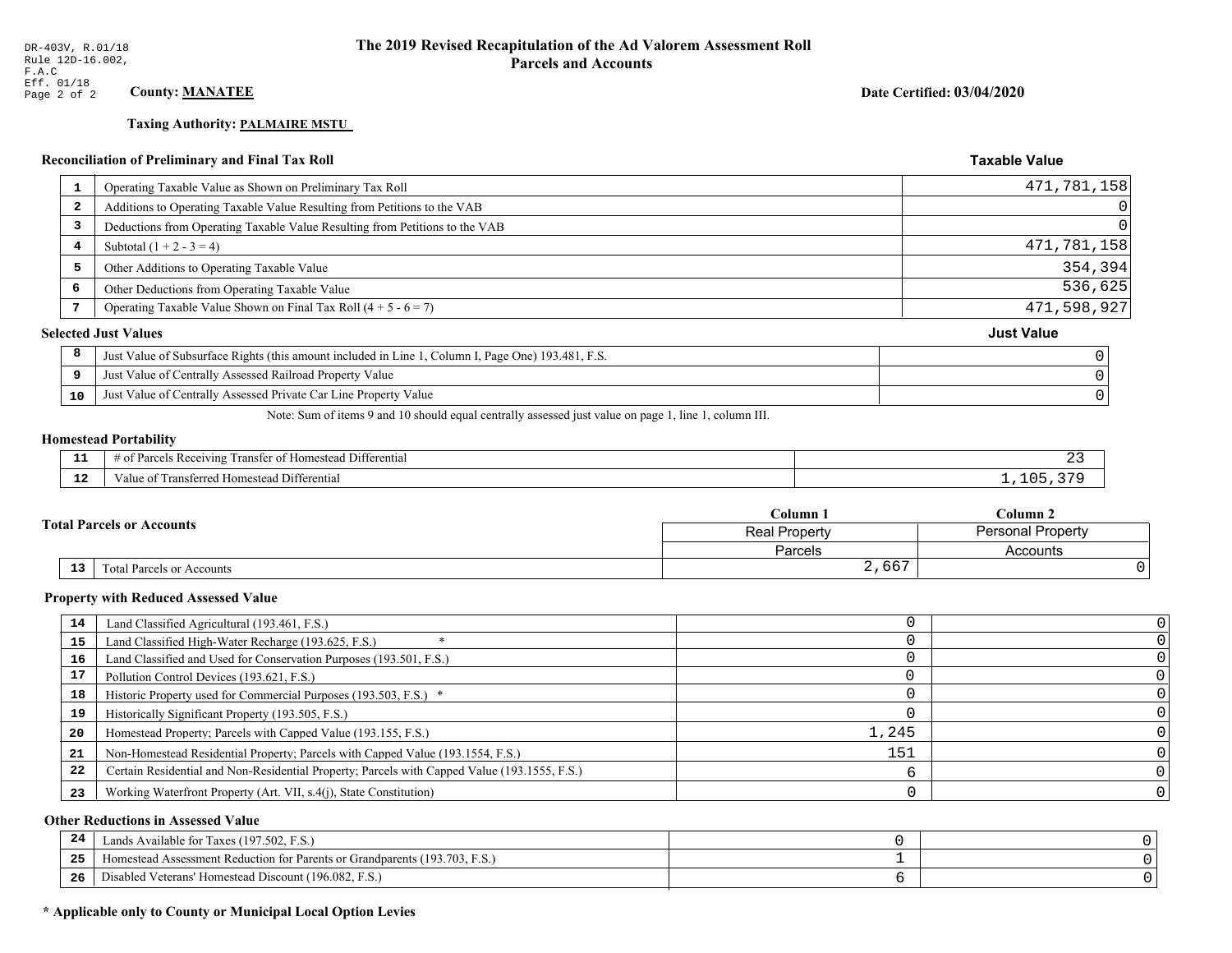# **Taxing Authority: PALMAIRE MSTU**

# Reconciliation of Preliminary and Final Tax Roll

|                         | Operating Taxable Value as Shown on Preliminary Tax Roll                                           | 471,781,158       |
|-------------------------|----------------------------------------------------------------------------------------------------|-------------------|
| $\overline{\mathbf{2}}$ | Additions to Operating Taxable Value Resulting from Petitions to the VAB                           | 0                 |
| 3                       | Deductions from Operating Taxable Value Resulting from Petitions to the VAB                        |                   |
| 4                       | Subtotal $(1 + 2 - 3 = 4)$                                                                         | 471,781,158       |
| 5                       | Other Additions to Operating Taxable Value                                                         | 354,394           |
| 6                       | Other Deductions from Operating Taxable Value                                                      | 536,625           |
| 7                       | Operating Taxable Value Shown on Final Tax Roll $(4 + 5 - 6 = 7)$                                  | 471,598,927       |
|                         | <b>Selected Just Values</b>                                                                        | <b>Just Value</b> |
| 8                       | Just Value of Subsurface Rights (this amount included in Line 1, Column I, Page One) 193.481, F.S. |                   |
| 9                       | Just Value of Centrally Assessed Railroad Property Value                                           |                   |
| 10                      | Just Value of Centrally Assessed Private Car Line Property Value                                   |                   |
|                         |                                                                                                    |                   |

Note: Sum of items 9 and 10 should equal centrally assessed just value on page 1, line 1, column III.

#### **Homestead Portability**

| --            | $ -$<br>.<br>Differential<br>ranster of<br>Parce<br>ceiving<br>omesteac<br>OТ<br>, , , , ,<br>. |  |
|---------------|-------------------------------------------------------------------------------------------------|--|
| $\sim$<br>. . | Transferred Homestead Differential<br>≠alu,                                                     |  |

| <b>Total Parcels or Accounts</b> |                                 | Column <sub>1</sub> | $C$ olumn 2              |  |
|----------------------------------|---------------------------------|---------------------|--------------------------|--|
|                                  |                                 | Real Property       | <b>Personal Property</b> |  |
|                                  |                                 | Parcels             | Accounts                 |  |
|                                  | 13<br>Total Parcels or Accounts | 2,667               |                          |  |

#### **Property with Reduced Assessed Value**

| 14 | Land Classified Agricultural (193.461, F.S.)                                                 |       |  |
|----|----------------------------------------------------------------------------------------------|-------|--|
| 15 | Land Classified High-Water Recharge (193.625, F.S.)                                          |       |  |
| 16 | Land Classified and Used for Conservation Purposes (193.501, F.S.)                           |       |  |
| 17 | Pollution Control Devices (193.621, F.S.)                                                    |       |  |
| 18 | Historic Property used for Commercial Purposes (193.503, F.S.) *                             |       |  |
| 19 | Historically Significant Property (193.505, F.S.)                                            |       |  |
| 20 | Homestead Property; Parcels with Capped Value (193.155, F.S.)                                | 1,245 |  |
| 21 | Non-Homestead Residential Property; Parcels with Capped Value (193.1554, F.S.)               | 151   |  |
| 22 | Certain Residential and Non-Residential Property; Parcels with Capped Value (193.1555, F.S.) |       |  |
| 23 | Working Waterfront Property (Art. VII, s.4(j), State Constitution)                           |       |  |

## **Other Reductions in Assessed Value**

| -44 | Available for Taxes (197.502, F.S.)                                          |  |
|-----|------------------------------------------------------------------------------|--|
| 25  | 'omestead Assessment Reduction for Parents or Grandparents $(193.703, F.S.)$ |  |
| 26  | isabled Veterans' Homestead Discount (196.082, F.S.)                         |  |

## \* Applicable only to County or Municipal Local Option Levies

Date Certified: 03/04/2020

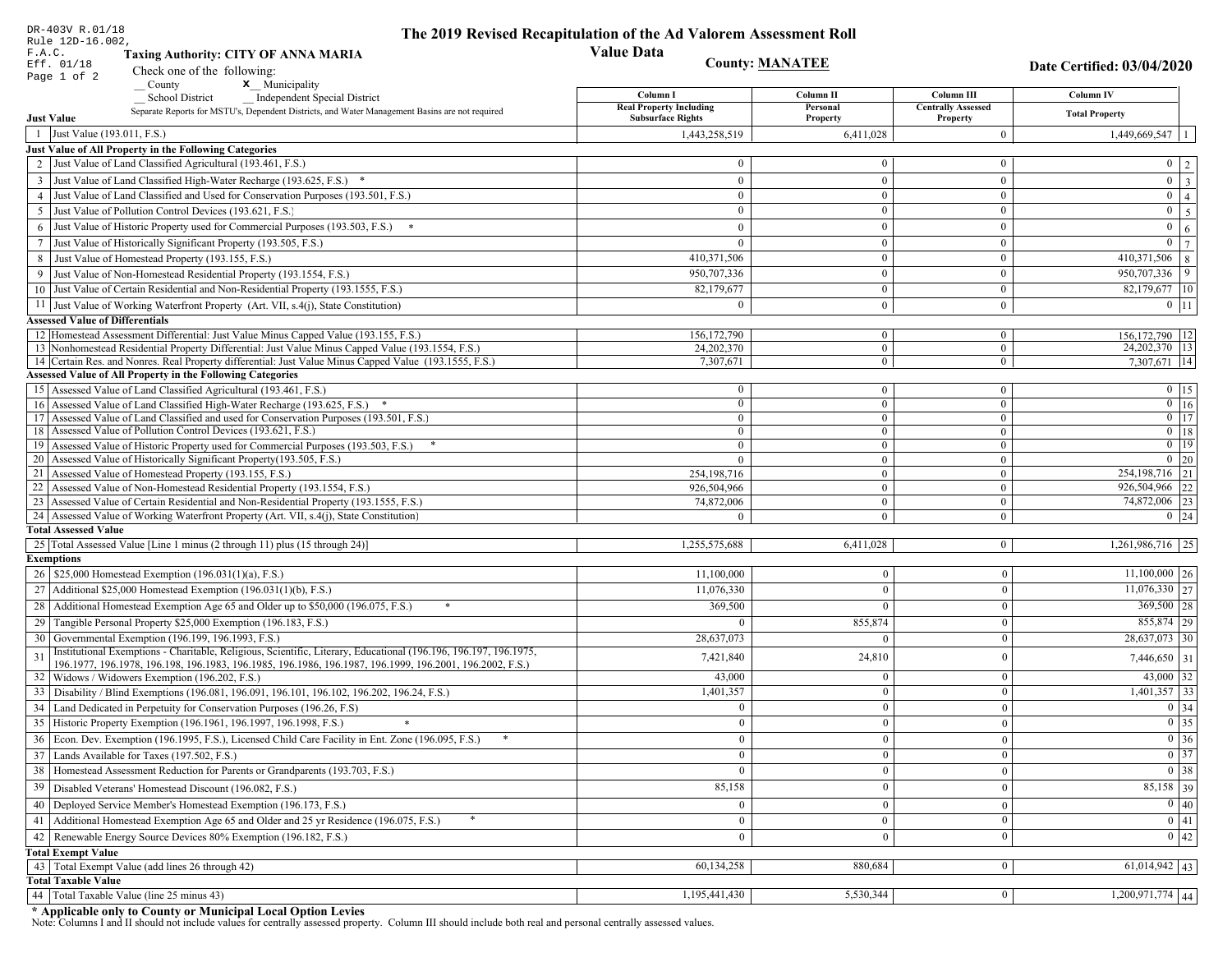|    | DR-403V R.01/18<br>Rule 12D-16.002,                                                                                                                                         | The 2019 Revised Recapitulation of the Ad Valorem Assessment Roll |                                  |                                       |                                                                                 |
|----|-----------------------------------------------------------------------------------------------------------------------------------------------------------------------------|-------------------------------------------------------------------|----------------------------------|---------------------------------------|---------------------------------------------------------------------------------|
|    | F.A.C.<br><b>Taxing Authority: CITY OF ANNA MARIA</b>                                                                                                                       | <b>Value Data</b>                                                 |                                  |                                       |                                                                                 |
|    | Eff. 01/18<br>Check one of the following:                                                                                                                                   | <b>County: MANATEE</b>                                            |                                  |                                       | Date Certified: 03/04/2020                                                      |
|    | Page 1 of 2<br>x Municipality<br>County                                                                                                                                     |                                                                   |                                  |                                       |                                                                                 |
|    | <b>School District</b><br><b>Independent Special District</b>                                                                                                               | Column I                                                          | Column <sub>II</sub>             | Column III                            | <b>Column IV</b>                                                                |
|    | Separate Reports for MSTU's, Dependent Districts, and Water Management Basins are not required<br><b>Just Value</b>                                                         | <b>Real Property Including</b><br><b>Subsurface Rights</b>        | Personal<br>Property             | <b>Centrally Assessed</b><br>Property | <b>Total Property</b>                                                           |
|    | 1 Just Value (193.011, F.S.)                                                                                                                                                | 1,443,258,519                                                     | 6,411,028                        | $\overline{0}$                        | 1,449,669,547                                                                   |
|    | Just Value of All Property in the Following Categories                                                                                                                      |                                                                   |                                  |                                       |                                                                                 |
|    | 2 Just Value of Land Classified Agricultural (193.461, F.S.)                                                                                                                | $\overline{0}$                                                    | $\overline{0}$                   | $\bf{0}$                              | $0 \quad 2$                                                                     |
|    | 3 Just Value of Land Classified High-Water Recharge (193.625, F.S.) *                                                                                                       | $\theta$                                                          | $\theta$                         | $\mathbf{0}$                          | $\overline{\mathbf{3}}$<br>$\overline{0}$                                       |
|    | 4 Just Value of Land Classified and Used for Conservation Purposes (193.501, F.S.)                                                                                          | $\Omega$                                                          | $\boldsymbol{0}$                 | $\bf{0}$                              | $\overline{0}$<br>$\overline{4}$                                                |
|    | 5 Just Value of Pollution Control Devices (193.621, F.S.)                                                                                                                   | $\overline{0}$                                                    | $\overline{0}$                   | $\bf{0}$                              | $\overline{5}$<br>$\overline{0}$                                                |
| 6  | Just Value of Historic Property used for Commercial Purposes (193.503, F.S.)                                                                                                | $\theta$                                                          | $\theta$                         | $\mathbf{0}$                          | $\overline{0}$<br>$\sqrt{6}$                                                    |
| 7  | Just Value of Historically Significant Property (193.505, F.S.)                                                                                                             | $\overline{0}$                                                    | $\mathbf{0}$                     | $\bf{0}$                              | $\overline{7}$<br>$\mathbf{0}$                                                  |
|    | 8 Just Value of Homestead Property (193.155, F.S.)                                                                                                                          | 410,371,506                                                       | $\overline{0}$                   | $\overline{0}$                        | 410,371,506<br>$\,8\,$                                                          |
|    | Just Value of Non-Homestead Residential Property (193.1554, F.S.)                                                                                                           | 950,707,336                                                       | $\Omega$                         | $\mathbf{0}$                          | 950,707,336<br>9                                                                |
|    | 10 Just Value of Certain Residential and Non-Residential Property (193.1555, F.S.)                                                                                          | 82,179,677                                                        | $\overline{0}$                   | $\bf{0}$                              | 82,179,677 10                                                                   |
|    | 11 Just Value of Working Waterfront Property (Art. VII, s.4(j), State Constitution)                                                                                         | $\Omega$                                                          | $\overline{0}$                   | $\bf{0}$                              | $0$ 11                                                                          |
|    | <b>Assessed Value of Differentials</b>                                                                                                                                      |                                                                   |                                  |                                       |                                                                                 |
|    | 12 Homestead Assessment Differential: Just Value Minus Capped Value (193.155, F.S.)                                                                                         | 156, 172, 790                                                     | $\overline{0}$                   | $\bf{0}$                              | 156, 172, 790   12                                                              |
|    | 13 Nonhomestead Residential Property Differential: Just Value Minus Capped Value (193.1554, F.S.)                                                                           | 24.202.370                                                        | $\overline{0}$<br>$\overline{0}$ | $\overline{0}$                        | 24, 202, 370   13                                                               |
|    | 14 Certain Res. and Nonres. Real Property differential: Just Value Minus Capped Value (193.1555, F.S.)<br><b>Assessed Value of All Property in the Following Categories</b> | 7,307,671                                                         |                                  | $\mathbf{0}$                          | 7,307,671 14                                                                    |
|    | 15 Assessed Value of Land Classified Agricultural (193.461, F.S.)                                                                                                           | $\bf{0}$                                                          | $\overline{0}$                   | $\bf{0}$                              | $0$   15                                                                        |
|    | 16 Assessed Value of Land Classified High-Water Recharge (193.625, F.S.) *                                                                                                  | $\mathbf{0}$                                                      | $\overline{0}$                   | $\overline{0}$                        | $\boxed{0}$ 16                                                                  |
|    | 17 Assessed Value of Land Classified and used for Conservation Purposes (193.501, F.S.)                                                                                     | $\overline{0}$                                                    | $\overline{0}$                   | $\mathbf{0}$                          | $\overline{0}$ 17                                                               |
|    | 18 Assessed Value of Pollution Control Devices (193.621, F.S.)                                                                                                              | $\bf{0}$                                                          | $\overline{0}$                   | $\overline{0}$                        | $0$   18                                                                        |
|    | 19 Assessed Value of Historic Property used for Commercial Purposes (193.503, F.S.)                                                                                         | $\bf{0}$                                                          | $\overline{0}$                   | $\bf{0}$                              | $\overline{0}$ 19                                                               |
|    | 20 Assessed Value of Historically Significant Property (193.505, F.S.)                                                                                                      | $\theta$                                                          | $\mathbf{0}$                     | $\mathbf{0}$                          | $\overline{0}$ 20                                                               |
|    | 21 Assessed Value of Homestead Property (193.155, F.S.)<br>22 Assessed Value of Non-Homestead Residential Property (193.1554, F.S.)                                         | 254,198,716                                                       | $\overline{0}$<br>$\overline{0}$ | $\bf{0}$<br>$\mathbf{0}$              | 254, 198, 716 21<br>22<br>926,504,966                                           |
|    | 23 Assessed Value of Certain Residential and Non-Residential Property (193.1555, F.S.)                                                                                      | 926,504,966<br>74,872,006                                         | $\overline{0}$                   | $\mathbf{0}$                          | 74,872,006 23                                                                   |
|    | 24 Assessed Value of Working Waterfront Property (Art. VII, s.4(j), State Constitution)                                                                                     | $\theta$                                                          | $\Omega$                         | $\overline{0}$                        | $0 \quad 24$                                                                    |
|    | <b>Total Assessed Value</b>                                                                                                                                                 |                                                                   |                                  |                                       |                                                                                 |
|    | 25 Total Assessed Value [Line 1 minus (2 through 11) plus (15 through 24)]                                                                                                  | 1,255,575,688                                                     | 6,411,028                        | $\mathbf{0}$                          | 1,261,986,716   25                                                              |
|    | <b>Exemptions</b>                                                                                                                                                           |                                                                   |                                  |                                       |                                                                                 |
|    | 26   \$25,000 Homestead Exemption (196.031(1)(a), F.S.)                                                                                                                     | 11,100,000                                                        | $\bf{0}$                         | $\bf{0}$                              | $11,100,000$ 26                                                                 |
|    | 27   Additional \$25,000 Homestead Exemption $(196.031(1)(b), F.S.)$                                                                                                        | 11,076,330                                                        | $\Omega$                         | $\Omega$                              | $\overline{11,076,330}$ 27                                                      |
|    | 28 Additional Homestead Exemption Age 65 and Older up to \$50,000 (196.075, F.S.)                                                                                           | 369,500                                                           | $\Omega$                         | $\theta$                              | $369,500$ 28                                                                    |
|    | 29 Tangible Personal Property \$25,000 Exemption (196.183, F.S.)                                                                                                            |                                                                   | 855,874                          | $\mathbf{0}$                          | 855,874 29                                                                      |
|    | 30 Governmental Exemption (196.199, 196.1993, F.S.)                                                                                                                         | 28,637,073                                                        |                                  | $\boldsymbol{0}$                      | 28,637,073 30                                                                   |
| 31 | Institutional Exemptions - Charitable, Religious, Scientific, Literary, Educational (196.196, 196.197, 196.1975,                                                            | 7,421,840                                                         | 24,810                           | $\boldsymbol{0}$                      | 7,446,650 31                                                                    |
|    | 196.1977, 196.1978, 196.198, 196.1983, 196.1985, 196.1986, 196.1987, 196.1999, 196.2001, 196.2002, F.S.)<br>32   Widows / Widowers Exemption (196.202, F.S.)                | 43,000                                                            | $\bf{0}$                         | $\mathbf{0}$                          | 43,000 32                                                                       |
|    | 33 Disability / Blind Exemptions (196.081, 196.091, 196.101, 196.102, 196.202, 196.24, F.S.)                                                                                | 1,401,357                                                         | $\Omega$                         | $\Omega$                              | $1,401,357$ 33                                                                  |
|    | 34 Land Dedicated in Perpetuity for Conservation Purposes (196.26, F.S)                                                                                                     | $\Omega$                                                          | $\Omega$                         | $\theta$                              | $0 \mid 34$                                                                     |
|    | 35 Historic Property Exemption (196.1961, 196.1997, 196.1998, F.S.)                                                                                                         | $\cup$                                                            | $\mathbf{0}$                     | $\mathbf{0}$                          |                                                                                 |
|    | 36 Econ. Dev. Exemption (196.1995, F.S.), Licensed Child Care Facility in Ent. Zone (196.095, F.S.)                                                                         | $\overline{0}$                                                    | $\Omega$                         | $\theta$                              | $\begin{array}{ c c }\n\hline\n0 & 35 \\ \hline\n0 & 36 \\ \hline\n\end{array}$ |
|    | 37 Lands Available for Taxes (197.502, F.S.)                                                                                                                                | $\overline{0}$                                                    | $\theta$                         | $\theta$                              | $\overline{0}$ 37                                                               |
|    | 38   Homestead Assessment Reduction for Parents or Grandparents (193.703, F.S.)                                                                                             | $\mathbf{0}$                                                      | $\bf{0}$                         | $\mathbf{0}$                          | $\boxed{0}$ 38                                                                  |
| 39 | Disabled Veterans' Homestead Discount (196.082, F.S.)                                                                                                                       | 85,158                                                            |                                  | $\boldsymbol{0}$                      | 85,158 39                                                                       |
|    | 40 Deployed Service Member's Homestead Exemption (196.173, F.S.)                                                                                                            | $\overline{0}$                                                    | $\Omega$                         | $\mathbf{0}$                          | $\overline{0}$ 40                                                               |
|    | 41 Additional Homestead Exemption Age 65 and Older and 25 yr Residence (196.075, F.S.)                                                                                      | $\overline{0}$                                                    | $\boldsymbol{0}$                 | $\bf{0}$                              | $\boxed{0}$ 41                                                                  |
|    | Renewable Energy Source Devices 80% Exemption (196.182, F.S.)                                                                                                               |                                                                   |                                  | $\boldsymbol{0}$                      | $\overline{0}$ 42                                                               |
| 42 | <b>Total Exempt Value</b>                                                                                                                                                   | $\overline{0}$                                                    | $\bf{0}$                         |                                       |                                                                                 |
|    | 43 Total Exempt Value (add lines 26 through 42)                                                                                                                             | 60,134,258                                                        | 880,684                          | $\mathbf{0}$                          | $61,014,942$ 43                                                                 |
|    | <b>Total Taxable Value</b>                                                                                                                                                  |                                                                   |                                  |                                       |                                                                                 |
| 44 | Total Taxable Value (line 25 minus 43)                                                                                                                                      | 1,195,441,430                                                     | 5,530,344                        | $\bf{0}$                              | $1,200,971,774$ 44                                                              |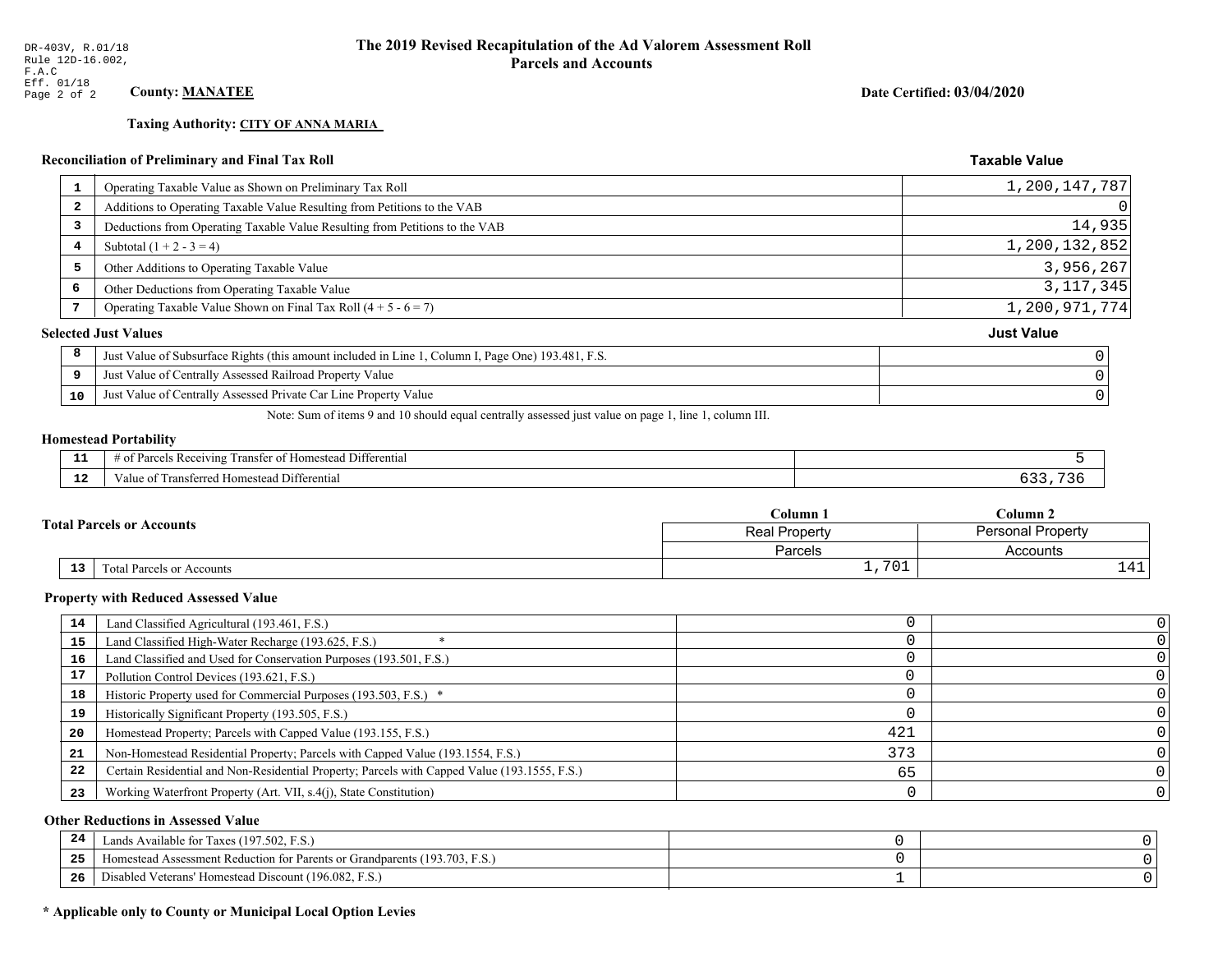## **Taxing Authority: CITY OF ANNA MARIA**

## Reconciliation of Preliminary and Final Tax Roll

| 1  | Operating Taxable Value as Shown on Preliminary Tax Roll                                           | 1,200,147,787     |
|----|----------------------------------------------------------------------------------------------------|-------------------|
| 2  | Additions to Operating Taxable Value Resulting from Petitions to the VAB                           | 0                 |
| 3  | Deductions from Operating Taxable Value Resulting from Petitions to the VAB                        | 14,935            |
| 4  | Subtotal $(1 + 2 - 3 = 4)$                                                                         | 1,200,132,852     |
| 5  | Other Additions to Operating Taxable Value                                                         | 3,956,267         |
| 6  | Other Deductions from Operating Taxable Value                                                      | 3, 117, 345       |
|    | Operating Taxable Value Shown on Final Tax Roll $(4 + 5 - 6 = 7)$                                  | 1,200,971,774     |
|    | <b>Selected Just Values</b>                                                                        | <b>Just Value</b> |
| 8  | Just Value of Subsurface Rights (this amount included in Line 1, Column I, Page One) 193.481, F.S. |                   |
| 9  | Just Value of Centrally Assessed Railroad Property Value                                           |                   |
| 10 | Just Value of Centrally Assessed Private Car Line Property Value                                   |                   |
|    |                                                                                                    |                   |

Note: Sum of items 9 and 10 should equal centrally assessed just value on page 1, line 1, column III.

## **Homestead Portability**

ł,

| - -<br>---  | --<br>. Differential<br>ranster<br>Receiving<br><b>Homestead</b><br>$\sim$<br>'arc<br>.<br>вc |  |
|-------------|-----------------------------------------------------------------------------------------------|--|
| $\sim$<br>. | i Differential<br>alue<br><b>Homestead</b><br>ransterred.<br>тан.                             |  |

| <b>Fotal Parcels or Accounts</b> |    |                           | Column 1        | Column 2          |  |
|----------------------------------|----|---------------------------|-----------------|-------------------|--|
|                                  |    |                           | Real Property   | Personal Property |  |
|                                  |    |                           | Parcels         | Accounts          |  |
|                                  | 13 | Total Parcels or Accounts | 701<br><u>ـ</u> | $\overline{1}$    |  |

#### **Property with Reduced Assessed Value**

| 14 | Land Classified Agricultural (193.461, F.S.)                                                 |     |  |
|----|----------------------------------------------------------------------------------------------|-----|--|
| 15 | Land Classified High-Water Recharge (193.625, F.S.)                                          |     |  |
| 16 | Land Classified and Used for Conservation Purposes (193.501, F.S.)                           |     |  |
| 17 | Pollution Control Devices (193.621, F.S.)                                                    |     |  |
| 18 | Historic Property used for Commercial Purposes (193.503, F.S.) *                             |     |  |
| 19 | Historically Significant Property (193.505, F.S.)                                            |     |  |
| 20 | Homestead Property; Parcels with Capped Value (193.155, F.S.)                                | 421 |  |
| 21 | Non-Homestead Residential Property; Parcels with Capped Value (193.1554, F.S.)               | 373 |  |
| 22 | Certain Residential and Non-Residential Property; Parcels with Capped Value (193.1555, F.S.) | 65  |  |
| 23 | Working Waterfront Property (Art. VII, s.4(j), State Constitution)                           |     |  |

## **Other Reductions in Assessed Value**

| 24    | Lands Available for Taxes (197.502, F.S.)                                  |  |
|-------|----------------------------------------------------------------------------|--|
| - - - | Iomestead Assessment Reduction for Parents or Grandparents (193.703, F.S.) |  |
| -26   | Disabled Veterans' Homestead Discount (196.082, F.S.)                      |  |

## \* Applicable only to County or Municipal Local Option Levies

Date Certified: 03/04/2020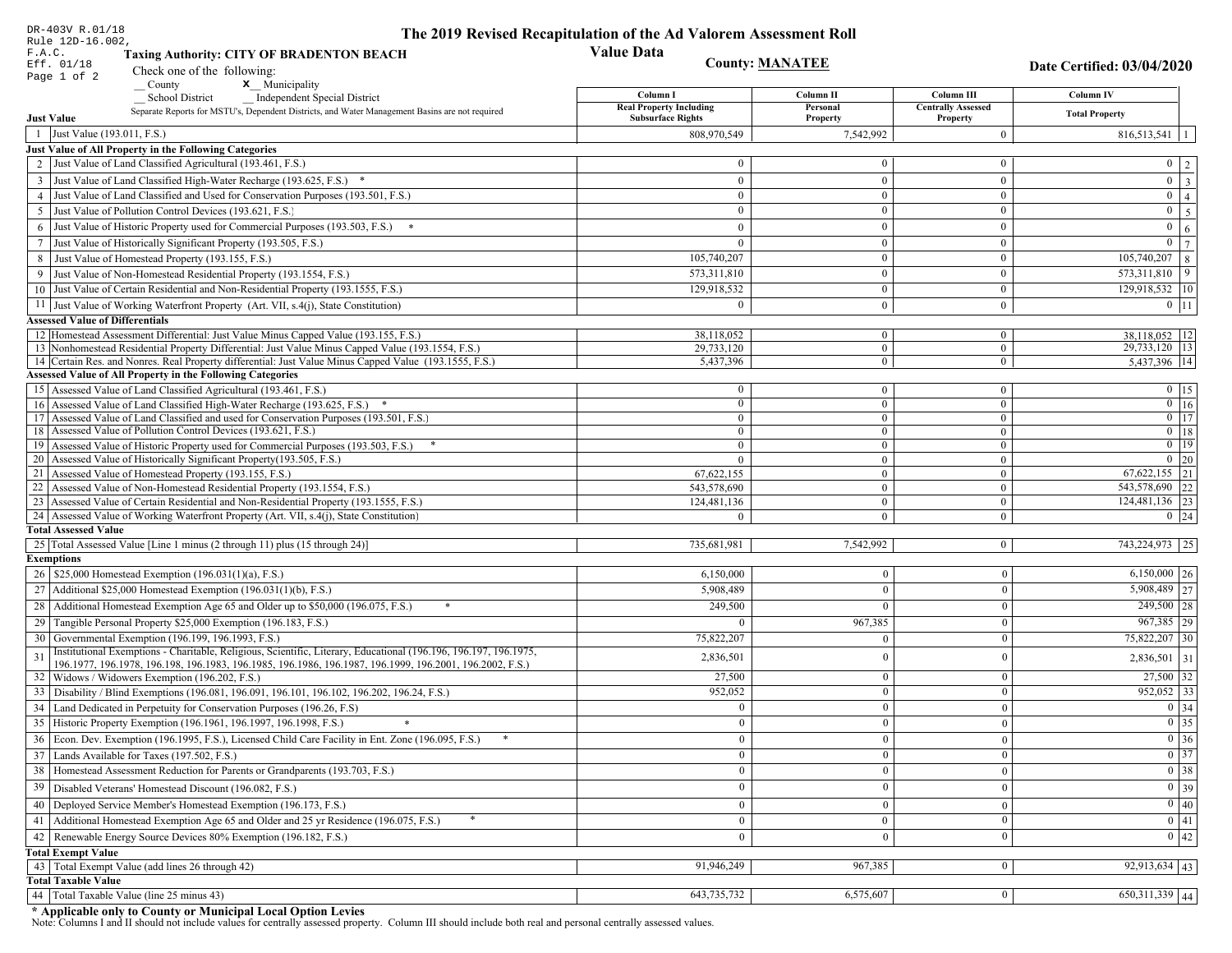| DR-403V R.01/18                        |                                                                                                                                                                             | The 2019 Revised Recapitulation of the Ad Valorem Assessment Roll |                            |                           |                                                                       |
|----------------------------------------|-----------------------------------------------------------------------------------------------------------------------------------------------------------------------------|-------------------------------------------------------------------|----------------------------|---------------------------|-----------------------------------------------------------------------|
| Rule 12D-16.002,<br>F.A.C.             | <b>Taxing Authority: CITY OF BRADENTON BEACH</b>                                                                                                                            | <b>Value Data</b>                                                 |                            |                           |                                                                       |
| Eff. 01/18                             | Check one of the following:                                                                                                                                                 |                                                                   | <b>County: MANATEE</b>     |                           | Date Certified: 03/04/2020                                            |
| Page 1 of 2                            | x Municipality<br>County                                                                                                                                                    |                                                                   |                            |                           |                                                                       |
|                                        | <b>School District</b><br><b>Independent Special District</b>                                                                                                               | Column I                                                          | Column II                  | Column III                | Column IV                                                             |
|                                        | Separate Reports for MSTU's, Dependent Districts, and Water Management Basins are not required                                                                              | <b>Real Property Including</b><br><b>Subsurface Rights</b>        | Personal                   | <b>Centrally Assessed</b> | <b>Total Property</b>                                                 |
| <b>Just Value</b>                      |                                                                                                                                                                             |                                                                   | Property                   | Property                  |                                                                       |
| 1 Just Value (193.011, F.S.)           |                                                                                                                                                                             | 808,970,549                                                       | 7,542,992                  | $\overline{0}$            | $816,513,541$   1                                                     |
|                                        | Just Value of All Property in the Following Categories<br>2 Just Value of Land Classified Agricultural (193.461, F.S.)                                                      | $\mathbf{0}$                                                      | $\Omega$                   | $\overline{0}$            |                                                                       |
|                                        |                                                                                                                                                                             |                                                                   |                            |                           | $0 \mid 2 \mid$                                                       |
|                                        | 3 Just Value of Land Classified High-Water Recharge (193.625, F.S.) *                                                                                                       | $\mathbf{0}$                                                      | $\mathbf{0}$               | $\overline{0}$            | $\boxed{0}$ $\boxed{3}$                                               |
|                                        | 4 Just Value of Land Classified and Used for Conservation Purposes (193.501, F.S.)                                                                                          | $\bf{0}$                                                          | $\mathbf{0}$<br>$\Omega$   | $\overline{0}$            | $\overline{0}$   4                                                    |
|                                        | 5 Just Value of Pollution Control Devices (193.621, F.S.)                                                                                                                   | $\mathbf{0}$                                                      |                            | $\mathbf{0}$              | $0 \mid 5 \mid$                                                       |
|                                        | 6 Just Value of Historic Property used for Commercial Purposes (193.503, F.S.)                                                                                              | $\mathbf{0}$                                                      | $\mathbf{0}$               | $\mathbf{0}$              | $0 \mid 6 \mid$                                                       |
|                                        | 7 Just Value of Historically Significant Property (193.505, F.S.)                                                                                                           | $\overline{0}$                                                    | $\mathbf{0}$               | $\mathbf{0}$              | $\overline{0}$<br>$\overline{7}$                                      |
|                                        | 8 Just Value of Homestead Property (193.155, F.S.)                                                                                                                          | 105,740,207                                                       | $\Omega$                   | $\mathbf{0}$              | $105,740,207$ 8                                                       |
|                                        | 9 Just Value of Non-Homestead Residential Property (193.1554, F.S.)                                                                                                         | 573,311,810                                                       | $\mathbf{0}$               | $\overline{0}$            | $573,311,810$ 9                                                       |
|                                        | 10 Just Value of Certain Residential and Non-Residential Property (193.1555, F.S.)                                                                                          | 129,918,532                                                       | $\mathbf{0}$               | $\overline{0}$            | 129,918,532 10                                                        |
|                                        | 11 Just Value of Working Waterfront Property (Art. VII, s.4(j), State Constitution)                                                                                         | $\theta$                                                          | $\mathbf{0}$               | $\overline{0}$            | $0 \mid 11 \mid$                                                      |
| <b>Assessed Value of Differentials</b> |                                                                                                                                                                             |                                                                   |                            |                           |                                                                       |
|                                        | 12 Homestead Assessment Differential: Just Value Minus Capped Value (193.155, F.S.)                                                                                         | 38,118,052                                                        | $\overline{0}$             | $\overline{0}$            | $38,118,052$   12                                                     |
|                                        | 13 Nonhomestead Residential Property Differential: Just Value Minus Capped Value (193.1554, F.S.)                                                                           | 29,733,120                                                        | $\overline{0}$             | $\overline{0}$            | 29,733,120 13                                                         |
|                                        | 14 Certain Res. and Nonres. Real Property differential: Just Value Minus Capped Value (193.1555, F.S.)<br><b>Assessed Value of All Property in the Following Categories</b> | 5.437.396                                                         | $\mathbf{0}$               | $\overline{0}$            | 5,437,396 14                                                          |
|                                        | 15 Assessed Value of Land Classified Agricultural (193.461, F.S.)                                                                                                           | $\bf{0}$                                                          | $\overline{0}$             | $\overline{0}$            | $0 \t15$                                                              |
|                                        | 16 Assessed Value of Land Classified High-Water Recharge (193.625, F.S.) *                                                                                                  | $\mathbf{0}$                                                      | $\overline{0}$             | $\overline{0}$            | $0 \mid 16$                                                           |
|                                        | 17 Assessed Value of Land Classified and used for Conservation Purposes (193.501, F.S.)                                                                                     | $\mathbf{0}$                                                      | $\overline{0}$             | $\overline{0}$            | $0$ 17                                                                |
|                                        | 18 Assessed Value of Pollution Control Devices (193.621, F.S.)                                                                                                              | $\ddot{\mathbf{0}}$                                               | $\mathbf{0}$               | $\overline{0}$            | $0$ 18                                                                |
|                                        | 19 Assessed Value of Historic Property used for Commercial Purposes (193.503, F.S.)                                                                                         | $\mathbf{0}$                                                      | $\mathbf{0}$               | $\mathbf{0}$              | $0$ 19                                                                |
|                                        | 20 Assessed Value of Historically Significant Property (193.505, F.S.)                                                                                                      | $\overline{0}$                                                    | $\theta$                   | $\overline{0}$            | $0 \quad 20$                                                          |
|                                        | 21 Assessed Value of Homestead Property (193.155, F.S.)                                                                                                                     | 67,622,155                                                        | $\mathbf{0}$               | $\overline{0}$            | 67, 622, 155 21                                                       |
|                                        | 22 Assessed Value of Non-Homestead Residential Property (193.1554, F.S.)                                                                                                    | 543,578,690                                                       | $\mathbf{0}$               | $\overline{0}$            | 543,578,690 22                                                        |
|                                        | 23 Assessed Value of Certain Residential and Non-Residential Property (193.1555, F.S.)                                                                                      | 124,481,136                                                       | $\overline{0}$             | $\overline{0}$            | 124,481,136 23                                                        |
|                                        | 24 Assessed Value of Working Waterfront Property (Art. VII, s.4(j), State Constitution)                                                                                     | $\Omega$                                                          | $\Omega$                   | $\overline{0}$            | $0 \quad 24$                                                          |
| <b>Total Assessed Value</b>            |                                                                                                                                                                             |                                                                   |                            |                           |                                                                       |
|                                        | 25 Total Assessed Value [Line 1 minus (2 through 11) plus (15 through 24)]                                                                                                  | 735,681,981                                                       | 7,542,992                  | $\vert 0 \vert$           | 743,224,973 25                                                        |
| <b>Exemptions</b>                      |                                                                                                                                                                             |                                                                   |                            |                           |                                                                       |
|                                        | 26   \$25,000 Homestead Exemption (196.031(1)(a), F.S.)                                                                                                                     | 6,150,000                                                         | $\overline{0}$             | $\boldsymbol{0}$          | $6,150,000$ 26                                                        |
|                                        | 27   Additional \$25,000 Homestead Exemption (196.031(1)(b), F.S.)                                                                                                          | 5,908,489                                                         | $\overline{0}$             | $\boldsymbol{0}$          | $5,908,489$ 27                                                        |
| 28                                     | Additional Homestead Exemption Age 65 and Older up to \$50,000 (196.075, F.S.)<br>*                                                                                         | 249,500                                                           | $\overline{0}$             | $\boldsymbol{0}$          | $249,500$ 28                                                          |
|                                        | 29 Tangible Personal Property \$25,000 Exemption (196.183, F.S.)                                                                                                            | $\Omega$                                                          | 967,385                    | $\boldsymbol{0}$          | 967,385 29                                                            |
|                                        | 30 Governmental Exemption (196.199, 196.1993, F.S.)                                                                                                                         | 75,822,207                                                        | $\overline{0}$             | $\boldsymbol{0}$          | 75,822,207 30                                                         |
| 31                                     | Institutional Exemptions - Charitable, Religious, Scientific, Literary, Educational (196.196, 196.197, 196.1975,                                                            | 2,836,501                                                         | $\overline{0}$             | $\boldsymbol{0}$          | $2,836,501$ 31                                                        |
|                                        | 196.1977, 196.1978, 196.198, 196.1983, 196.1985, 196.1986, 196.1987, 196.1999, 196.2001, 196.2002, F.S.)                                                                    |                                                                   |                            |                           |                                                                       |
|                                        | 32   Widows / Widowers Exemption (196.202, F.S.)                                                                                                                            | 27,500                                                            | $\overline{0}$<br>$\Omega$ | $\boldsymbol{0}$          | $27,500$ 32                                                           |
| 33                                     | Disability / Blind Exemptions (196.081, 196.091, 196.101, 196.102, 196.202, 196.24, F.S.)                                                                                   | 952,052                                                           |                            | $\mathbf{0}$              | $952,052$ 33                                                          |
|                                        | 34 Land Dedicated in Perpetuity for Conservation Purposes (196.26, F.S)                                                                                                     | $\mathbf{0}$                                                      | $\mathbf{0}$               | $\bf{0}$                  | 0 34                                                                  |
|                                        | 35 Historic Property Exemption (196.1961, 196.1997, 196.1998, F.S.)                                                                                                         | $\mathbf{0}$                                                      | $\mathbf{0}$               | $\mathbf{0}$              | $\begin{array}{ c c }\n\hline\n0 & 35 \\ \hline\n0 & 36\n\end{array}$ |
|                                        | 36 Econ. Dev. Exemption (196.1995, F.S.), Licensed Child Care Facility in Ent. Zone (196.095, F.S.)                                                                         | $\mathbf{0}$                                                      | $\overline{0}$             | $\mathbf{0}$              |                                                                       |
|                                        | 37 Lands Available for Taxes (197.502, F.S.)                                                                                                                                | $\mathbf{0}$                                                      | $\bf{0}$                   | $\bf{0}$                  | $0 \overline{\smash)37}$                                              |
|                                        | 38   Homestead Assessment Reduction for Parents or Grandparents (193.703, F.S.)                                                                                             | $\mathbf{0}$                                                      | $\overline{0}$             | $\bf{0}$                  | $\boxed{0}$ 38                                                        |
|                                        | 39   Disabled Veterans' Homestead Discount (196.082, F.S.)                                                                                                                  | $\overline{0}$                                                    | $\overline{0}$             | $\bf{0}$                  | 0 39                                                                  |
|                                        | 40   Deployed Service Member's Homestead Exemption (196.173, F.S.)                                                                                                          | $\mathbf{0}$                                                      | $\mathbf{0}$               | $\boldsymbol{0}$          | $\boxed{0}$ 40                                                        |
| 41                                     | Additional Homestead Exemption Age 65 and Older and 25 yr Residence (196.075, F.S.)                                                                                         | $\mathbf{0}$                                                      | $\overline{0}$             | $\boldsymbol{0}$          | $\overline{0}$ 41                                                     |
| 42                                     | Renewable Energy Source Devices 80% Exemption (196.182, F.S.)                                                                                                               | $\overline{0}$                                                    | $\theta$                   | $\bf{0}$                  | $0 \mid 42$                                                           |
| <b>Total Exempt Value</b>              |                                                                                                                                                                             |                                                                   |                            |                           |                                                                       |
|                                        | 43 Total Exempt Value (add lines 26 through 42)                                                                                                                             | 91,946,249                                                        | 967,385                    | $\overline{0}$            | $92,913,634$ 43                                                       |
| <b>Total Taxable Value</b>             |                                                                                                                                                                             |                                                                   |                            |                           |                                                                       |
|                                        | 44 Total Taxable Value (line 25 minus 43)                                                                                                                                   | 643,735,732                                                       | 6,575,607                  | $\bf{0}$                  | $\overline{650,311,339}$ 44                                           |

DR-403V R.01/18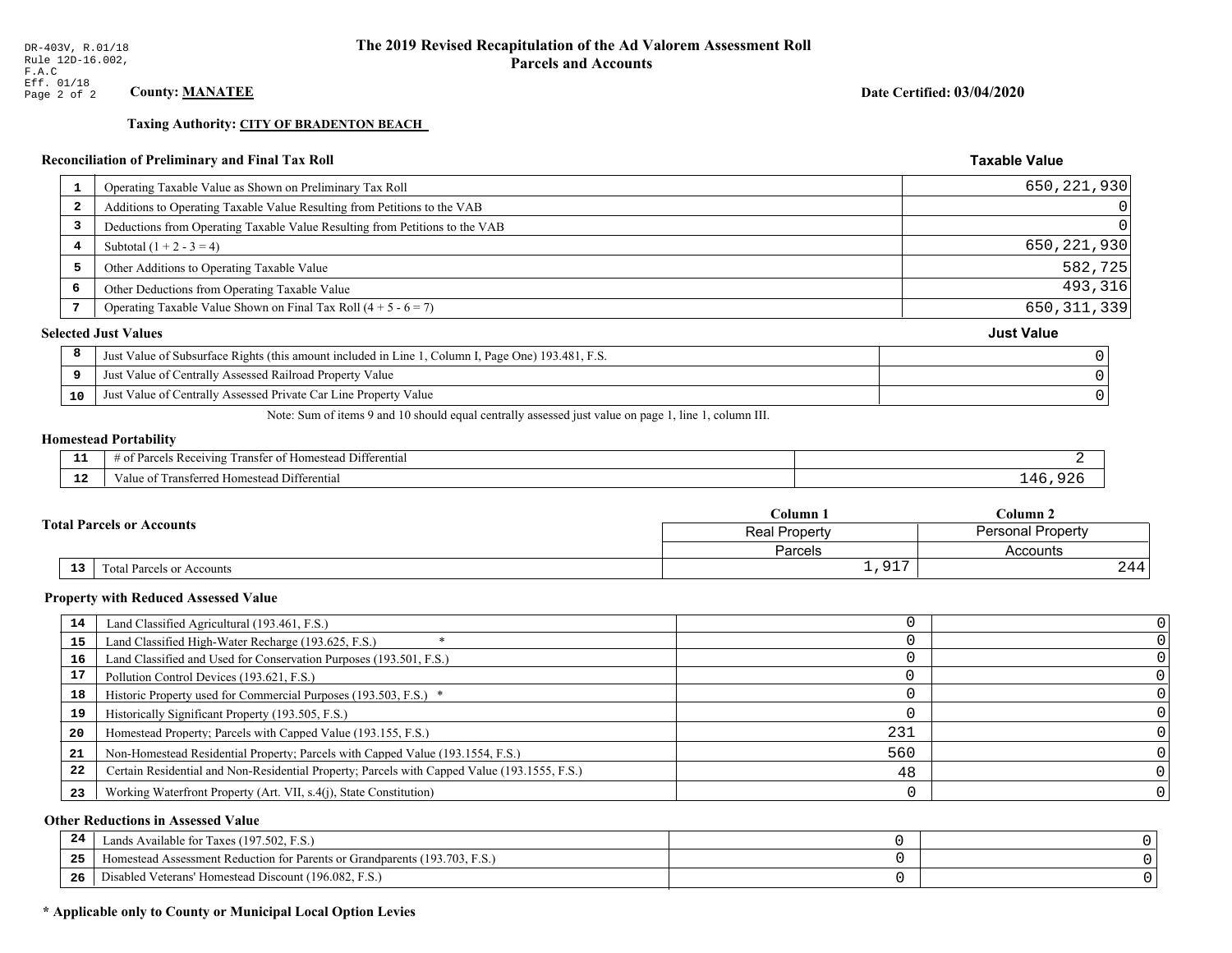**Taxing Authority: CITY OF BRADENTON BEACH** 

## Reconciliation of Preliminary and Final Tax Roll

| -1                      | Operating Taxable Value as Shown on Preliminary Tax Roll                                           | 650, 221, 930     |
|-------------------------|----------------------------------------------------------------------------------------------------|-------------------|
| $\overline{\mathbf{2}}$ | Additions to Operating Taxable Value Resulting from Petitions to the VAB                           | 0                 |
| 3                       | Deductions from Operating Taxable Value Resulting from Petitions to the VAB                        | $\Omega$          |
| 4                       | Subtotal $(1 + 2 - 3 = 4)$                                                                         | 650, 221, 930     |
| 5                       | Other Additions to Operating Taxable Value                                                         | 582,725           |
| 6                       | Other Deductions from Operating Taxable Value                                                      | 493,316           |
|                         | Operating Taxable Value Shown on Final Tax Roll $(4 + 5 - 6 = 7)$                                  | 650, 311, 339     |
|                         | <b>Selected Just Values</b>                                                                        | <b>Just Value</b> |
| 8                       | Just Value of Subsurface Rights (this amount included in Line 1, Column I, Page One) 193.481, F.S. |                   |
| 9                       | Just Value of Centrally Assessed Railroad Property Value                                           |                   |
| 10                      | Just Value of Centrally Assessed Private Car Line Property Value                                   |                   |
|                         |                                                                                                    |                   |

Note: Sum of items 9 and 10 should equal centrally assessed just value on page 1, line 1, column III.

#### **Homestead Portability**

| - -<br>---  | --<br>l Differential<br>ranster<br>Receiving<br>- Homestead<br>$\sim$<br>'arc<br>.<br>вc |        |
|-------------|------------------------------------------------------------------------------------------|--------|
| $\sim$<br>. | i Differential<br>alue<br><b>Homestead</b><br>™ansterreu -<br>тан.                       | - 71 - |

| <b>Fotal Parcels or Accounts</b> |                           | C <b>olumn</b> 1   | Column 2                 |  |
|----------------------------------|---------------------------|--------------------|--------------------------|--|
|                                  |                           | Real Property      | <b>Personal Property</b> |  |
|                                  |                           | <b>Parcels</b>     | Accounts                 |  |
| 13 <sub>1</sub>                  | Total Parcels or Accounts | 017<br><b>エノンエ</b> | 244                      |  |

#### **Property with Reduced Assessed Value**

| 14 | Land Classified Agricultural (193.461, F.S.)                                                 |     |  |
|----|----------------------------------------------------------------------------------------------|-----|--|
| 15 | Land Classified High-Water Recharge (193.625, F.S.)                                          |     |  |
| 16 | Land Classified and Used for Conservation Purposes (193.501, F.S.)                           |     |  |
| 17 | Pollution Control Devices (193.621, F.S.)                                                    |     |  |
| 18 | Historic Property used for Commercial Purposes (193.503, F.S.) *                             |     |  |
| 19 | Historically Significant Property (193.505, F.S.)                                            |     |  |
| 20 | Homestead Property; Parcels with Capped Value (193.155, F.S.)                                | 231 |  |
| 21 | Non-Homestead Residential Property; Parcels with Capped Value (193.1554, F.S.)               | 560 |  |
| 22 | Certain Residential and Non-Residential Property; Parcels with Capped Value (193.1555, F.S.) | 48  |  |
| 23 | Working Waterfront Property (Art. VII, s.4(j), State Constitution)                           |     |  |

## **Other Reductions in Assessed Value**

| -44 | Available for Taxes (197.502, F.S.)                                          |  |
|-----|------------------------------------------------------------------------------|--|
| 25  | 'omestead Assessment Reduction for Parents or Grandparents $(193.703, F.S.)$ |  |
| 26  | isabled Veterans' Homestead Discount (196.082, F.S.)                         |  |

## \* Applicable only to County or Municipal Local Option Levies

Date Certified: 03/04/2020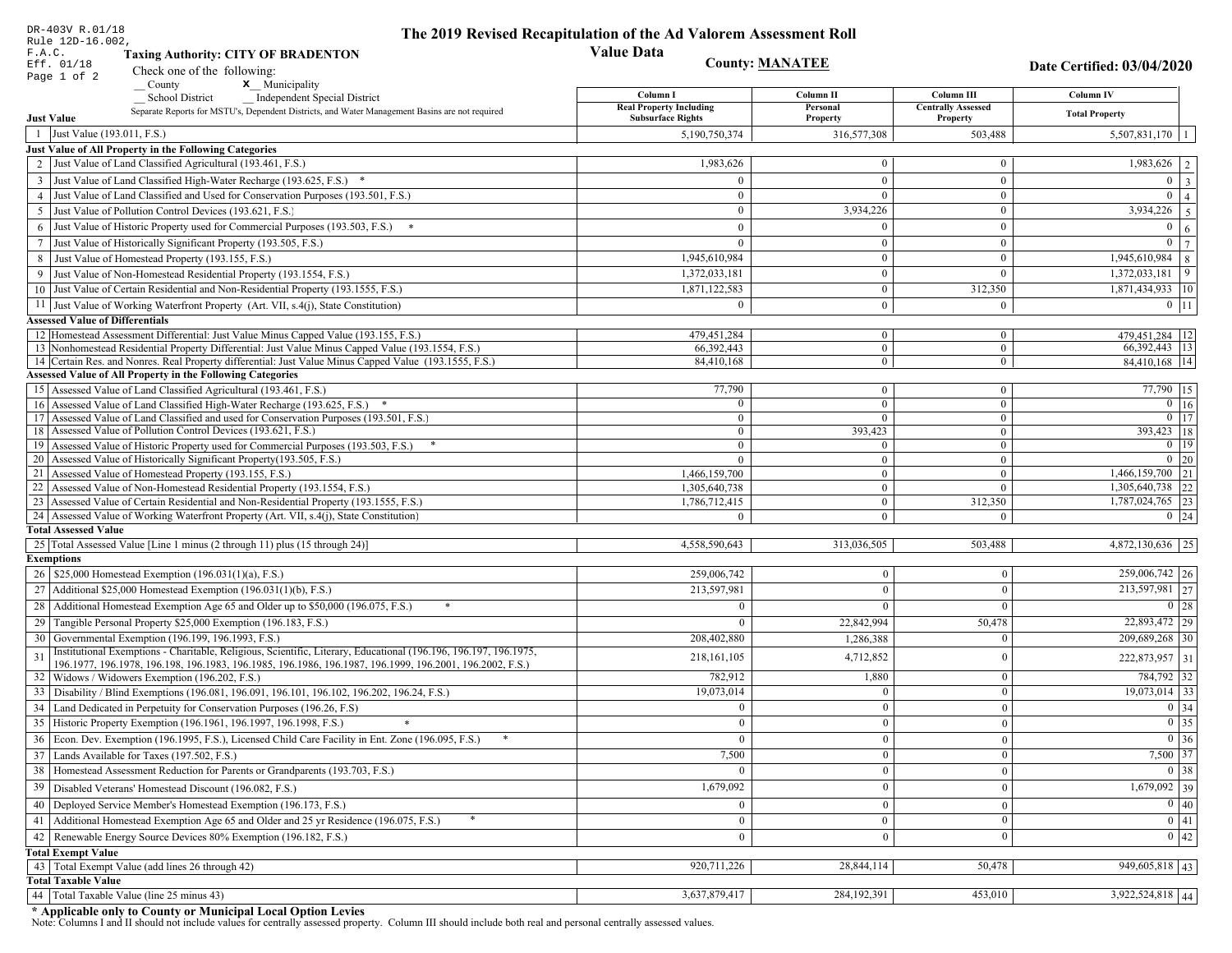|    | DR-403V R.01/18<br>Rule 12D-16.002,                                                                                                                                         | The 2019 Revised Recapitulation of the Ad Valorem Assessment Roll |                                  |                                       |                                           |
|----|-----------------------------------------------------------------------------------------------------------------------------------------------------------------------------|-------------------------------------------------------------------|----------------------------------|---------------------------------------|-------------------------------------------|
|    | F.A.C.<br><b>Taxing Authority: CITY OF BRADENTON</b>                                                                                                                        | <b>Value Data</b>                                                 |                                  |                                       |                                           |
|    | Eff. 01/18<br>Check one of the following:                                                                                                                                   | <b>County: MANATEE</b>                                            |                                  |                                       | Date Certified: 03/04/2020                |
|    | Page 1 of 2<br>x Municipality<br>County                                                                                                                                     |                                                                   |                                  |                                       |                                           |
|    | <b>School District</b><br><b>Independent Special District</b>                                                                                                               | Column I<br><b>Real Property Including</b>                        | Column <sub>II</sub>             | Column III                            | <b>Column IV</b>                          |
|    | Separate Reports for MSTU's, Dependent Districts, and Water Management Basins are not required<br><b>Just Value</b>                                                         | <b>Subsurface Rights</b>                                          | Personal<br>Property             | <b>Centrally Assessed</b><br>Property | <b>Total Property</b>                     |
|    | 1 Just Value (193.011, F.S.)                                                                                                                                                | 5,190,750,374                                                     | 316,577,308                      | 503,488                               | 5,507,831,170                             |
|    | Just Value of All Property in the Following Categories                                                                                                                      |                                                                   |                                  |                                       |                                           |
|    | 2 Just Value of Land Classified Agricultural (193.461, F.S.)                                                                                                                | 1,983,626                                                         | $\overline{0}$                   | $\bf{0}$                              | 1,983,626<br>2                            |
|    | 3 Just Value of Land Classified High-Water Recharge (193.625, F.S.) *                                                                                                       | $\theta$                                                          | $\theta$                         | $\overline{0}$                        | $\overline{0}$<br>$\overline{\mathbf{3}}$ |
|    | 4 Just Value of Land Classified and Used for Conservation Purposes (193.501, F.S.)                                                                                          | $\Omega$                                                          | $\Omega$                         | $\bf{0}$                              | $\overline{0}$<br>$\overline{4}$          |
|    | 5 Just Value of Pollution Control Devices (193.621, F.S.)                                                                                                                   | $\overline{0}$                                                    | 3,934,226                        | $\bf{0}$                              | 3,934,226<br>5                            |
| 6  | Just Value of Historic Property used for Commercial Purposes (193.503, F.S.)                                                                                                | $\Omega$                                                          | $\Omega$                         | $\mathbf{0}$                          | $\mathbf{0}$<br>6                         |
| 7  | Just Value of Historically Significant Property (193.505, F.S.)                                                                                                             | $\overline{0}$                                                    | $\mathbf{0}$                     | $\overline{0}$                        | $\mathbf{0}$<br>$\overline{7}$            |
|    | 8 Just Value of Homestead Property (193.155, F.S.)                                                                                                                          | 1,945,610,984                                                     | $\mathbf{0}$                     | $\bf{0}$                              | 1,945,610,984<br>8                        |
|    | Just Value of Non-Homestead Residential Property (193.1554, F.S.)                                                                                                           | 1,372,033,181                                                     | $\overline{0}$                   | $\Omega$                              | 1,372,033,181<br>9                        |
|    | 10 Just Value of Certain Residential and Non-Residential Property (193.1555, F.S.)                                                                                          | 1,871,122,583                                                     | $\overline{0}$                   | 312,350                               | 1,871,434,933 10                          |
|    | 11 Just Value of Working Waterfront Property (Art. VII, s.4(j), State Constitution)                                                                                         | $\Omega$                                                          | $\overline{0}$                   | $\mathbf{0}$                          | $0$ 11                                    |
|    | <b>Assessed Value of Differentials</b>                                                                                                                                      |                                                                   |                                  |                                       |                                           |
|    | 12 Homestead Assessment Differential: Just Value Minus Capped Value (193.155, F.S.)                                                                                         | 479, 451, 284                                                     | $\overline{0}$                   | $\bf{0}$                              | 479,451,284 12                            |
|    | 13 Nonhomestead Residential Property Differential: Just Value Minus Capped Value (193.1554, F.S.)                                                                           | 66.392.443                                                        | $\overline{0}$                   | $\overline{0}$                        | 66, 392, 443   13                         |
|    | 14 Certain Res. and Nonres. Real Property differential: Just Value Minus Capped Value (193.1555, F.S.)<br><b>Assessed Value of All Property in the Following Categories</b> | 84,410,168                                                        | $\overline{0}$                   | $\mathbf{0}$                          | 84,410,168 14                             |
|    | 15 Assessed Value of Land Classified Agricultural (193.461, F.S.)                                                                                                           | 77,790                                                            | $\overline{0}$                   | $\bf{0}$                              | $77,790$ 15                               |
|    | 16 Assessed Value of Land Classified High-Water Recharge (193.625, F.S.) *                                                                                                  | $\overline{0}$                                                    | $\theta$                         | $\overline{0}$                        | $\boxed{0}$ 16                            |
|    | 17 Assessed Value of Land Classified and used for Conservation Purposes (193.501, F.S.)                                                                                     | $\overline{0}$                                                    | $\overline{0}$                   | $\bf{0}$                              | $0$ 17                                    |
|    | 18 Assessed Value of Pollution Control Devices (193.621, F.S.)                                                                                                              | $\mathbf{0}$                                                      | 393,423                          | $\overline{0}$                        | 393,423 18                                |
|    | 19 Assessed Value of Historic Property used for Commercial Purposes (193.503, F.S.)                                                                                         | $\bf{0}$                                                          | $\overline{0}$                   | $\bf{0}$                              | $0$   19                                  |
|    | 20 Assessed Value of Historically Significant Property (193.505, F.S.)                                                                                                      | $\theta$                                                          | $\mathbf{0}$                     | $\mathbf{0}$                          | $0\quad20$                                |
|    | 21 Assessed Value of Homestead Property (193.155, F.S.)                                                                                                                     | 1,466,159,700                                                     | $\overline{0}$                   | $\mathbf{0}$                          | $1,466,159,700$ 21                        |
|    | 22 Assessed Value of Non-Homestead Residential Property (193.1554, F.S.)<br>23 Assessed Value of Certain Residential and Non-Residential Property (193.1555, F.S.)          | 1,305,640,738                                                     | $\overline{0}$<br>$\overline{0}$ | $\overline{0}$<br>312,350             | 22<br>1,305,640,738<br>1,787,024,765 23   |
|    | 24 Assessed Value of Working Waterfront Property (Art. VII, s.4(j), State Constitution)                                                                                     | 1,786,712,415<br>$\Omega$                                         | $\theta$                         | $\Omega$                              | $0$ 24                                    |
|    | <b>Total Assessed Value</b>                                                                                                                                                 |                                                                   |                                  |                                       |                                           |
|    | 25 Total Assessed Value [Line 1 minus (2 through 11) plus (15 through 24)]                                                                                                  | 4,558,590,643                                                     | 313,036,505                      | 503,488                               | 4,872,130,636 25                          |
|    | <b>Exemptions</b>                                                                                                                                                           |                                                                   |                                  |                                       |                                           |
|    | 26   \$25,000 Homestead Exemption (196.031(1)(a), F.S.)                                                                                                                     | 259,006,742                                                       | $\mathbf{0}$                     | $\mathbf{0}$                          | 259,006,742 26                            |
|    | 27   Additional \$25,000 Homestead Exemption $(196.031(1)(b), F.S.)$                                                                                                        | 213,597,981                                                       | $\Omega$                         | $\Omega$                              | 213,597,981 27                            |
|    | 28 Additional Homestead Exemption Age 65 and Older up to \$50,000 (196.075, F.S.)                                                                                           | $\Omega$                                                          | $\Omega$                         | $\Omega$                              | 0 28                                      |
|    | 29 Tangible Personal Property \$25,000 Exemption (196.183, F.S.)                                                                                                            | $\Omega$                                                          | 22,842,994                       | 50,478                                | 22,893,472 29                             |
|    | 30 Governmental Exemption (196.199, 196.1993, F.S.)                                                                                                                         | 208,402,880                                                       | 1,286,388                        |                                       | 209,689,268 30                            |
| 31 | Institutional Exemptions - Charitable, Religious, Scientific, Literary, Educational (196.196, 196.197, 196.1975,                                                            | 218, 161, 105                                                     | 4,712,852                        | 0                                     | 222,873,957 31                            |
|    | 196.1977, 196.1978, 196.198, 196.1983, 196.1985, 196.1986, 196.1987, 196.1999, 196.2001, 196.2002, F.S.)                                                                    | 782,912                                                           | 1,880                            | $\mathbf{0}$                          |                                           |
| 33 | 32   Widows / Widowers Exemption (196.202, F.S.)<br>Disability / Blind Exemptions (196.081, 196.091, 196.101, 196.102, 196.202, 196.24, F.S.)                               | 19,073,014                                                        | $\Omega$                         | $\Omega$                              | 784,792 32<br>$19,073,014$ 33             |
|    | 34 Land Dedicated in Perpetuity for Conservation Purposes (196.26, F.S)                                                                                                     | $\Omega$                                                          | $\Omega$                         | $\theta$                              | $\boxed{0}$ 34                            |
|    | 35 Historic Property Exemption (196.1961, 196.1997, 196.1998, F.S.)                                                                                                         |                                                                   |                                  |                                       | $\boxed{0}$ 35                            |
|    | 36 Econ. Dev. Exemption (196.1995, F.S.), Licensed Child Care Facility in Ent. Zone (196.095, F.S.)                                                                         | $\mathbf{U}$<br>$\Omega$                                          | $\mathbf{0}$<br>$\Omega$         | $\mathbf{0}$<br>$\theta$              | $\overline{0}$ 36                         |
|    | 37 Lands Available for Taxes (197.502, F.S.)                                                                                                                                | 7,500                                                             | $\theta$                         | $\theta$                              | 7,500 37                                  |
|    | 38   Homestead Assessment Reduction for Parents or Grandparents (193.703, F.S.)                                                                                             |                                                                   |                                  |                                       | $\boxed{0}$ 38                            |
|    |                                                                                                                                                                             | $\overline{0}$                                                    | $\bf{0}$                         | $\mathbf{0}$                          | $1,679,092$ 39                            |
| 39 | Disabled Veterans' Homestead Discount (196.082, F.S.)                                                                                                                       | 1,679,092                                                         |                                  | $\boldsymbol{0}$                      |                                           |
|    | 40   Deployed Service Member's Homestead Exemption (196.173, F.S.)                                                                                                          | $\overline{0}$                                                    | $\Omega$                         | $\theta$                              | $\overline{0}$ 40                         |
|    | 41 Additional Homestead Exemption Age 65 and Older and 25 yr Residence (196.075, F.S.)                                                                                      | $\overline{0}$                                                    | $\boldsymbol{0}$                 | $\mathbf{0}$                          | $\overline{0}$ 41                         |
| 42 | Renewable Energy Source Devices 80% Exemption (196.182, F.S.)                                                                                                               | $\overline{0}$                                                    | $\bf{0}$                         | $\boldsymbol{0}$                      | $\overline{0}$ 42                         |
|    | <b>Total Exempt Value</b><br>43 Total Exempt Value (add lines 26 through 42)                                                                                                | 920,711,226                                                       | 28,844,114                       | 50,478                                | 949,605,818 43                            |
|    | <b>Total Taxable Value</b>                                                                                                                                                  |                                                                   |                                  |                                       |                                           |
| 44 | Total Taxable Value (line 25 minus 43)                                                                                                                                      | 3,637,879,417                                                     | 284, 192, 391                    | 453,010                               | $3,922,524,818$ 44                        |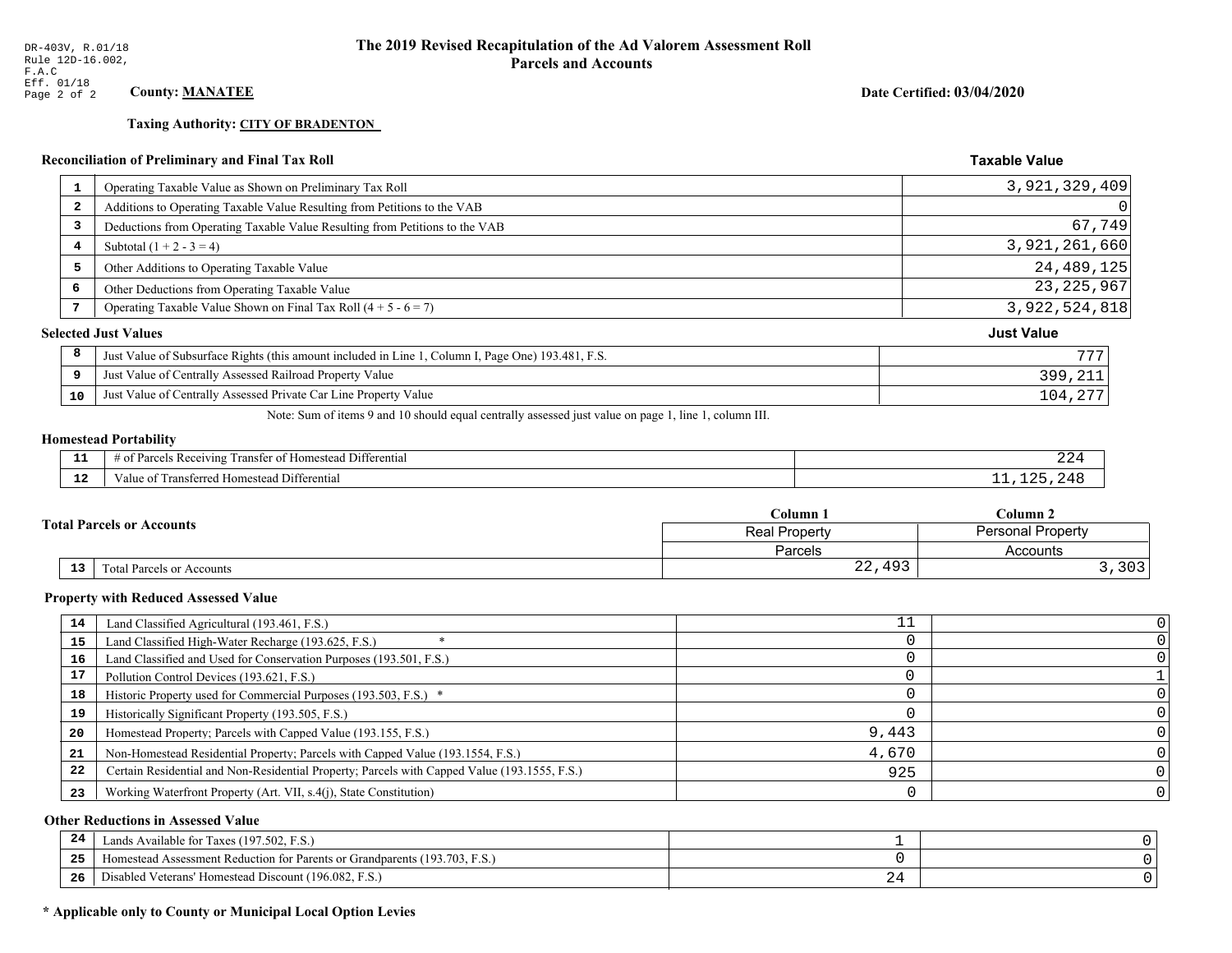**Taxing Authority: CITY OF BRADENTON** 

## Reconciliation of Preliminary and Final Tax Roll

|    | Operating Taxable Value as Shown on Preliminary Tax Roll                                           | 3,921,329,409     |
|----|----------------------------------------------------------------------------------------------------|-------------------|
| 2  | Additions to Operating Taxable Value Resulting from Petitions to the VAB                           | 0                 |
| 3  | Deductions from Operating Taxable Value Resulting from Petitions to the VAB                        | 67,749            |
| 4  | Subtotal $(1 + 2 - 3 = 4)$                                                                         | 3,921,261,660     |
| 5  | Other Additions to Operating Taxable Value                                                         | 24, 489, 125      |
| 6  | Other Deductions from Operating Taxable Value                                                      | 23, 225, 967      |
| 7  | Operating Taxable Value Shown on Final Tax Roll $(4 + 5 - 6 = 7)$                                  | 3,922,524,818     |
|    | <b>Selected Just Values</b>                                                                        | <b>Just Value</b> |
| 8  | Just Value of Subsurface Rights (this amount included in Line 1, Column I, Page One) 193.481, F.S. | 777               |
| 9  | Just Value of Centrally Assessed Railroad Property Value                                           | 399,211           |
| 10 | Just Value of Centrally Assessed Private Car Line Property Value                                   | 104,277           |

Note: Sum of items 9 and 10 should equal centrally assessed just value on page 1, line 1, column III.

## **Homestead Portability**

| - 3<br>---    | $\sim$ $\sim$<br>. Differential<br>ranster o <sup>+</sup><br>. Receiving<br>'omesteao<br>Parcels .<br>' 01<br>nu.<br>. | 22 T |
|---------------|------------------------------------------------------------------------------------------------------------------------|------|
| $\sim$<br>--- | Differentia<br>rans.<br>Homestead<br>terred F<br>alue<br>---------                                                     |      |

| <b>Total Parcels or Accounts</b> |    |                                  | Column 1             | Column 2                 |  |
|----------------------------------|----|----------------------------------|----------------------|--------------------------|--|
|                                  |    |                                  | <b>Real Property</b> | <b>Personal Property</b> |  |
|                                  |    |                                  | Parcels              | Accounts                 |  |
|                                  | 13 | <b>Fotal Parcels or Accounts</b> | 22,493               | つへつ<br>د ں د             |  |

#### **Property with Reduced Assessed Value**

| 14 | Land Classified Agricultural (193.461, F.S.)                                                 |       |  |
|----|----------------------------------------------------------------------------------------------|-------|--|
| 15 | Land Classified High-Water Recharge (193.625, F.S.)                                          |       |  |
| 16 | Land Classified and Used for Conservation Purposes (193.501, F.S.)                           |       |  |
|    | Pollution Control Devices (193.621, F.S.)                                                    |       |  |
| 18 | Historic Property used for Commercial Purposes (193.503, F.S.) *                             |       |  |
| 19 | Historically Significant Property (193.505, F.S.)                                            |       |  |
| 20 | Homestead Property; Parcels with Capped Value (193.155, F.S.)                                | 9,443 |  |
| 21 | Non-Homestead Residential Property; Parcels with Capped Value (193.1554, F.S.)               | 4,670 |  |
| 22 | Certain Residential and Non-Residential Property; Parcels with Capped Value (193.1555, F.S.) | 925   |  |
| 23 | Working Waterfront Property (Art. VII, s.4(j), State Constitution)                           |       |  |

## **Other Reductions in Assessed Value**

| 24    | Lands Available for Taxes (197.502, F.S.)                                  |     |  |
|-------|----------------------------------------------------------------------------|-----|--|
| - - - | Iomestead Assessment Reduction for Parents or Grandparents (193.703, F.S.) |     |  |
| -26   | l Veterans' Homestead Discount (196.082, F.S.)<br>Disabled                 | . . |  |

## \* Applicable only to County or Municipal Local Option Levies

Date Certified: 03/04/2020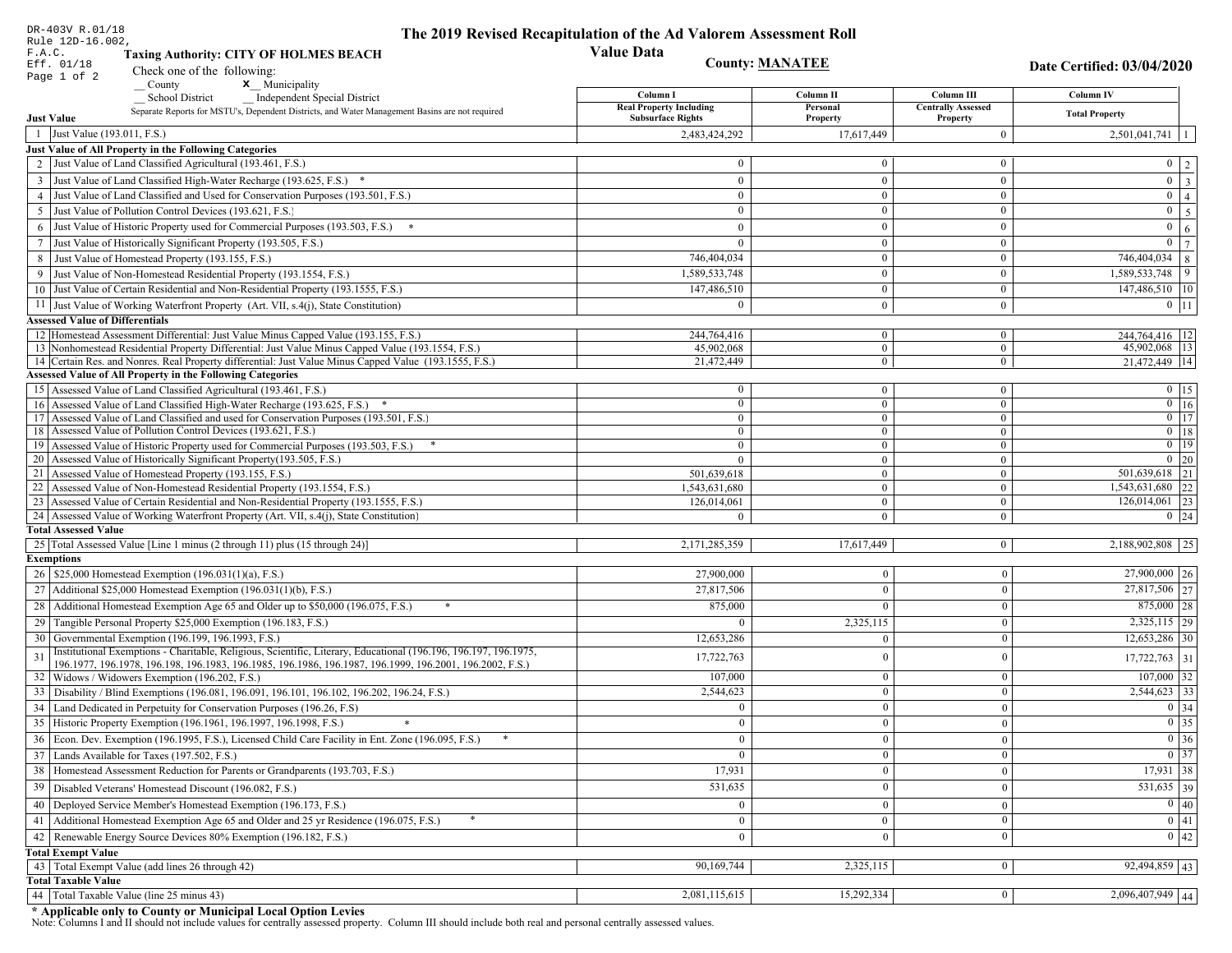| DR-403V R.01/18                        |                                                                                                                                                                                   | The 2019 Revised Recapitulation of the Ad Valorem Assessment Roll |                            |                                       |                                                                       |
|----------------------------------------|-----------------------------------------------------------------------------------------------------------------------------------------------------------------------------------|-------------------------------------------------------------------|----------------------------|---------------------------------------|-----------------------------------------------------------------------|
| Rule 12D-16.002,<br>F.A.C.             | <b>Taxing Authority: CITY OF HOLMES BEACH</b>                                                                                                                                     | <b>Value Data</b>                                                 |                            |                                       |                                                                       |
| Eff. 01/18                             | Check one of the following:                                                                                                                                                       | <b>County: MANATEE</b>                                            |                            |                                       | Date Certified: 03/04/2020                                            |
| Page 1 of 2                            | <b>x</b> Municipality<br>County                                                                                                                                                   |                                                                   |                            |                                       |                                                                       |
|                                        | <b>School District</b><br><b>Independent Special District</b>                                                                                                                     | Column I                                                          | Column II                  | Column III                            | Column IV                                                             |
| <b>Just Value</b>                      | Separate Reports for MSTU's, Dependent Districts, and Water Management Basins are not required                                                                                    | <b>Real Property Including</b><br><b>Subsurface Rights</b>        | Personal<br>Property       | <b>Centrally Assessed</b><br>Property | <b>Total Property</b>                                                 |
| 1 Just Value (193.011, F.S.)           |                                                                                                                                                                                   |                                                                   |                            | $\overline{0}$                        | $2,501,041,741$   1                                                   |
|                                        | Just Value of All Property in the Following Categories                                                                                                                            | 2,483,424,292                                                     | 17,617,449                 |                                       |                                                                       |
|                                        | 2 Just Value of Land Classified Agricultural (193.461, F.S.)                                                                                                                      | $\mathbf{0}$                                                      | $\Omega$                   | $\overline{0}$                        |                                                                       |
|                                        |                                                                                                                                                                                   | $\mathbf{0}$                                                      | $\theta$                   | $\overline{0}$                        | $0 \mid 2 \mid$<br>$\boxed{0}$ $\boxed{3}$                            |
|                                        | 3 Just Value of Land Classified High-Water Recharge (193.625, F.S.) *<br>4 Just Value of Land Classified and Used for Conservation Purposes (193.501, F.S.)                       | $\bf{0}$                                                          | $\mathbf{0}$               | $\overline{0}$                        | $\overline{0}$   4                                                    |
|                                        | 5 Just Value of Pollution Control Devices (193.621, F.S.)                                                                                                                         | $\mathbf{0}$                                                      | $\Omega$                   | $\mathbf{0}$                          | $0 \mid 5 \mid$                                                       |
|                                        | 6 Just Value of Historic Property used for Commercial Purposes (193.503, F.S.)                                                                                                    | $\mathbf{0}$                                                      | $\mathbf{0}$               | $\mathbf{0}$                          | $0 \mid 6 \mid$                                                       |
|                                        |                                                                                                                                                                                   | $\overline{0}$                                                    | $\mathbf{0}$               | $\mathbf{0}$                          | $\overline{0}$                                                        |
|                                        | 7 Just Value of Historically Significant Property (193.505, F.S.)                                                                                                                 | 746,404,034                                                       | $\Omega$                   | $\bf{0}$                              | $\overline{7}$<br>746,404,034 8                                       |
|                                        | 8 Just Value of Homestead Property (193.155, F.S.)<br>9 Just Value of Non-Homestead Residential Property (193.1554, F.S.)                                                         | 1,589,533,748                                                     | $\mathbf{0}$               | $\overline{0}$                        | $1,589,533,748$ 9                                                     |
|                                        | 10 Just Value of Certain Residential and Non-Residential Property (193.1555, F.S.)                                                                                                | 147,486,510                                                       | $\mathbf{0}$               | $\overline{0}$                        |                                                                       |
|                                        |                                                                                                                                                                                   | $\theta$                                                          |                            |                                       | $147,486,510$   10                                                    |
|                                        | 11 Just Value of Working Waterfront Property (Art. VII, s.4(j), State Constitution)                                                                                               |                                                                   | $\mathbf{0}$               | $\overline{0}$                        | $0$   11                                                              |
| <b>Assessed Value of Differentials</b> | 12 Homestead Assessment Differential: Just Value Minus Capped Value (193.155, F.S.)                                                                                               | 244,764,416                                                       | $\overline{0}$             | $\overline{0}$                        | 244,764,416   12                                                      |
|                                        | 13 Nonhomestead Residential Property Differential: Just Value Minus Capped Value (193.1554, F.S.)                                                                                 | 45,902,068                                                        | $\overline{0}$             | $\overline{0}$                        | 45,902,068 13                                                         |
|                                        | 14 Certain Res. and Nonres. Real Property differential: Just Value Minus Capped Value (193.1555, F.S.)                                                                            | 21,472,449                                                        | $\mathbf{0}$               | $\mathbf{0}$                          | 21,472,449 14                                                         |
|                                        | <b>Assessed Value of All Property in the Following Categories</b>                                                                                                                 |                                                                   |                            |                                       |                                                                       |
|                                        | 15 Assessed Value of Land Classified Agricultural (193.461, F.S.)                                                                                                                 | $\bf{0}$                                                          | $\overline{0}$             | $\overline{0}$                        | $0 \t15$                                                              |
|                                        | 16 Assessed Value of Land Classified High-Water Recharge (193.625, F.S.) *                                                                                                        | $\mathbf{0}$                                                      | $\overline{0}$             | $\overline{0}$                        | $\boxed{0}$ 16                                                        |
|                                        | 17 Assessed Value of Land Classified and used for Conservation Purposes (193.501, F.S.)                                                                                           | $\mathbf{0}$                                                      | $\overline{0}$             | $\overline{0}$                        | $0$ 17                                                                |
|                                        | 18 Assessed Value of Pollution Control Devices (193.621, F.S.)                                                                                                                    | $\ddot{\mathbf{0}}$                                               | $\overline{0}$             | $\overline{0}$                        | $0$ 18                                                                |
|                                        | 19 Assessed Value of Historic Property used for Commercial Purposes (193.503, F.S.)                                                                                               | $\mathbf{0}$                                                      | $\mathbf{0}$               | $\mathbf{0}$                          | $0$ 19                                                                |
|                                        | 20 Assessed Value of Historically Significant Property (193.505, F.S.)                                                                                                            | $\overline{0}$                                                    | $\theta$                   | $\overline{0}$                        | $0 \quad 20$                                                          |
|                                        | 21 Assessed Value of Homestead Property (193.155, F.S.)                                                                                                                           | 501,639,618                                                       | $\mathbf{0}$               | $\overline{0}$                        | 501,639,618 21                                                        |
|                                        | 22 Assessed Value of Non-Homestead Residential Property (193.1554, F.S.)                                                                                                          | 1,543,631,680                                                     | $\mathbf{0}$               | $\overline{0}$                        | $1,543,631,680$ 22<br>$126,014,061$ 23                                |
|                                        | 23 Assessed Value of Certain Residential and Non-Residential Property (193.1555, F.S.)<br>24 Assessed Value of Working Waterfront Property (Art. VII, s.4(j), State Constitution) | 126,014,061<br>$\Omega$                                           | $\overline{0}$<br>$\Omega$ | $\overline{0}$<br>$\overline{0}$      | $0 \quad 24$                                                          |
| <b>Total Assessed Value</b>            |                                                                                                                                                                                   |                                                                   |                            |                                       |                                                                       |
|                                        | 25 Total Assessed Value [Line 1 minus (2 through 11) plus (15 through 24)]                                                                                                        | 2,171,285,359                                                     | 17,617,449                 | $\vert 0 \vert$                       | 2,188,902,808 25                                                      |
| <b>Exemptions</b>                      |                                                                                                                                                                                   |                                                                   |                            |                                       |                                                                       |
|                                        | 26   \$25,000 Homestead Exemption (196.031(1)(a), F.S.)                                                                                                                           | 27,900,000                                                        | $\overline{0}$             | $\boldsymbol{0}$                      | $27,900,000$ 26                                                       |
|                                        | 27   Additional \$25,000 Homestead Exemption (196.031(1)(b), F.S.)                                                                                                                | 27,817,506                                                        | $\theta$                   | $\bf{0}$                              | $\overline{27,817,506}$ 27                                            |
| 28                                     | Additional Homestead Exemption Age 65 and Older up to \$50,000 (196.075, F.S.)<br>*                                                                                               | 875,000                                                           | $\overline{0}$             | $\boldsymbol{0}$                      | $875,000$ 28                                                          |
|                                        | 29 Tangible Personal Property \$25,000 Exemption (196.183, F.S.)                                                                                                                  | $\Omega$                                                          | 2,325,115                  | $\boldsymbol{0}$                      | $2,325,115$ 29                                                        |
|                                        | 30 Governmental Exemption (196.199, 196.1993, F.S.)                                                                                                                               | 12,653,286                                                        | $\overline{0}$             | $\boldsymbol{0}$                      | $12,653,286$ 30                                                       |
|                                        | Institutional Exemptions - Charitable, Religious, Scientific, Literary, Educational (196.196, 196.197, 196.1975,                                                                  |                                                                   |                            |                                       |                                                                       |
| 31                                     | 196.1977, 196.1978, 196.198, 196.1983, 196.1985, 196.1986, 196.1987, 196.1999, 196.2001, 196.2002, F.S.)                                                                          | 17,722,763                                                        | $\overline{0}$             | $\boldsymbol{0}$                      | $17,722,763$ 31                                                       |
|                                        | 32   Widows / Widowers Exemption (196.202, F.S.)                                                                                                                                  | 107,000                                                           | $\overline{0}$             | $\boldsymbol{0}$                      | $107,000$ 32                                                          |
| 33                                     | Disability / Blind Exemptions (196.081, 196.091, 196.101, 196.102, 196.202, 196.24, F.S.)                                                                                         | 2,544,623                                                         | $\Omega$                   | $\mathbf{0}$                          | $2,544,623$ 33                                                        |
|                                        | 34 Land Dedicated in Perpetuity for Conservation Purposes (196.26, F.S)                                                                                                           | $\mathbf{0}$                                                      | $\mathbf{0}$               | $\bf{0}$                              | 0 34                                                                  |
|                                        | 35 Historic Property Exemption (196.1961, 196.1997, 196.1998, F.S.)                                                                                                               | $\mathbf{0}$                                                      | $\mathbf{0}$               | $\bf{0}$                              | $\begin{array}{ c c }\n\hline\n0 & 35 \\ \hline\n0 & 36\n\end{array}$ |
|                                        | 36 Econ. Dev. Exemption (196.1995, F.S.), Licensed Child Care Facility in Ent. Zone (196.095, F.S.)                                                                               | $\overline{0}$                                                    | $\overline{0}$             | $\mathbf{0}$                          |                                                                       |
|                                        | 37 Lands Available for Taxes (197.502, F.S.)                                                                                                                                      | $\mathbf{0}$                                                      | $\bf{0}$                   | $\bf{0}$                              | $\boxed{0}$ 37                                                        |
|                                        | 38   Homestead Assessment Reduction for Parents or Grandparents (193.703, F.S.)                                                                                                   | 17,931                                                            | $\overline{0}$             | $\boldsymbol{0}$                      | $17,931$ 38                                                           |
|                                        | 39   Disabled Veterans' Homestead Discount (196.082, F.S.)                                                                                                                        | 531,635                                                           | $\overline{0}$             | $\bf{0}$                              | $531,635$ 39                                                          |
|                                        | 40   Deployed Service Member's Homestead Exemption (196.173, F.S.)                                                                                                                | $\overline{0}$                                                    | $\mathbf{0}$               | $\boldsymbol{0}$                      | 0 40                                                                  |
| 41                                     | Additional Homestead Exemption Age 65 and Older and 25 yr Residence (196.075, F.S.)                                                                                               | $\mathbf{0}$                                                      | $\mathbf{0}$               | $\bf{0}$                              | 0 41                                                                  |
| 42                                     | Renewable Energy Source Devices 80% Exemption (196.182, F.S.)                                                                                                                     | $\overline{0}$                                                    | $\overline{0}$             | $\bf{0}$                              | $0 \mid 42$                                                           |
| <b>Total Exempt Value</b>              |                                                                                                                                                                                   |                                                                   |                            |                                       |                                                                       |
|                                        | 43 Total Exempt Value (add lines 26 through 42)                                                                                                                                   | 90,169,744                                                        | 2,325,115                  | $\overline{0}$                        | $92,494,859$ 43                                                       |
| <b>Total Taxable Value</b>             |                                                                                                                                                                                   |                                                                   |                            |                                       |                                                                       |
|                                        | 44 Total Taxable Value (line 25 minus 43)                                                                                                                                         | 2,081,115,615                                                     | 15,292,334                 | $\bf{0}$                              | $2,096,407,949$ 44                                                    |

DR-403V R.01/18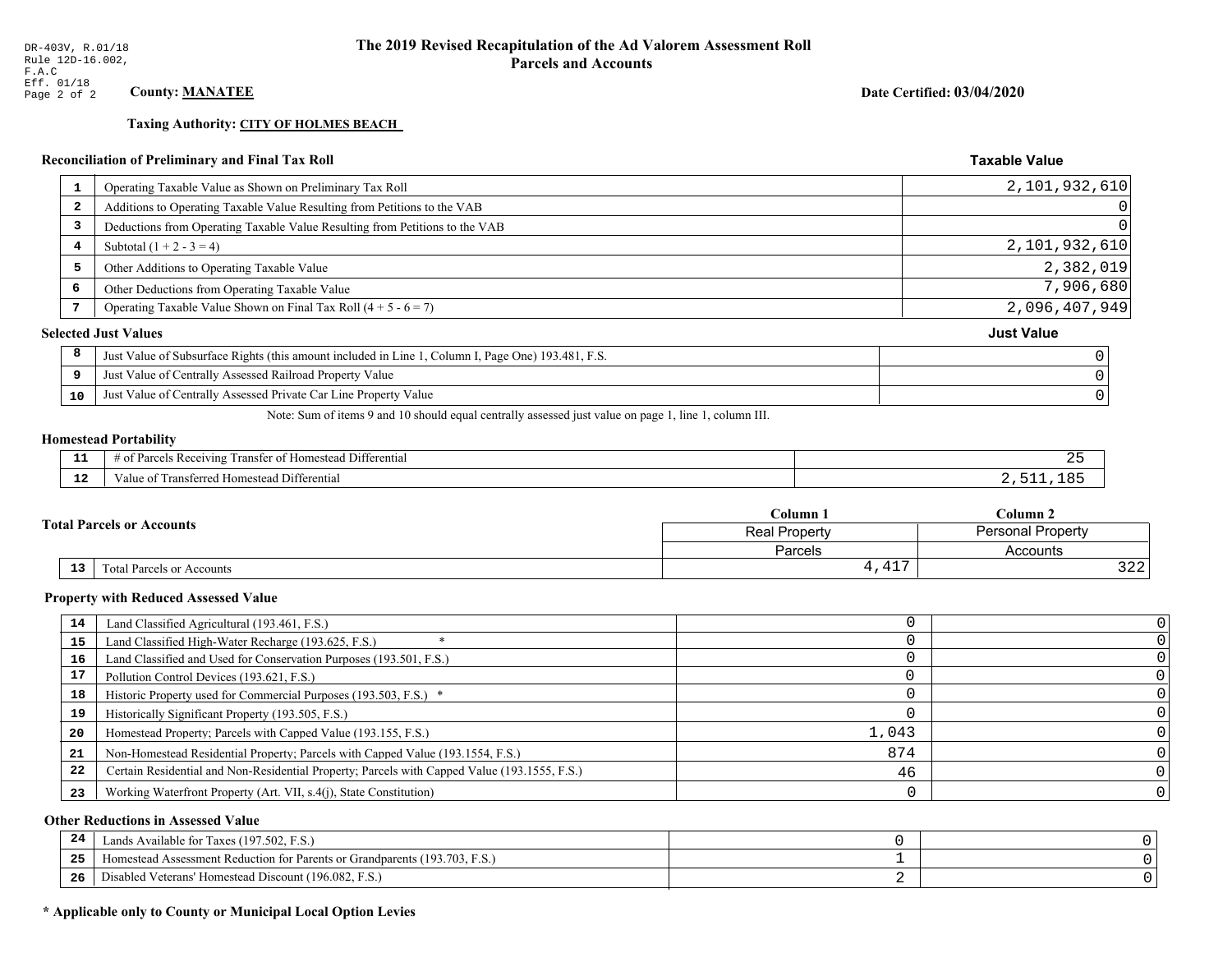**Taxing Authority: CITY OF HOLMES BEACH** 

## Reconciliation of Preliminary and Final Tax Roll

| Operating Taxable Value as Shown on Preliminary Tax Roll<br>1                                           | 2,101,932,610     |
|---------------------------------------------------------------------------------------------------------|-------------------|
| Additions to Operating Taxable Value Resulting from Petitions to the VAB<br>$\overline{\mathbf{2}}$     | 0                 |
| Deductions from Operating Taxable Value Resulting from Petitions to the VAB<br>3                        | $\Omega$          |
| Subtotal $(1 + 2 - 3 = 4)$<br>4                                                                         | 2,101,932,610     |
| 5<br>Other Additions to Operating Taxable Value                                                         | 2,382,019         |
| 6<br>Other Deductions from Operating Taxable Value                                                      | 7,906,680         |
| Operating Taxable Value Shown on Final Tax Roll $(4 + 5 - 6 = 7)$                                       | 2,096,407,949     |
| <b>Selected Just Values</b>                                                                             | <b>Just Value</b> |
| 8<br>Just Value of Subsurface Rights (this amount included in Line 1, Column I, Page One) 193.481, F.S. |                   |
| Just Value of Centrally Assessed Railroad Property Value<br>9                                           |                   |
| Just Value of Centrally Assessed Private Car Line Property Value<br>10                                  |                   |
|                                                                                                         |                   |

Note: Sum of items 9 and 10 should equal centrally assessed just value on page 1, line 1, column III.

## **Homestead Portability**

| - -<br>. .    | $   -$<br>Differential<br>ranster of<br>enving<br>Homestead<br>Parce.<br>-01<br>. |  |
|---------------|-----------------------------------------------------------------------------------|--|
| $\sim$<br>. . | Transferred Homestead Differential<br>∕alue                                       |  |

| <b>Total Parcels or Accounts</b> |                                 | Column .                | $C$ olumn 2              |  |
|----------------------------------|---------------------------------|-------------------------|--------------------------|--|
|                                  |                                 | Real Property           | <b>Personal Property</b> |  |
|                                  |                                 | Parcels                 | Accounts                 |  |
|                                  | 13<br>Total Parcels or Accounts | 1.7 <sub>7</sub><br>--- | $\Omega$<br>ے کے ح       |  |

#### **Property with Reduced Assessed Value**

| 14 | Land Classified Agricultural (193.461, F.S.)                                                 |       |   |
|----|----------------------------------------------------------------------------------------------|-------|---|
| 15 | Land Classified High-Water Recharge (193.625, F.S.)                                          |       |   |
| 16 | Land Classified and Used for Conservation Purposes (193.501, F.S.)                           |       |   |
| 17 | Pollution Control Devices (193.621, F.S.)                                                    |       |   |
| 18 | Historic Property used for Commercial Purposes (193.503, F.S.) *                             |       |   |
| 19 | Historically Significant Property (193.505, F.S.)                                            |       |   |
| 20 | Homestead Property; Parcels with Capped Value (193.155, F.S.)                                | 1,043 |   |
| 21 | Non-Homestead Residential Property; Parcels with Capped Value (193.1554, F.S.)               | 874   |   |
| 22 | Certain Residential and Non-Residential Property; Parcels with Capped Value (193.1555, F.S.) | 46    |   |
| 23 | Working Waterfront Property (Art. VII, s.4(j), State Constitution)                           |       | 0 |

## **Other Reductions in Assessed Value**

| -44 | Available for Taxes (197.502, F.S.)                                          |  |
|-----|------------------------------------------------------------------------------|--|
| 25  | 'omestead Assessment Reduction for Parents or Grandparents $(193.703, F.S.)$ |  |
| 26  | isabled Veterans' Homestead Discount (196.082, F.S.)                         |  |

## \* Applicable only to County or Municipal Local Option Levies

Date Certified: 03/04/2020

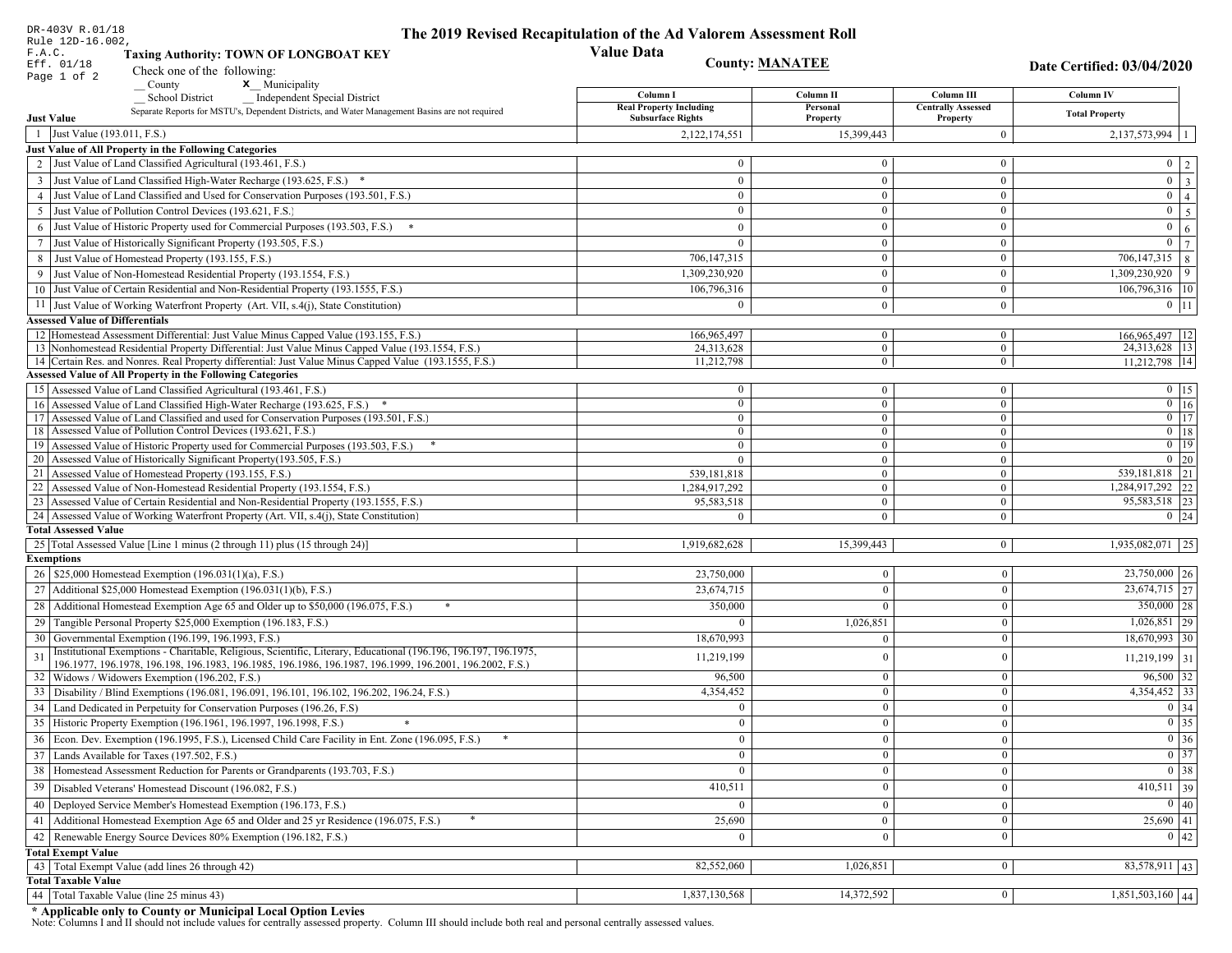| DR-403V R.01/18<br>Rule 12D-16.002,    |                                                                                                                                                                                          | The 2019 Revised Recapitulation of the Ad Valorem Assessment Roll |                             |                                       |                                     |
|----------------------------------------|------------------------------------------------------------------------------------------------------------------------------------------------------------------------------------------|-------------------------------------------------------------------|-----------------------------|---------------------------------------|-------------------------------------|
| F.A.C.                                 | <b>Taxing Authority: TOWN OF LONGBOAT KEY</b>                                                                                                                                            | <b>Value Data</b>                                                 |                             |                                       |                                     |
| Eff. 01/18                             | Check one of the following:                                                                                                                                                              | <b>County: MANATEE</b>                                            |                             |                                       | Date Certified: 03/04/2020          |
| Page 1 of 2                            | x Municipality<br>County                                                                                                                                                                 |                                                                   |                             |                                       |                                     |
|                                        | Independent Special District<br><b>School District</b>                                                                                                                                   | Column I                                                          | Column II                   | Column III                            | Column IV                           |
| <b>Just Value</b>                      | Separate Reports for MSTU's, Dependent Districts, and Water Management Basins are not required                                                                                           | <b>Real Property Including</b><br><b>Subsurface Rights</b>        | Personal<br><b>Property</b> | <b>Centrally Assessed</b><br>Property | <b>Total Property</b>               |
| 1 Just Value (193.011, F.S.)           |                                                                                                                                                                                          | 2,122,174,551                                                     | 15,399,443                  | $\overline{0}$                        | 2,137,573,994                       |
|                                        | Just Value of All Property in the Following Categories                                                                                                                                   |                                                                   |                             |                                       |                                     |
|                                        | 2 Just Value of Land Classified Agricultural (193.461, F.S.)                                                                                                                             | $\theta$                                                          | $\theta$                    | $\bf{0}$                              | $0 \mid 2$                          |
|                                        | 3 Just Value of Land Classified High-Water Recharge (193.625, F.S.) *                                                                                                                    | $\Omega$                                                          | $\overline{0}$              | $\overline{0}$                        | $0 \overline{3}$                    |
|                                        | 4 Just Value of Land Classified and Used for Conservation Purposes (193.501, F.S.)                                                                                                       | $\Omega$                                                          | $\overline{0}$              | $\overline{0}$                        | $\overline{0}$<br>$\vert 4 \vert$   |
|                                        | 5 Just Value of Pollution Control Devices (193.621, F.S.)                                                                                                                                | $\Omega$                                                          | $\Omega$                    | $\bf{0}$                              | $\mathbf{0}$<br>$5\overline{5}$     |
|                                        | 6 Just Value of Historic Property used for Commercial Purposes (193.503, F.S.)                                                                                                           | $\Omega$                                                          | $\Omega$                    | $\mathbf{0}$                          | $\boldsymbol{0}$<br>$6\phantom{.}6$ |
|                                        | 7 Just Value of Historically Significant Property (193.505, F.S.)                                                                                                                        | $\Omega$                                                          | $\bf{0}$                    | $\bf{0}$                              | $\overline{0}$<br>7                 |
|                                        | 8 Just Value of Homestead Property (193.155, F.S.)                                                                                                                                       | 706, 147, 315                                                     | $\overline{0}$              | $\overline{0}$                        | $\overline{706,147,315}$ 8          |
|                                        | 9 Just Value of Non-Homestead Residential Property (193.1554, F.S.)                                                                                                                      | 1,309,230,920                                                     | $\overline{0}$              | $\mathbf{0}$                          | $1,309,230,920$ 9                   |
|                                        | 10 Just Value of Certain Residential and Non-Residential Property (193.1555, F.S.)                                                                                                       | 106,796,316                                                       | $\Omega$                    |                                       |                                     |
|                                        |                                                                                                                                                                                          |                                                                   |                             | $\mathbf{0}$                          | 106,796,316   10                    |
|                                        | 11 Just Value of Working Waterfront Property (Art. VII, s.4(j), State Constitution)                                                                                                      | $\Omega$                                                          | $\overline{0}$              | $\bf{0}$                              | $0$   11                            |
| <b>Assessed Value of Differentials</b> |                                                                                                                                                                                          |                                                                   |                             |                                       |                                     |
|                                        | 12 Homestead Assessment Differential: Just Value Minus Capped Value (193.155, F.S.)<br>13 Nonhomestead Residential Property Differential: Just Value Minus Capped Value (193.1554, F.S.) | 166,965,497<br>24,313,628                                         | $\bf{0}$<br>$\mathbf{0}$    | $\bf{0}$<br>$\overline{0}$            | 166,965,497   12<br>24,313,628 13   |
|                                        | 14 Certain Res. and Nonres. Real Property differential: Just Value Minus Capped Value (193.1555, F.S.)                                                                                   | 11,212,798                                                        | $\overline{0}$              | $\mathbf{0}$                          | 11,212,798 14                       |
|                                        | <b>Assessed Value of All Property in the Following Categories</b>                                                                                                                        |                                                                   |                             |                                       |                                     |
|                                        | 15 Assessed Value of Land Classified Agricultural (193.461, F.S.)                                                                                                                        | $\theta$                                                          | $\bf{0}$                    | $\bf{0}$                              | $0$ 15                              |
|                                        | 16 Assessed Value of Land Classified High-Water Recharge (193.625, F.S.)                                                                                                                 | $\Omega$                                                          | $\overline{0}$              | $\boldsymbol{0}$                      | $\overline{0}$ 16                   |
|                                        | 17 Assessed Value of Land Classified and used for Conservation Purposes (193.501, F.S.)                                                                                                  | $\mathbf{0}$                                                      | $\overline{0}$              | $\boldsymbol{0}$                      | $\overline{0}$   17                 |
|                                        | 18 Assessed Value of Pollution Control Devices (193.621, F.S.)                                                                                                                           | $\mathbf{0}$                                                      | $\overline{0}$              | $\mathbf{0}$                          | $0$ 18                              |
|                                        | 19 Assessed Value of Historic Property used for Commercial Purposes (193.503, F.S.)                                                                                                      | $\overline{0}$                                                    | $\overline{0}$              | $\mathbf{0}$                          | $0 \mid 19$                         |
|                                        | 20 Assessed Value of Historically Significant Property (193.505, F.S.)                                                                                                                   | $\Omega$                                                          | $\overline{0}$              | $\overline{0}$                        | $0 \mid 20$                         |
|                                        | 21 Assessed Value of Homestead Property (193.155, F.S.)                                                                                                                                  | 539,181,818                                                       | $\mathbf{0}$                | $\mathbf{0}$                          | 539, 181, 818 21                    |
|                                        | 22 Assessed Value of Non-Homestead Residential Property (193.1554, F.S.)                                                                                                                 | 1,284,917,292                                                     | $\overline{0}$              | $\overline{0}$                        | 1,284,917,292 22                    |
|                                        | 23 Assessed Value of Certain Residential and Non-Residential Property (193.1555, F.S.)                                                                                                   | 95,583,518                                                        | $\bf{0}$                    | $\bf{0}$                              | 95,583,518 23                       |
|                                        | 24 Assessed Value of Working Waterfront Property (Art. VII, s.4(j), State Constitution)                                                                                                  |                                                                   | $\mathbf{0}$                | $\overline{0}$                        | $0 \mid 24$                         |
| <b>Total Assessed Value</b>            |                                                                                                                                                                                          |                                                                   |                             |                                       |                                     |
|                                        | 25 Total Assessed Value [Line 1 minus (2 through 11) plus (15 through 24)]                                                                                                               | 1,919,682,628                                                     | 15,399,443                  | $\bf{0}$                              | $1,935,082,071$ 25                  |
| <b>Exemptions</b>                      |                                                                                                                                                                                          |                                                                   |                             |                                       |                                     |
|                                        | 26   \$25,000 Homestead Exemption (196.031(1)(a), F.S.)                                                                                                                                  | 23,750,000                                                        | $\boldsymbol{0}$            | $\mathbf{0}$                          | $23,750,000$ 26                     |
|                                        | 27   Additional \$25,000 Homestead Exemption (196.031(1)(b), F.S.)                                                                                                                       | 23,674,715                                                        | $\mathbf{0}$                | $\theta$                              | $23,674,715$ 27                     |
|                                        | 28 Additional Homestead Exemption Age 65 and Older up to \$50,000 (196.075, F.S.)                                                                                                        | 350,000                                                           |                             | $\theta$                              | $350,000$ 28                        |
| 29                                     | Tangible Personal Property \$25,000 Exemption (196.183, F.S.)                                                                                                                            |                                                                   | 1,026,851                   | $\mathbf{0}$                          | $1,026,851$   29                    |
|                                        | 30 Governmental Exemption (196.199, 196.1993, F.S.)                                                                                                                                      | 18,670,993                                                        | $\Omega$                    | $\theta$                              | $18,670,993$ 30                     |
| 31                                     | Institutional Exemptions - Charitable, Religious, Scientific, Literary, Educational (196.196, 196.197, 196.1975,                                                                         | 11,219,199                                                        | $\theta$                    | $\mathbf{0}$                          | $11,219,199$ 31                     |
|                                        | 196.1977, 196.1978, 196.198, 196.1983, 196.1985, 196.1986, 196.1987, 196.1999, 196.2001, 196.2002, F.S.)<br>32   Widows / Widowers Exemption (196.202, F.S.)                             | 96,500                                                            | $\theta$                    | $\mathbf{0}$                          | $96,500$ 32                         |
|                                        | 33 Disability / Blind Exemptions (196.081, 196.091, 196.101, 196.102, 196.202, 196.24, F.S.)                                                                                             | 4,354,452                                                         | $\overline{0}$              | $\mathbf{0}$                          | $4,354,452$ 33                      |
|                                        |                                                                                                                                                                                          | $\Omega$                                                          | $\mathbf{0}$                | $\mathbf{0}$                          | $0 \mid 34$                         |
|                                        | 34 Land Dedicated in Perpetuity for Conservation Purposes (196.26, F.S)<br>35 Historic Property Exemption (196.1961, 196.1997, 196.1998, F.S.)                                           |                                                                   |                             |                                       |                                     |
|                                        |                                                                                                                                                                                          | $\mathbf{0}$                                                      | 0 <sup>1</sup>              | $\vert 0 \vert$                       | $\boxed{0}$ 35                      |
|                                        | 36 Econ. Dev. Exemption (196.1995, F.S.), Licensed Child Care Facility in Ent. Zone (196.095, F.S.)                                                                                      | $\overline{0}$                                                    | $\overline{0}$              | $\mathbf{0}$                          | $\boxed{0}$ 36                      |
|                                        | 37 Lands Available for Taxes (197.502, F.S.)                                                                                                                                             | $\overline{0}$                                                    | $\mathbf{0}$                | $\mathbf{0}$                          | $0 \mid 37$                         |
|                                        | 38   Homestead Assessment Reduction for Parents or Grandparents (193.703, F.S.)                                                                                                          | $\overline{0}$                                                    | $\mathbf{0}$                | $\mathbf{0}$                          | $0 \overline{)38}$                  |
| 39                                     | Disabled Veterans' Homestead Discount (196.082, F.S.)                                                                                                                                    | 410,511                                                           | $\Omega$                    | $\theta$                              | $410,511$ 39                        |
|                                        | 40   Deployed Service Member's Homestead Exemption (196.173, F.S.)                                                                                                                       | $\Omega$                                                          | $\mathbf{0}$                | $\mathbf{0}$                          | $\boxed{0}$ 40                      |
| 41                                     | Additional Homestead Exemption Age 65 and Older and 25 yr Residence (196.075, F.S.)                                                                                                      | 25,690                                                            | $\overline{0}$              | $\boldsymbol{0}$                      | $25,690$ 41                         |
|                                        | 42   Renewable Energy Source Devices 80% Exemption (196.182, F.S.)                                                                                                                       | $\overline{0}$                                                    | $\bf{0}$                    | $\mathbf{0}$                          | 0 42                                |
| <b>Total Exempt Value</b>              |                                                                                                                                                                                          |                                                                   |                             |                                       |                                     |
|                                        | 43 Total Exempt Value (add lines 26 through 42)                                                                                                                                          | 82,552,060                                                        | 1,026,851                   | $\bf{0}$                              | 83,578,911 43                       |
| <b>Total Taxable Value</b>             |                                                                                                                                                                                          |                                                                   |                             |                                       |                                     |
|                                        | 44 Total Taxable Value (line 25 minus 43)                                                                                                                                                | 1,837,130,568                                                     | 14,372,592                  | $\mathbf{0}$                          | $1,851,503,160$ 44                  |

DR-403V R.01/18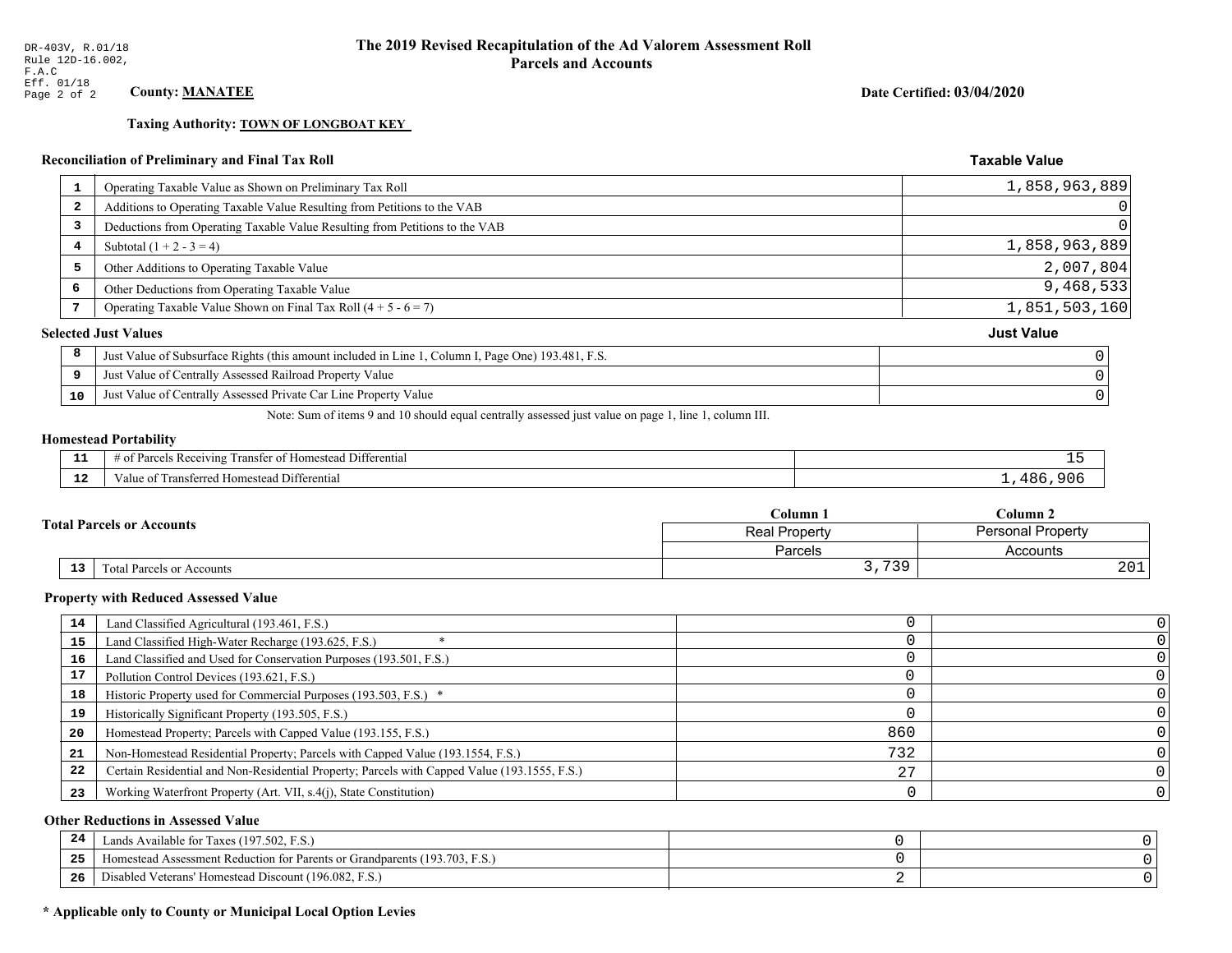**Taxing Authority: TOWN OF LONGBOAT KEY** 

## Reconciliation of Preliminary and Final Tax Roll

| 1  | Operating Taxable Value as Shown on Preliminary Tax Roll                                           | 1,858,963,889     |                |
|----|----------------------------------------------------------------------------------------------------|-------------------|----------------|
| 2  | Additions to Operating Taxable Value Resulting from Petitions to the VAB                           |                   | $\overline{0}$ |
| 3  | Deductions from Operating Taxable Value Resulting from Petitions to the VAB                        |                   | $\overline{0}$ |
| 4  | Subtotal $(1 + 2 - 3 = 4)$                                                                         | 1,858,963,889     |                |
| 5  | Other Additions to Operating Taxable Value                                                         | 2,007,804         |                |
| 6  | Other Deductions from Operating Taxable Value                                                      | 9,468,533         |                |
|    | Operating Taxable Value Shown on Final Tax Roll $(4 + 5 - 6 = 7)$                                  | 1,851,503,160     |                |
|    | <b>Selected Just Values</b>                                                                        | <b>Just Value</b> |                |
| 8  | Just Value of Subsurface Rights (this amount included in Line 1, Column I, Page One) 193.481, F.S. |                   |                |
| 9  | Just Value of Centrally Assessed Railroad Property Value                                           |                   |                |
| 10 | Just Value of Centrally Assessed Private Car Line Property Value                                   |                   |                |
|    |                                                                                                    |                   |                |

Note: Sum of items 9 and 10 should equal centrally assessed just value on page 1, line 1, column III.

#### **Homestead Portability**

| --                   | $ -$<br>. Differential<br>$v_{\text{arce}}$<br>ranster of<br>enving<br>: Homestead<br>OТ<br>, , , , , , | - -       |
|----------------------|---------------------------------------------------------------------------------------------------------|-----------|
| $\sim$ $\sim$<br>. . | Transferred Homestead Differential<br>∕alu                                                              | ח מ<br>ັບ |

| $\mathbb C$ olumn $\;$ .<br><b>Total Parcels or Accounts</b><br><b>Real Property</b> |    |                           |                                  | $C$ olumn 2 |  |
|--------------------------------------------------------------------------------------|----|---------------------------|----------------------------------|-------------|--|
|                                                                                      |    | Personal Property         |                                  |             |  |
|                                                                                      |    |                           | Parcels                          | Accounts    |  |
|                                                                                      | 13 | Fotal Parcels or Accounts | 739<br>ັບ <i>ເ</i><br>. <u>.</u> | 201         |  |

#### **Property with Reduced Assessed Value**

| 14 | Land Classified Agricultural (193.461, F.S.)                                                 |     |  |
|----|----------------------------------------------------------------------------------------------|-----|--|
| 15 | Land Classified High-Water Recharge (193.625, F.S.)                                          |     |  |
| 16 | Land Classified and Used for Conservation Purposes (193.501, F.S.)                           |     |  |
| 17 | Pollution Control Devices (193.621, F.S.)                                                    |     |  |
| 18 | Historic Property used for Commercial Purposes (193.503, F.S.) *                             |     |  |
| 19 | Historically Significant Property (193.505, F.S.)                                            |     |  |
| 20 | Homestead Property; Parcels with Capped Value (193.155, F.S.)                                | 860 |  |
| 21 | Non-Homestead Residential Property; Parcels with Capped Value (193.1554, F.S.)               | 732 |  |
| 22 | Certain Residential and Non-Residential Property; Parcels with Capped Value (193.1555, F.S.) |     |  |
| 23 | Working Waterfront Property (Art. VII, s.4(j), State Constitution)                           |     |  |

## **Other Reductions in Assessed Value**

| -44 | Available for Taxes (197.502, F.S.)                                          |  |
|-----|------------------------------------------------------------------------------|--|
| 25  | 'omestead Assessment Reduction for Parents or Grandparents $(193.703, F.S.)$ |  |
| 26  | isabled Veterans' Homestead Discount (196.082, F.S.)                         |  |

## \* Applicable only to County or Municipal Local Option Levies

Date Certified: 03/04/2020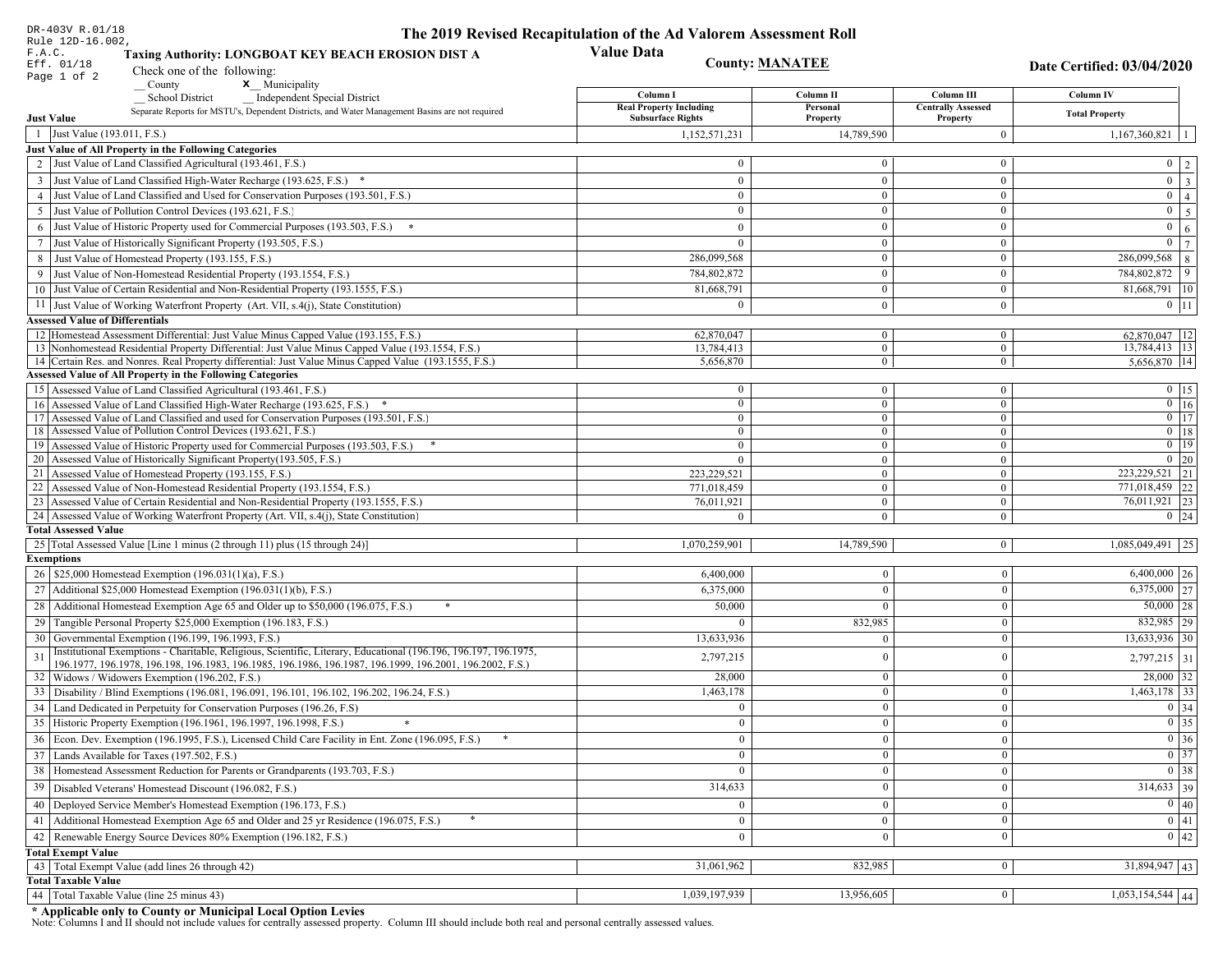| DR-403V R.01/18                                                                                                                                                                      | The 2019 Revised Recapitulation of the Ad Valorem Assessment Roll |                            |                                       |                                   |
|--------------------------------------------------------------------------------------------------------------------------------------------------------------------------------------|-------------------------------------------------------------------|----------------------------|---------------------------------------|-----------------------------------|
| Rule 12D-16.002,<br>F.A.C.<br>Taxing Authority: LONGBOAT KEY BEACH EROSION DIST A<br>Eff. 01/18<br>Check one of the following:                                                       | <b>Value Data</b><br><b>County: MANATEE</b>                       |                            |                                       | <b>Date Certified: 03/04/2020</b> |
| Page 1 of 2<br>$\sqrt{\frac{1}{1}}$ County<br><b>x</b> Municipality                                                                                                                  | Column I                                                          | Column II                  | Column III                            | Column IV                         |
| <b>Independent Special District</b><br><b>School District</b><br>Separate Reports for MSTU's, Dependent Districts, and Water Management Basins are not required<br><b>Just Value</b> | <b>Real Property Including</b><br><b>Subsurface Rights</b>        | Personal<br>Property       | <b>Centrally Assessed</b><br>Property | <b>Total Property</b>             |
| 1 Just Value (193.011, F.S.)                                                                                                                                                         | 1,152,571,231                                                     | 14,789,590                 | $\mathbf{0}$                          |                                   |
| Just Value of All Property in the Following Categories                                                                                                                               |                                                                   |                            |                                       | 1,167,360,821<br>-1               |
| 2 Just Value of Land Classified Agricultural (193.461, F.S.)                                                                                                                         | $\theta$                                                          | $\overline{0}$             | $\bf{0}$                              | $0 \mid 2 \mid$                   |
| 3 Just Value of Land Classified High-Water Recharge (193.625, F.S.) *                                                                                                                | $\mathbf{0}$                                                      | $\bf{0}$                   | $\bf{0}$                              | $\overline{0}$ $\overline{3}$     |
| 4 Just Value of Land Classified and Used for Conservation Purposes (193.501, F.S.)                                                                                                   | $\mathbf{0}$                                                      | $\overline{0}$             | $\bf{0}$                              | $0 \mid 4 \mid$                   |
| 5 Just Value of Pollution Control Devices (193.621, F.S.                                                                                                                             | $\bf{0}$                                                          | $\overline{0}$             | $\overline{0}$                        | $\mathbf{0}$<br>$\overline{5}$    |
| 6 Just Value of Historic Property used for Commercial Purposes (193.503, F.S.) *                                                                                                     | $\Omega$                                                          | $\overline{0}$             | $\mathbf{0}$                          | $\overline{0}$                    |
| 7 Just Value of Historically Significant Property (193.505, F.S.)                                                                                                                    | $\mathbf{0}$                                                      | $\overline{0}$             | $\bf{0}$                              | 6<br> 7 <br>$\overline{0}$        |
|                                                                                                                                                                                      |                                                                   | $\overline{0}$             | $\bf{0}$                              | 286,099,568                       |
| 8 Just Value of Homestead Property (193.155, F.S.)<br>9 Just Value of Non-Homestead Residential Property (193.1554, F.S.)                                                            | 286,099,568<br>784,802,872                                        | $\Omega$                   | $\bf{0}$                              | 8 <sup>1</sup><br>784,802,872 9   |
| 10 Just Value of Certain Residential and Non-Residential Property (193.1555, F.S.)                                                                                                   | 81,668,791                                                        | $\mathbf{0}$               | $\overline{0}$                        | $81,668,791$   10                 |
|                                                                                                                                                                                      | $\Omega$                                                          |                            |                                       |                                   |
| 11 Just Value of Working Waterfront Property (Art. VII, s.4(j), State Constitution)                                                                                                  |                                                                   | $\mathbf{0}$               | $\bf{0}$                              | $0$   11                          |
| <b>Assessed Value of Differentials</b><br>12 Homestead Assessment Differential: Just Value Minus Capped Value (193.155, F.S.)                                                        | 62,870,047                                                        | $\bf{0}$                   | $\bf{0}$                              | 62.870.047   12                   |
| 13 Nonhomestead Residential Property Differential: Just Value Minus Capped Value (193.1554, F.S.)                                                                                    | 13,784,413                                                        | $\overline{0}$             | $\overline{0}$                        | 13,784,413 13                     |
| 14 Certain Res. and Nonres. Real Property differential: Just Value Minus Capped Value (193.1555, F.S.)                                                                               | 5,656,870                                                         | $\overline{0}$             | $\overline{0}$                        | 5,656,870   14                    |
| Assessed Value of All Property in the Following Categories                                                                                                                           |                                                                   |                            |                                       |                                   |
| 15 Assessed Value of Land Classified Agricultural (193.461, F.S.)                                                                                                                    | $\theta$                                                          | $\bf{0}$                   | $\bf{0}$                              | $0$   15                          |
| 16 Assessed Value of Land Classified High-Water Recharge (193.625, F.S.) *                                                                                                           | $\Omega$                                                          | $\overline{0}$             | $\overline{0}$                        | $\boxed{0}$ 16                    |
| 17 Assessed Value of Land Classified and used for Conservation Purposes (193.501, F.S.)                                                                                              | $\mathbf{0}$                                                      | $\overline{0}$             | $\overline{0}$                        | $\overline{0}$ 17                 |
| 18 Assessed Value of Pollution Control Devices (193.621, F.S.)                                                                                                                       | $\Omega$                                                          | $\overline{0}$             | $\mathbf{0}$                          | $0$   18                          |
| 19 Assessed Value of Historic Property used for Commercial Purposes (193.503, F.S.)                                                                                                  | $\theta$                                                          | $\mathbf{0}$               | $\bf{0}$                              | $0$ 19                            |
| 20 Assessed Value of Historically Significant Property (193.505, F.S.)                                                                                                               |                                                                   | $\overline{0}$             | $\boldsymbol{0}$                      | $0 \mid 20$                       |
| 21 Assessed Value of Homestead Property (193.155, F.S.)                                                                                                                              | 223,229,521                                                       | $\mathbf{0}$               | $\mathbf{0}$                          | 223,229,521 21                    |
| 22 Assessed Value of Non-Homestead Residential Property (193.1554, F.S.)                                                                                                             | 771,018,459                                                       | $\overline{0}$             | $\bf{0}$                              | 771,018,459 22                    |
| 23 Assessed Value of Certain Residential and Non-Residential Property (193.1555, F.S.)<br>24 Assessed Value of Working Waterfront Property (Art. VII, s.4(j), State Constitution)    | 76,011,921<br>0                                                   | $\bf{0}$<br>$\overline{0}$ | $\bf{0}$<br>$\overline{0}$            | 76,011,921 23<br>$0 \mid 24$      |
| <b>Total Assessed Value</b>                                                                                                                                                          |                                                                   |                            |                                       |                                   |
| 25 Total Assessed Value [Line 1 minus (2 through 11) plus (15 through 24)]                                                                                                           | 1,070,259,901                                                     | 14,789,590                 | $\mathbf{0}$                          | $1,085,049,491$   25              |
| <b>Exemptions</b>                                                                                                                                                                    |                                                                   |                            |                                       |                                   |
| 26   \$25,000 Homestead Exemption (196.031(1)(a), F.S.)                                                                                                                              | 6,400,000                                                         | $\mathbf{0}$               | $\mathbf{0}$                          | $6,400,000$ 26                    |
| 27 Additional \$25,000 Homestead Exemption $(196.031(1)(b), F.S.)$                                                                                                                   | 6,375,000                                                         | $\theta$                   | $\Omega$                              | $6,375,000$ 27                    |
| 28 Additional Homestead Exemption Age 65 and Older up to \$50,000 (196.075, F.S.)<br>$\ast$                                                                                          | 50,000                                                            | $\Omega$                   | $\mathbf{0}$                          | $50,000$ 28                       |
| 29 Tangible Personal Property \$25,000 Exemption (196.183, F.S.)                                                                                                                     |                                                                   | 832,985                    | $\Omega$                              | 832,985 29                        |
| 30 Governmental Exemption (196.199, 196.1993, F.S.)                                                                                                                                  | 13,633,936                                                        | $\overline{0}$             | $\mathbf{0}$                          | $13,633,936$   30                 |
| Institutional Exemptions - Charitable, Religious, Scientific, Literary, Educational (196.196, 196.197, 196.1975,                                                                     |                                                                   |                            |                                       |                                   |
| 196.1977, 196.1978, 196.198, 196.1983, 196.1985, 196.1986, 196.1987, 196.1999, 196.2001, 196.2002, F.S.)                                                                             | 2,797,215                                                         | $\theta$                   | $\mathbf{0}$                          | $2,797,215$ 31                    |
| 32   Widows / Widowers Exemption (196.202, F.S.)                                                                                                                                     | 28,000                                                            | $\bf{0}$                   | $\mathbf{0}$                          | $28,000$ 32                       |
| 33 Disability / Blind Exemptions (196.081, 196.091, 196.101, 196.102, 196.202, 196.24, F.S.)                                                                                         | 1,463,178                                                         | $\theta$                   | $\mathbf{0}$                          | $1,463,178$ 33                    |
| 34   Land Dedicated in Perpetuity for Conservation Purposes (196.26, F.S)                                                                                                            | $\Omega$                                                          | $\Omega$                   | $\mathbf{0}$                          | 0 34                              |
| 35   Historic Property Exemption (196.1961, 196.1997, 196.1998, F.S.)                                                                                                                | $\bf{0}$                                                          | $\bf{0}$                   | $\mathbf{0}$                          | $\boxed{0}$ 35                    |
| 36 Econ. Dev. Exemption (196.1995, F.S.), Licensed Child Care Facility in Ent. Zone (196.095, F.S.)                                                                                  | $\theta$                                                          | $\mathbf{0}$               | $\mathbf{0}$                          | $\boxed{0}$ 36                    |
| 37 Lands Available for Taxes (197.502, F.S.)                                                                                                                                         | $\mathbf{0}$                                                      | $\overline{0}$             | $\mathbf{0}$                          | $0 \overline{\smash)37}$          |
| 38   Homestead Assessment Reduction for Parents or Grandparents (193.703, F.S.)                                                                                                      | $\mathbf{0}$                                                      | $\theta$                   | $\mathbf{0}$                          | $\boxed{0}$ 38                    |
| 39 Disabled Veterans' Homestead Discount (196.082, F.S.)                                                                                                                             | 314,633                                                           | $\bf{0}$                   | $\boldsymbol{0}$                      | $314,633$ 39                      |
| 40 Deployed Service Member's Homestead Exemption (196.173, F.S.)                                                                                                                     |                                                                   |                            | $\mathbf{0}$                          | 0 40                              |
| 41 Additional Homestead Exemption Age 65 and Older and 25 yr Residence (196.075, F.S.)                                                                                               | $\overline{0}$                                                    | $\mathbf{0}$               | $\mathbf{0}$                          | $\boxed{0}$ 41                    |
| 42 Renewable Energy Source Devices 80% Exemption (196.182, F.S.)                                                                                                                     | $\boldsymbol{0}$                                                  | $\Omega$                   | $\mathbf{0}$                          | 0 42                              |
| <b>Total Exempt Value</b>                                                                                                                                                            |                                                                   |                            |                                       |                                   |
| 43 Total Exempt Value (add lines 26 through 42)                                                                                                                                      | 31,061,962                                                        | 832,985                    | $\boldsymbol{0}$                      | 31,894,947 43                     |
| <b>Total Taxable Value</b>                                                                                                                                                           |                                                                   |                            |                                       |                                   |
| 44 Total Taxable Value (line 25 minus 43)                                                                                                                                            | 1,039,197,939                                                     | 13,956,605                 | $\mathbf{0}$                          | $1,053,154,544$ 44                |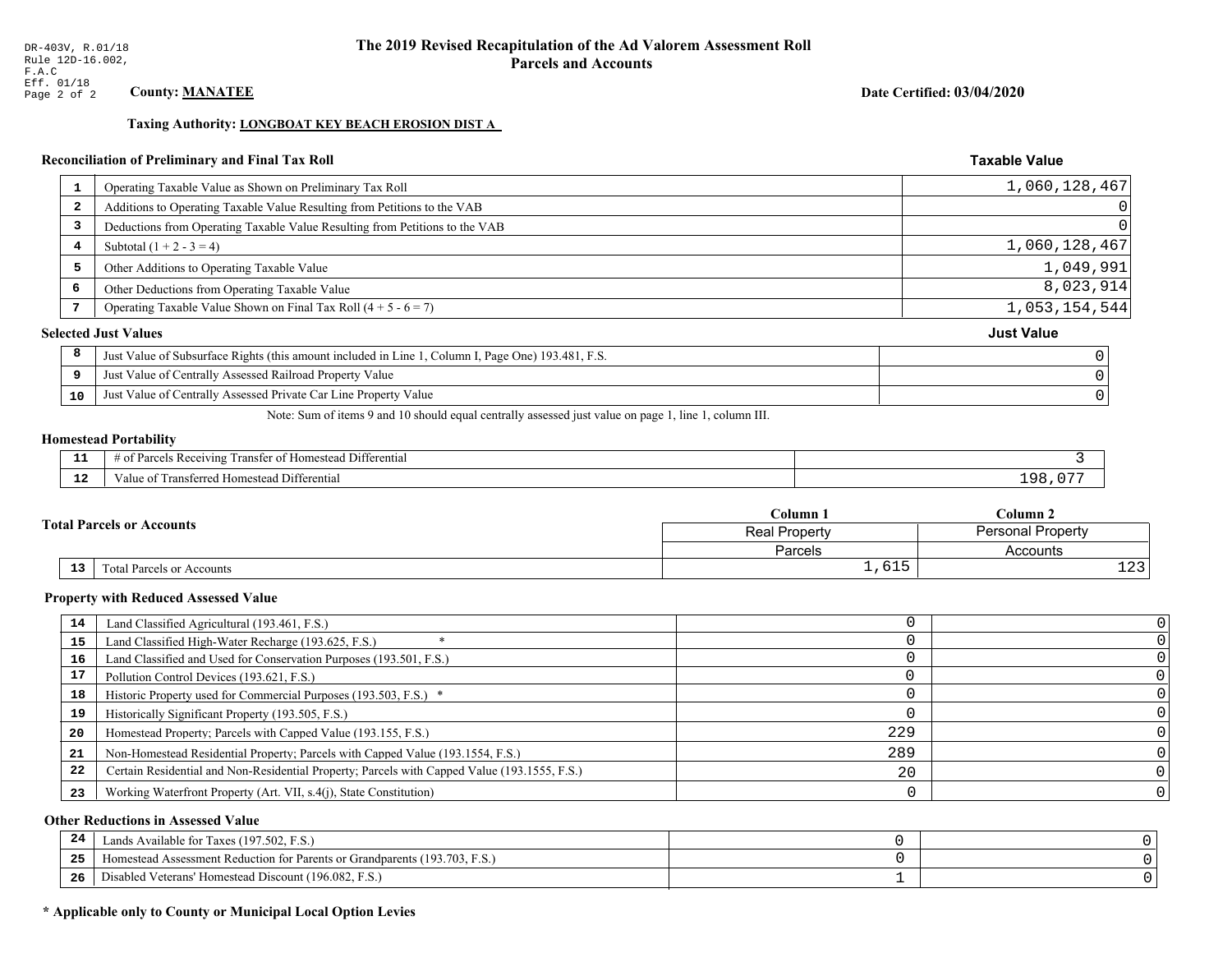## Date Certified: 03/04/2020

**Taxable Value** 

## Taxing Authority: LONGBOAT KEY BEACH EROSION DIST A

## Reconciliation of Preliminary and Final Tax Roll

| $\mathbf{1}$            | Operating Taxable Value as Shown on Preliminary Tax Roll                                           | 1,060,128,467     |
|-------------------------|----------------------------------------------------------------------------------------------------|-------------------|
| $\overline{\mathbf{2}}$ | Additions to Operating Taxable Value Resulting from Petitions to the VAB                           |                   |
| 3                       | Deductions from Operating Taxable Value Resulting from Petitions to the VAB                        |                   |
| 4                       | Subtotal $(1 + 2 - 3 = 4)$                                                                         | 1,060,128,467     |
| 5                       | Other Additions to Operating Taxable Value                                                         | 1,049,991         |
| 6                       | Other Deductions from Operating Taxable Value                                                      | 8,023,914         |
|                         | Operating Taxable Value Shown on Final Tax Roll $(4 + 5 - 6 = 7)$                                  | 1,053,154,544     |
|                         | <b>Selected Just Values</b>                                                                        | <b>Just Value</b> |
| 8                       | Just Value of Subsurface Rights (this amount included in Line 1, Column I, Page One) 193.481, F.S. |                   |
| 9                       | Just Value of Centrally Assessed Railroad Property Value                                           |                   |
| 10                      | Just Value of Centrally Assessed Private Car Line Property Value                                   |                   |

Note: Sum of items 9 and 10 should equal centrally assessed just value on page 1, line 1, column III.

## **Homestead Portability**

|             | $\sim$ $\sim$ $\sim$<br>l Differential<br>s Receiving<br>r of Homestead<br>ranster<br>'arce |     |
|-------------|---------------------------------------------------------------------------------------------|-----|
| $\sim$<br>. | Transferred Homestead Differential<br>Value of                                              | a c |

| $C$ olumn $\Box$                 |                                                  | $C$ olumn 2         |
|----------------------------------|--------------------------------------------------|---------------------|
| <b>Total Parcels or Accounts</b> | <b>Personal Property</b><br><b>Real Property</b> |                     |
|                                  | Parcels                                          | Accounts            |
| 13<br>Total Parcels or Accounts  | $-1$<br>T,0TP                                    | $\sim$<br><b>+4</b> |

#### **Property with Reduced Assessed Value**

| 14 | Land Classified Agricultural (193.461, F.S.)                                                 |     |   |
|----|----------------------------------------------------------------------------------------------|-----|---|
| 15 | Land Classified High-Water Recharge (193.625, F.S.)                                          |     |   |
| 16 | Land Classified and Used for Conservation Purposes (193.501, F.S.)                           |     |   |
|    | Pollution Control Devices (193.621, F.S.)                                                    |     |   |
| 18 | Historic Property used for Commercial Purposes (193.503, F.S.) *                             |     |   |
| 19 | Historically Significant Property (193.505, F.S.)                                            |     |   |
| 20 | Homestead Property; Parcels with Capped Value (193.155, F.S.)                                | 229 |   |
| 21 | Non-Homestead Residential Property; Parcels with Capped Value (193.1554, F.S.)               | 289 |   |
| 22 | Certain Residential and Non-Residential Property; Parcels with Capped Value (193.1555, F.S.) | 20  |   |
| 23 | Working Waterfront Property (Art. VII, s.4(j), State Constitution)                           |     | 0 |

## **Other Reductions in Assessed Value**

| 24    | Lands Available for Taxes (197.502, F.S.)                                  |  |
|-------|----------------------------------------------------------------------------|--|
| - - - | Iomestead Assessment Reduction for Parents or Grandparents (193.703, F.S.) |  |
| -26   | Disabled Veterans' Homestead Discount (196.082, F.S.)                      |  |

## \* Applicable only to County or Municipal Local Option Levies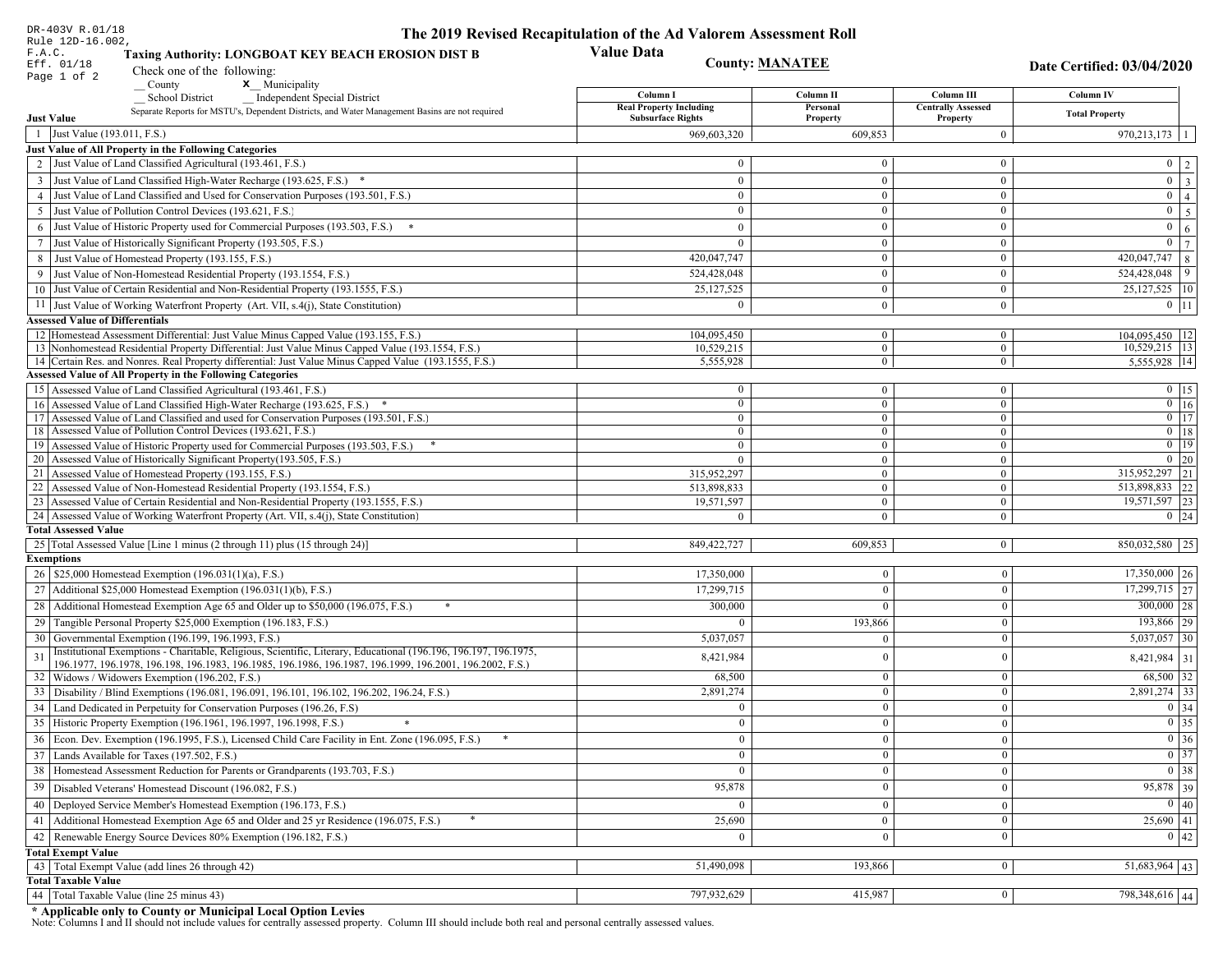| DR-403V R.01/18                                                                                                               | The 2019 Revised Recapitulation of the Ad Valorem Assessment Roll |                        |                                       |                                     |
|-------------------------------------------------------------------------------------------------------------------------------|-------------------------------------------------------------------|------------------------|---------------------------------------|-------------------------------------|
| Rule 12D-16.002,<br>F.A.C.<br>Taxing Authority: LONGBOAT KEY BEACH EROSION DIST B<br>Eff. 01/18                               | <b>Value Data</b>                                                 | <b>County: MANATEE</b> |                                       | Date Certified: 03/04/2020          |
| Check one of the following:<br>Page 1 of 2                                                                                    |                                                                   |                        |                                       |                                     |
| <b>x</b> Municipality<br>County<br><b>School District</b><br><b>Independent Special District</b>                              | Column I                                                          | Column II              | Column III                            | <b>Column IV</b>                    |
| Separate Reports for MSTU's, Dependent Districts, and Water Management Basins are not required<br><b>Just Value</b>           | <b>Real Property Including</b><br><b>Subsurface Rights</b>        | Personal               | <b>Centrally Assessed</b><br>Property | <b>Total Property</b>               |
| 1 Just Value (193.011, F.S.)                                                                                                  | 969,603,320                                                       | Property<br>609,853    | $\bf{0}$                              | $970,213,173$   1                   |
| Just Value of All Property in the Following Categories                                                                        |                                                                   |                        |                                       |                                     |
| 2 Just Value of Land Classified Agricultural (193.461, F.S.)                                                                  | $\mathbf{0}$                                                      | $\bf{0}$               | $\bf{0}$                              | $0 \mid 2 \mid$                     |
| 3 Just Value of Land Classified High-Water Recharge (193.625, F.S.) *                                                         | $\theta$                                                          | $\mathbf{0}$           | $\bf{0}$                              | $\boxed{0}$ $\boxed{3}$             |
| 4 Just Value of Land Classified and Used for Conservation Purposes (193.501, F.S.)                                            | $\mathbf{0}$                                                      | $\overline{0}$         | $\bf{0}$                              | $0 \mid 4$                          |
| 5 Just Value of Pollution Control Devices (193.621, F.S.)                                                                     | $\bf{0}$                                                          | $\mathbf{0}$           | $\bf{0}$                              | $0 \overline{5}$                    |
| 6 Just Value of Historic Property used for Commercial Purposes (193.503, F.S.) *                                              | $\theta$                                                          | $\Omega$               | $\bf{0}$                              | $\overline{0}$<br>6 <sup>1</sup>    |
| 7 Just Value of Historically Significant Property (193.505, F.S.)                                                             | $\overline{0}$                                                    | $\overline{0}$         | $\bf{0}$                              | $\boxed{0}$ $\boxed{7}$             |
|                                                                                                                               | 420,047,747                                                       | $\bf{0}$               | $\overline{0}$                        | $\frac{420,047,747}{8}$             |
| 8 Just Value of Homestead Property (193.155, F.S.)<br>9 Just Value of Non-Homestead Residential Property (193.1554, F.S.)     | 524,428,048                                                       | $\overline{0}$         | $\bf{0}$                              | $524,428,048$ 9                     |
| 10 Just Value of Certain Residential and Non-Residential Property (193.1555, F.S.)                                            | 25,127,525                                                        | $\mathbf{0}$           | $\bf{0}$                              | $25,127,525$   10                   |
|                                                                                                                               |                                                                   |                        |                                       |                                     |
| 11 Just Value of Working Waterfront Property (Art. VII, s.4(j), State Constitution)                                           | $\Omega$                                                          | $\mathbf{0}$           | $\bf{0}$                              | $0$   11                            |
| <b>Assessed Value of Differentials</b><br>12 Homestead Assessment Differential: Just Value Minus Capped Value (193.155, F.S.) |                                                                   | $\bf{0}$               |                                       |                                     |
| 13 Nonhomestead Residential Property Differential: Just Value Minus Capped Value (193.1554, F.S.)                             | 104,095,450<br>10,529,215                                         | $\overline{0}$         | $\mathbf{0}$<br>$\overline{0}$        | 104,095,450   12<br>$10,529,215$ 13 |
| 14 Certain Res. and Nonres. Real Property differential: Just Value Minus Capped Value (193.1555, F.S.)                        | 5,555,928                                                         | $\overline{0}$         | $\mathbf{0}$                          | 5.555.928 14                        |
| <b>Assessed Value of All Property in the Following Categories</b>                                                             |                                                                   |                        |                                       |                                     |
| 15 Assessed Value of Land Classified Agricultural (193.461, F.S.)                                                             | $\bf{0}$                                                          | $\bf{0}$               | $\bf{0}$                              | $0$   15                            |
| 16 Assessed Value of Land Classified High-Water Recharge (193.625, F.S.) *                                                    | $\Omega$                                                          | $\mathbf{0}$           | $\bf{0}$                              | $0$ 16                              |
| Assessed Value of Land Classified and used for Conservation Purposes (193.501, F.S.)<br>17                                    | $\theta$                                                          | $\mathbf{0}$           | $\mathbf{0}$                          | $\overline{0}$ 17                   |
| 18 Assessed Value of Pollution Control Devices (193.621, F.S.)                                                                | $\theta$                                                          | $\mathbf{0}$           | $\mathbf{0}$                          | $0$ 18                              |
| 19 Assessed Value of Historic Property used for Commercial Purposes (193.503, F.S.)                                           | $\bf{0}$                                                          | $\overline{0}$         | $\overline{0}$                        | $0$   19                            |
| 20 Assessed Value of Historically Significant Property (193.505, F.S.)                                                        | $\theta$                                                          | $\overline{0}$         | $\overline{0}$                        | $0 \mid 20$                         |
| 21 Assessed Value of Homestead Property (193.155, F.S.)                                                                       | 315,952,297                                                       | $\overline{0}$         | $\bf{0}$                              | $315,952,297$ 21                    |
| 22 Assessed Value of Non-Homestead Residential Property (193.1554, F.S.)                                                      | 513,898,833                                                       | $\overline{0}$         | $\mathbf{0}$                          | 513,898,833 22                      |
| 23 Assessed Value of Certain Residential and Non-Residential Property (193.1555, F.S.)                                        | 19,571,597                                                        | $\overline{0}$         | $\bf{0}$                              | 19,571,597 23                       |
| 24 Assessed Value of Working Waterfront Property (Art. VII, s.4(j), State Constitution)<br><b>Total Assessed Value</b>        |                                                                   | $\theta$               | $\bf{0}$                              | $0 \mid 24$                         |
| 25 Total Assessed Value [Line 1 minus (2 through 11) plus (15 through 24)]                                                    | 849, 422, 727                                                     | 609,853                | $\mathbf{0}$                          | 850,032,580 25                      |
| <b>Exemptions</b>                                                                                                             |                                                                   |                        |                                       |                                     |
| 26   \$25,000 Homestead Exemption (196.031(1)(a), F.S.)                                                                       | 17,350,000                                                        | $\bf{0}$               | $\boldsymbol{0}$                      | $17,350,000$ 26                     |
| 27   Additional \$25,000 Homestead Exemption (196.031(1)(b), F.S.)                                                            | 17,299,715                                                        | $\Omega$               | $\mathbf{0}$                          | $17,299,715$ 27                     |
| 28 Additional Homestead Exemption Age 65 and Older up to \$50,000 (196.075, F.S.)                                             | 300,000                                                           | $\Omega$               | $\mathbf{0}$                          | $300,000$ 28                        |
| 29 Tangible Personal Property \$25,000 Exemption (196.183, F.S.)                                                              |                                                                   | 193,866                | $\mathbf{0}$                          | 193,866 29                          |
| 30 Governmental Exemption (196.199, 196.1993, F.S.)                                                                           | 5,037,057                                                         |                        | $\mathbf{0}$                          |                                     |
| Institutional Exemptions - Charitable, Religious, Scientific, Literary, Educational (196.196, 196.197, 196.1975,              |                                                                   |                        |                                       | $5,037,057$ 30                      |
| 196.1977, 196.1978, 196.198, 196.1983, 196.1985, 196.1986, 196.1987, 196.1999, 196.2001, 196.2002, F.S.)                      | 8,421,984                                                         |                        | $\mathbf{0}$                          | $8,421,984$ 31                      |
| 32 Widows / Widowers Exemption (196.202, F.S.)                                                                                | 68,500                                                            | $\mathbf{0}$           | $\mathbf{0}$                          | 68,500 32                           |
| 33 Disability / Blind Exemptions (196.081, 196.091, 196.101, 196.102, 196.202, 196.24, F.S.)                                  | 2,891,274                                                         | $\overline{0}$         | $\mathbf{0}$                          | $2,891,274$ 33                      |
| 34 Land Dedicated in Perpetuity for Conservation Purposes (196.26, F.S)                                                       |                                                                   | $\Omega$               | $\Omega$                              | $0 \mid 34$                         |
| 35 Historic Property Exemption (196.1961, 196.1997, 196.1998, F.S.)                                                           | 0                                                                 | $\mathbf{U}$           | $\mathbf{0}$                          | $\boxed{0}$ 35                      |
| 36 Econ. Dev. Exemption (196.1995, F.S.), Licensed Child Care Facility in Ent. Zone (196.095, F.S.)                           | $\Omega$                                                          | $\Omega$               | $\Omega$                              | $\boxed{0}$ 36                      |
| 37 Lands Available for Taxes (197.502, F.S.)                                                                                  | $\theta$                                                          | $\Omega$               | $\mathbf{0}$                          | $0 \mid 37$                         |
| 38   Homestead Assessment Reduction for Parents or Grandparents (193.703, F.S.)                                               | $\bf{0}$                                                          | $\bf{0}$               | $\boldsymbol{0}$                      | $\boxed{0}$ 38                      |
| 39   Disabled Veterans' Homestead Discount (196.082, F.S.)                                                                    | 95,878                                                            |                        | $\mathbf{0}$                          | 95,878 39                           |
| 40   Deployed Service Member's Homestead Exemption (196.173, F.S.)                                                            |                                                                   | $\theta$               | $\mathbf{0}$                          | 0 40                                |
| 41   Additional Homestead Exemption Age 65 and Older and 25 yr Residence (196.075, F.S.)                                      | 25,690                                                            | $\mathbf{0}$           | $\mathbf{0}$                          | $25,690$ 41                         |
| 42   Renewable Energy Source Devices 80% Exemption (196.182, F.S.)                                                            |                                                                   | $\Omega$               | $\mathbf{0}$                          | 0 42                                |
|                                                                                                                               | $\mathbf{0}$                                                      |                        |                                       |                                     |
| <b>Total Exempt Value</b><br>43 Total Exempt Value (add lines 26 through 42)                                                  | 51,490,098                                                        | 193,866                | $\mathbf{0}$                          | 51,683,964   43                     |
| <b>Total Taxable Value</b>                                                                                                    |                                                                   |                        |                                       |                                     |
| 44   Total Taxable Value (line 25 minus 43)                                                                                   | 797,932,629                                                       | 415,987                | $\mathbf{0}$                          | 798,348,616 44                      |
|                                                                                                                               |                                                                   |                        |                                       |                                     |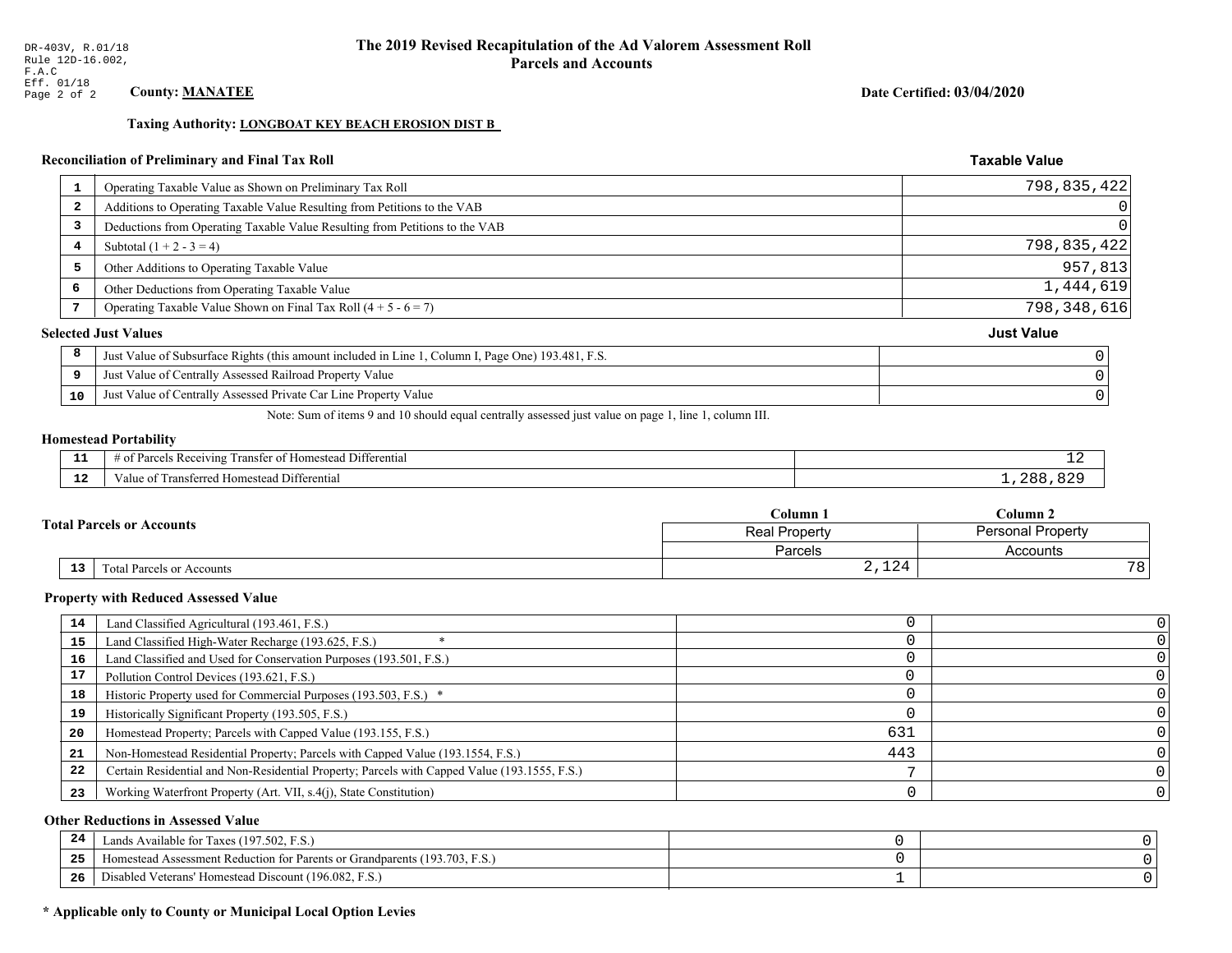## Date Certified: 03/04/2020

**Taxable Value** 

## Taxing Authority: LONGBOAT KEY BEACH EROSION DIST B

## Reconciliation of Preliminary and Final Tax Roll

|    | Operating Taxable Value as Shown on Preliminary Tax Roll                                           | 798,835,422       |
|----|----------------------------------------------------------------------------------------------------|-------------------|
|    | Additions to Operating Taxable Value Resulting from Petitions to the VAB<br>$\overline{2}$         | $\vert 0 \vert$   |
|    | Deductions from Operating Taxable Value Resulting from Petitions to the VAB<br>3                   | 0                 |
|    | Subtotal $(1 + 2 - 3 = 4)$<br>4                                                                    | 798,835,422       |
|    | 5<br>Other Additions to Operating Taxable Value                                                    | 957,813           |
| 6  | Other Deductions from Operating Taxable Value                                                      | 1,444,619         |
|    | Operating Taxable Value Shown on Final Tax Roll $(4 + 5 - 6 = 7)$                                  | 798, 348, 616     |
|    | <b>Selected Just Values</b>                                                                        | <b>Just Value</b> |
| 8  | Just Value of Subsurface Rights (this amount included in Line 1, Column I, Page One) 193.481, F.S. |                   |
| 9  | Just Value of Centrally Assessed Railroad Property Value                                           |                   |
| 10 | Just Value of Centrally Assessed Private Car Line Property Value                                   |                   |
|    |                                                                                                    |                   |

Note: Sum of items 9 and 10 should equal centrally assessed just value on page 1, line 1, column III.

## **Homestead Portability**

l,

| - 3   | $\sim$ $\sim$<br>l Differential<br>els Receiving<br>ranster of<br>f Homestead<br>arce <sup>r</sup><br>ിവ<br>. . | --  |
|-------|-----------------------------------------------------------------------------------------------------------------|-----|
| - - - | Fransferred Homestead Differential                                                                              | ገጸአ |
| -44   | alue                                                                                                            | OZ. |

|                 |                                  | Column 1                                  | $C$ olumn 2 |                 |
|-----------------|----------------------------------|-------------------------------------------|-------------|-----------------|
|                 | <b>Fotal Parcels or Accounts</b> | <b>Personal Property</b><br>Real Property |             |                 |
|                 |                                  | Parcels                                   | Accounts    |                 |
| 13 <sub>1</sub> | Total Parcels or Accounts        | 2,124                                     |             | 78 <sub>1</sub> |

#### **Property with Reduced Assessed Value**

| 14 | Land Classified Agricultural (193.461, F.S.)                                                 |     |  |
|----|----------------------------------------------------------------------------------------------|-----|--|
| 15 | Land Classified High-Water Recharge (193.625, F.S.)                                          |     |  |
| 16 | Land Classified and Used for Conservation Purposes (193.501, F.S.)                           |     |  |
| 17 | Pollution Control Devices (193.621, F.S.)                                                    |     |  |
| 18 | Historic Property used for Commercial Purposes (193.503, F.S.) *                             |     |  |
| 19 | Historically Significant Property (193.505, F.S.)                                            |     |  |
| 20 | Homestead Property; Parcels with Capped Value (193.155, F.S.)                                | 631 |  |
| 21 | Non-Homestead Residential Property; Parcels with Capped Value (193.1554, F.S.)               | 443 |  |
| 22 | Certain Residential and Non-Residential Property; Parcels with Capped Value (193.1555, F.S.) |     |  |
| 23 | Working Waterfront Property (Art. VII, s.4(j), State Constitution)                           |     |  |

## **Other Reductions in Assessed Value**

| 24    | Lands Available for Taxes (197.502, F.S.)                                  |  |
|-------|----------------------------------------------------------------------------|--|
| - - - | Iomestead Assessment Reduction for Parents or Grandparents (193.703, F.S.) |  |
| -26   | Disabled Veterans' Homestead Discount (196.082, F.S.)                      |  |

## \* Applicable only to County or Municipal Local Option Levies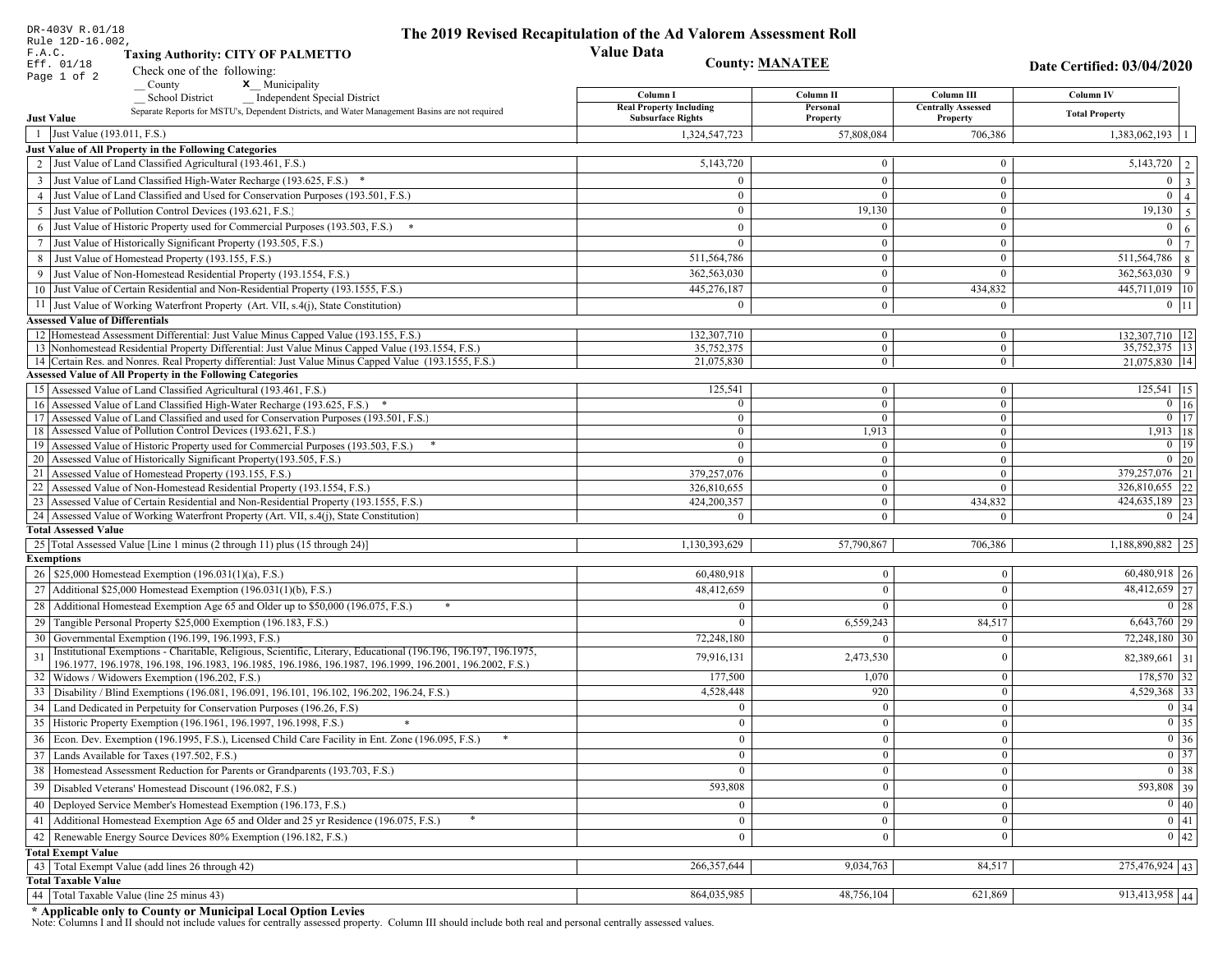| DR-403V R.01/18<br>Rule 12D-16.002,                                                                                                                                               |                                                                                                                  | The 2019 Revised Recapitulation of the Ad Valorem Assessment Roll |                            |                                       |                                                                                                   |
|-----------------------------------------------------------------------------------------------------------------------------------------------------------------------------------|------------------------------------------------------------------------------------------------------------------|-------------------------------------------------------------------|----------------------------|---------------------------------------|---------------------------------------------------------------------------------------------------|
| F.A.C.<br><b>Taxing Authority: CITY OF PALMETTO</b>                                                                                                                               |                                                                                                                  | <b>Value Data</b>                                                 |                            |                                       |                                                                                                   |
| Eff. 01/18<br>Check one of the following:                                                                                                                                         |                                                                                                                  |                                                                   | <b>County: MANATEE</b>     |                                       | Date Certified: 03/04/2020                                                                        |
| Page 1 of 2<br>County                                                                                                                                                             | x Municipality                                                                                                   |                                                                   |                            |                                       |                                                                                                   |
| <b>School District</b>                                                                                                                                                            | <b>Independent Special District</b>                                                                              | Column I                                                          | Column <sub>II</sub>       | Column III                            | Column IV                                                                                         |
| <b>Just Value</b>                                                                                                                                                                 | Separate Reports for MSTU's, Dependent Districts, and Water Management Basins are not required                   | <b>Real Property Including</b><br><b>Subsurface Rights</b>        | Personal<br>Property       | <b>Centrally Assessed</b><br>Property | <b>Total Property</b>                                                                             |
| 1 Just Value (193.011, F.S.)                                                                                                                                                      |                                                                                                                  | 1,324,547,723                                                     | 57.808.084                 | 706,386                               | 1,383,062,193                                                                                     |
| Just Value of All Property in the Following Categories                                                                                                                            |                                                                                                                  |                                                                   |                            |                                       |                                                                                                   |
| 2 Just Value of Land Classified Agricultural (193.461, F.S.)                                                                                                                      |                                                                                                                  | 5,143,720                                                         | $\overline{0}$             | $\bf{0}$                              | 5,143,720<br>2                                                                                    |
| 3 Just Value of Land Classified High-Water Recharge (193.625, F.S.) *                                                                                                             |                                                                                                                  | $\theta$                                                          | $\theta$                   | $\overline{0}$                        | $\overline{0}$<br>$\overline{\mathbf{3}}$                                                         |
| 4 Just Value of Land Classified and Used for Conservation Purposes (193.501, F.S.)                                                                                                |                                                                                                                  | $\Omega$                                                          | $\Omega$                   | $\bf{0}$                              | $\overline{0}$<br>$\overline{4}$                                                                  |
| 5 Just Value of Pollution Control Devices (193.621, F.S.)                                                                                                                         |                                                                                                                  | $\overline{0}$                                                    | 19,130                     | $\bf{0}$                              | 19,130<br>5                                                                                       |
| Just Value of Historic Property used for Commercial Purposes (193.503, F.S.)<br>6                                                                                                 |                                                                                                                  | $\theta$                                                          | $\Omega$                   | $\mathbf{0}$                          | $\overline{0}$<br>6                                                                               |
| Just Value of Historically Significant Property (193.505, F.S.)<br>7                                                                                                              |                                                                                                                  | $\overline{0}$                                                    | $\overline{0}$             | $\boldsymbol{0}$                      | $\mathbf{0}$<br>$\overline{7}$                                                                    |
| 8 Just Value of Homestead Property (193.155, F.S.)                                                                                                                                |                                                                                                                  | 511,564,786                                                       | $\mathbf{0}$               | $\boldsymbol{0}$                      | 511,564,786<br>8                                                                                  |
| Just Value of Non-Homestead Residential Property (193.1554, F.S.)                                                                                                                 |                                                                                                                  | 362,563,030                                                       | $\overline{0}$             | $\theta$                              | 362,563,030<br>9                                                                                  |
| 10 Just Value of Certain Residential and Non-Residential Property (193.1555, F.S.)                                                                                                |                                                                                                                  | 445,276,187                                                       | $\overline{0}$             | 434,832                               | 445,711,019 10                                                                                    |
| 11 Just Value of Working Waterfront Property (Art. VII, s.4(j), State Constitution)                                                                                               |                                                                                                                  | $\Omega$                                                          | $\overline{0}$             | $\mathbf{0}$                          | $0$ 11                                                                                            |
| <b>Assessed Value of Differentials</b>                                                                                                                                            |                                                                                                                  |                                                                   |                            |                                       |                                                                                                   |
| 12 Homestead Assessment Differential: Just Value Minus Capped Value (193.155, F.S.)                                                                                               |                                                                                                                  | 132,307,710                                                       | $\overline{0}$             | $\bf{0}$                              | 132,307,710 12                                                                                    |
| 13 Nonhomestead Residential Property Differential: Just Value Minus Capped Value (193.1554, F.S.)                                                                                 |                                                                                                                  | 35,752,375                                                        | $\overline{0}$             | $\overline{0}$                        | 35, 752, 375   13                                                                                 |
| 14 Certain Res. and Nonres. Real Property differential: Just Value Minus Capped Value (193.1555, F.S.)                                                                            |                                                                                                                  | 21,075,830                                                        | $\overline{0}$             | $\mathbf{0}$                          | 21,075,830   14                                                                                   |
| <b>Assessed Value of All Property in the Following Categories</b>                                                                                                                 |                                                                                                                  |                                                                   |                            |                                       |                                                                                                   |
| 15 Assessed Value of Land Classified Agricultural (193.461, F.S.)                                                                                                                 |                                                                                                                  | 125,541                                                           | $\overline{0}$             | $\bf{0}$                              | $125,541$ 15                                                                                      |
| 16 Assessed Value of Land Classified High-Water Recharge (193.625, F.S.) *                                                                                                        |                                                                                                                  | $\overline{0}$                                                    | $\overline{0}$             | $\overline{0}$                        | $0$ 16                                                                                            |
| 17 Assessed Value of Land Classified and used for Conservation Purposes (193.501, F.S.)                                                                                           |                                                                                                                  | $\overline{0}$                                                    | $\overline{0}$             | $\mathbf{0}$                          | $\boxed{0}$ $\boxed{17}$                                                                          |
| 18 Assessed Value of Pollution Control Devices (193.621, F.S.)                                                                                                                    |                                                                                                                  | $\bf{0}$                                                          | 1,913                      | $\overline{0}$                        | 1,913   18                                                                                        |
| 19 Assessed Value of Historic Property used for Commercial Purposes (193.503, F.S.)                                                                                               |                                                                                                                  | $\bf{0}$                                                          | $\bf{0}$                   | $\bf{0}$                              | $0$   19                                                                                          |
| 20 Assessed Value of Historically Significant Property (193.505, F.S.)                                                                                                            |                                                                                                                  | $\theta$                                                          | $\mathbf{0}$               | $\mathbf{0}$                          | $0\quad20$                                                                                        |
| 21 Assessed Value of Homestead Property (193.155, F.S.)                                                                                                                           |                                                                                                                  | 379,257,076                                                       | $\overline{0}$             | $\mathbf{0}$                          | 379,257,076 21                                                                                    |
| 22 Assessed Value of Non-Homestead Residential Property (193.1554, F.S.)                                                                                                          |                                                                                                                  | 326,810,655                                                       | $\overline{0}$             | $\overline{0}$                        | 326,810,655 22                                                                                    |
| 23 Assessed Value of Certain Residential and Non-Residential Property (193.1555, F.S.)<br>24 Assessed Value of Working Waterfront Property (Art. VII, s.4(j), State Constitution) |                                                                                                                  | 424,200,357<br>$\Omega$                                           | $\overline{0}$<br>$\theta$ | 434,832<br>$\Omega$                   | 424,635,189 23<br>$0 \quad 24$                                                                    |
| <b>Total Assessed Value</b>                                                                                                                                                       |                                                                                                                  |                                                                   |                            |                                       |                                                                                                   |
| 25 Total Assessed Value [Line 1 minus (2 through 11) plus (15 through 24)]                                                                                                        |                                                                                                                  | 1,130,393,629                                                     | 57,790,867                 | 706,386                               | 1,188,890,882 25                                                                                  |
| <b>Exemptions</b>                                                                                                                                                                 |                                                                                                                  |                                                                   |                            |                                       |                                                                                                   |
| 26   \$25,000 Homestead Exemption (196.031(1)(a), F.S.)                                                                                                                           |                                                                                                                  | 60,480,918                                                        | $\bf{0}$                   | $\mathbf{0}$                          | $60,480,918$   26                                                                                 |
| 27   Additional \$25,000 Homestead Exemption $(196.031(1)(b), F.S.)$                                                                                                              |                                                                                                                  | 48,412,659                                                        | $\Omega$                   | $\theta$                              | 48,412,659 27                                                                                     |
| 28 Additional Homestead Exemption Age 65 and Older up to \$50,000 (196.075, F.S.)                                                                                                 |                                                                                                                  | $\Omega$                                                          | $\Omega$                   | $\Omega$                              | 0 28                                                                                              |
|                                                                                                                                                                                   |                                                                                                                  |                                                                   |                            |                                       | $6,643,760$ 29                                                                                    |
| 29 Tangible Personal Property \$25,000 Exemption (196.183, F.S.)                                                                                                                  |                                                                                                                  | $\Omega$                                                          | 6,559,243                  | 84,517                                |                                                                                                   |
| 30 Governmental Exemption (196.199, 196.1993, F.S.)                                                                                                                               | Institutional Exemptions - Charitable, Religious, Scientific, Literary, Educational (196.196, 196.197, 196.1975, | 72,248,180                                                        | $\Omega$                   |                                       | 72,248,180 30                                                                                     |
| 31                                                                                                                                                                                | 196.1977, 196.1978, 196.198, 196.1983, 196.1985, 196.1986, 196.1987, 196.1999, 196.2001, 196.2002, F.S.)         | 79,916,131                                                        | 2,473,530                  | 0                                     | 82,389,661 31                                                                                     |
| 32   Widows / Widowers Exemption (196.202, F.S.)                                                                                                                                  |                                                                                                                  | 177,500                                                           | 1,070                      | $\overline{0}$                        | $178,570$ 32                                                                                      |
| 33 Disability / Blind Exemptions (196.081, 196.091, 196.101, 196.102, 196.202, 196.24, F.S.)                                                                                      |                                                                                                                  | 4,528,448                                                         | 920                        | $\Omega$                              | 4,529,368 33                                                                                      |
| 34 Land Dedicated in Perpetuity for Conservation Purposes (196.26, F.S)                                                                                                           |                                                                                                                  | $\Omega$                                                          | $\Omega$                   | $\theta$                              | $\boxed{0}$ 34                                                                                    |
| 35 Historic Property Exemption (196.1961, 196.1997, 196.1998, F.S.)                                                                                                               |                                                                                                                  | $\cup$                                                            | $\mathbf{0}$               | $\mathbf{0}$                          |                                                                                                   |
| 36 Econ. Dev. Exemption (196.1995, F.S.), Licensed Child Care Facility in Ent. Zone (196.095, F.S.)                                                                               |                                                                                                                  | $\overline{0}$                                                    | $\Omega$                   | $\theta$                              |                                                                                                   |
| 37 Lands Available for Taxes (197.502, F.S.)                                                                                                                                      |                                                                                                                  | $\overline{0}$                                                    | $\theta$                   | $\theta$                              | $\begin{array}{ c c }\n\hline\n0 & 35 \\ \hline\n0 & 36 \\ \hline\n0 & 37 \\ \hline\n\end{array}$ |
| 38   Homestead Assessment Reduction for Parents or Grandparents (193.703, F.S.)                                                                                                   |                                                                                                                  | $\mathbf{0}$                                                      | $\bf{0}$                   | $\mathbf{0}$                          | $\boxed{0}$ 38                                                                                    |
| Disabled Veterans' Homestead Discount (196.082, F.S.)<br>39                                                                                                                       |                                                                                                                  | 593,808                                                           |                            | $\boldsymbol{0}$                      | 593,808 39                                                                                        |
| 40 Deployed Service Member's Homestead Exemption (196.173, F.S.)                                                                                                                  |                                                                                                                  |                                                                   |                            |                                       | $\overline{0}$ 40                                                                                 |
|                                                                                                                                                                                   |                                                                                                                  | $\overline{0}$                                                    | $\Omega$                   | $\theta$                              | $\overline{0}$ 41                                                                                 |
| 41 Additional Homestead Exemption Age 65 and Older and 25 yr Residence (196.075, F.S.)                                                                                            |                                                                                                                  | $\mathbf{0}$                                                      | $\boldsymbol{0}$           | $\mathbf{0}$                          |                                                                                                   |
| Renewable Energy Source Devices 80% Exemption (196.182, F.S.)<br>42                                                                                                               |                                                                                                                  | $\overline{0}$                                                    | $\bf{0}$                   | $\boldsymbol{0}$                      | $\overline{0}$ 42                                                                                 |
| <b>Total Exempt Value</b>                                                                                                                                                         |                                                                                                                  |                                                                   |                            |                                       |                                                                                                   |
| 43 Total Exempt Value (add lines 26 through 42)                                                                                                                                   |                                                                                                                  | 266, 357, 644                                                     | 9,034,763                  | 84,517                                | 275,476,924 43                                                                                    |
| <b>Total Taxable Value</b><br>Total Taxable Value (line 25 minus 43)<br>44                                                                                                        |                                                                                                                  | 864,035,985                                                       | 48,756,104                 | 621,869                               | 913,413,958 44                                                                                    |
|                                                                                                                                                                                   |                                                                                                                  |                                                                   |                            |                                       |                                                                                                   |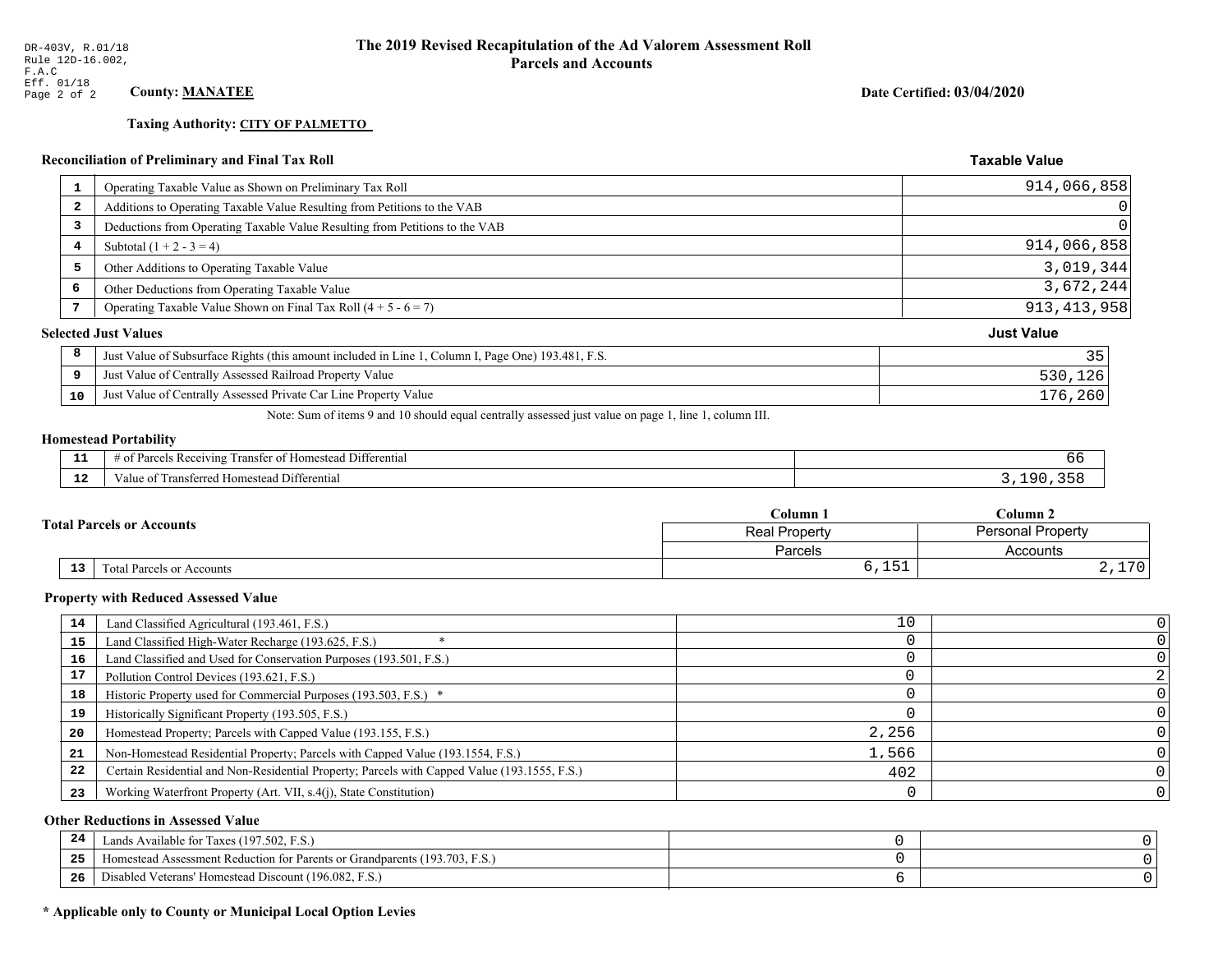**Taxing Authority: CITY OF PALMETTO** 

# **Reconciliation of Preliminary and Final Tax Roll**

|              | <b>Reconciliation of Preliminary and Final Tax Roll</b>                                            | <b>Taxable Value</b> |
|--------------|----------------------------------------------------------------------------------------------------|----------------------|
| 1            | Operating Taxable Value as Shown on Preliminary Tax Roll                                           | 914,066,858          |
| $\mathbf{2}$ | Additions to Operating Taxable Value Resulting from Petitions to the VAB                           |                      |
| 3            | Deductions from Operating Taxable Value Resulting from Petitions to the VAB                        |                      |
| 4            | Subtotal $(1 + 2 - 3 = 4)$                                                                         | 914,066,858          |
| 5            | Other Additions to Operating Taxable Value                                                         | 3,019,344            |
| 6            | Other Deductions from Operating Taxable Value                                                      | 3,672,244            |
| 7            | Operating Taxable Value Shown on Final Tax Roll $(4 + 5 - 6 = 7)$                                  | 913, 413, 958        |
|              | <b>Selected Just Values</b>                                                                        | <b>Just Value</b>    |
| 8            | Just Value of Subsurface Rights (this amount included in Line 1, Column I, Page One) 193.481, F.S. | 35                   |
| 9            | Just Value of Centrally Assessed Railroad Property Value                                           | 530,126              |
| 10           | Just Value of Centrally Assessed Private Car Line Property Value                                   | 176,260              |

Note: Sum of items 9 and 10 should equal centrally assessed just value on page 1, line 1, column III.

# **Homestead Portability**

| $\sim$ | Differential<br>*anste.<br>. Receiving<br>estear.<br>-01<br>- arce -<br>n<br>. . |  |
|--------|----------------------------------------------------------------------------------|--|
| ---    | Differential<br>rane.<br>Homesteau<br>alue                                       |  |

|                                                     | $C$ olumn $\Box$      | Column 2                    |
|-----------------------------------------------------|-----------------------|-----------------------------|
| <b>Total Parcels or Accounts</b>                    | <b>Real Property</b>  | Personal Property           |
|                                                     | Parcels               | Accounts                    |
| $\overline{13}$<br><b>Total Parcels or Accounts</b> | F <sub>1</sub><br>, , | $\sqrt{2}$<br>ັບ<br>$4, +1$ |

#### **Property with Reduced Assessed Value**

| 14 | Land Classified Agricultural (193.461, F.S.)                                                 | 10    |  |
|----|----------------------------------------------------------------------------------------------|-------|--|
| 15 | Land Classified High-Water Recharge (193.625, F.S.)                                          |       |  |
| 16 | Land Classified and Used for Conservation Purposes (193.501, F.S.)                           |       |  |
| 17 | Pollution Control Devices (193.621, F.S.)                                                    |       |  |
| 18 | Historic Property used for Commercial Purposes (193.503, F.S.) *                             |       |  |
| 19 | Historically Significant Property (193.505, F.S.)                                            |       |  |
| 20 | Homestead Property; Parcels with Capped Value (193.155, F.S.)                                | 2,256 |  |
| 21 | Non-Homestead Residential Property; Parcels with Capped Value (193.1554, F.S.)               | 1,566 |  |
| 22 | Certain Residential and Non-Residential Property; Parcels with Capped Value (193.1555, F.S.) | 402   |  |
| 23 | Working Waterfront Property (Art. VII, s.4(j), State Constitution)                           |       |  |

## **Other Reductions in Assessed Value**

| 24    | Lands Available for Taxes (197.502, F.S.)                                  |  |
|-------|----------------------------------------------------------------------------|--|
| - - - | Iomestead Assessment Reduction for Parents or Grandparents (193.703, F.S.) |  |
| -26   | Disabled Veterans' Homestead Discount (196.082, F.S.)                      |  |

## \* Applicable only to County or Municipal Local Option Levies

Date Certified: 03/04/2020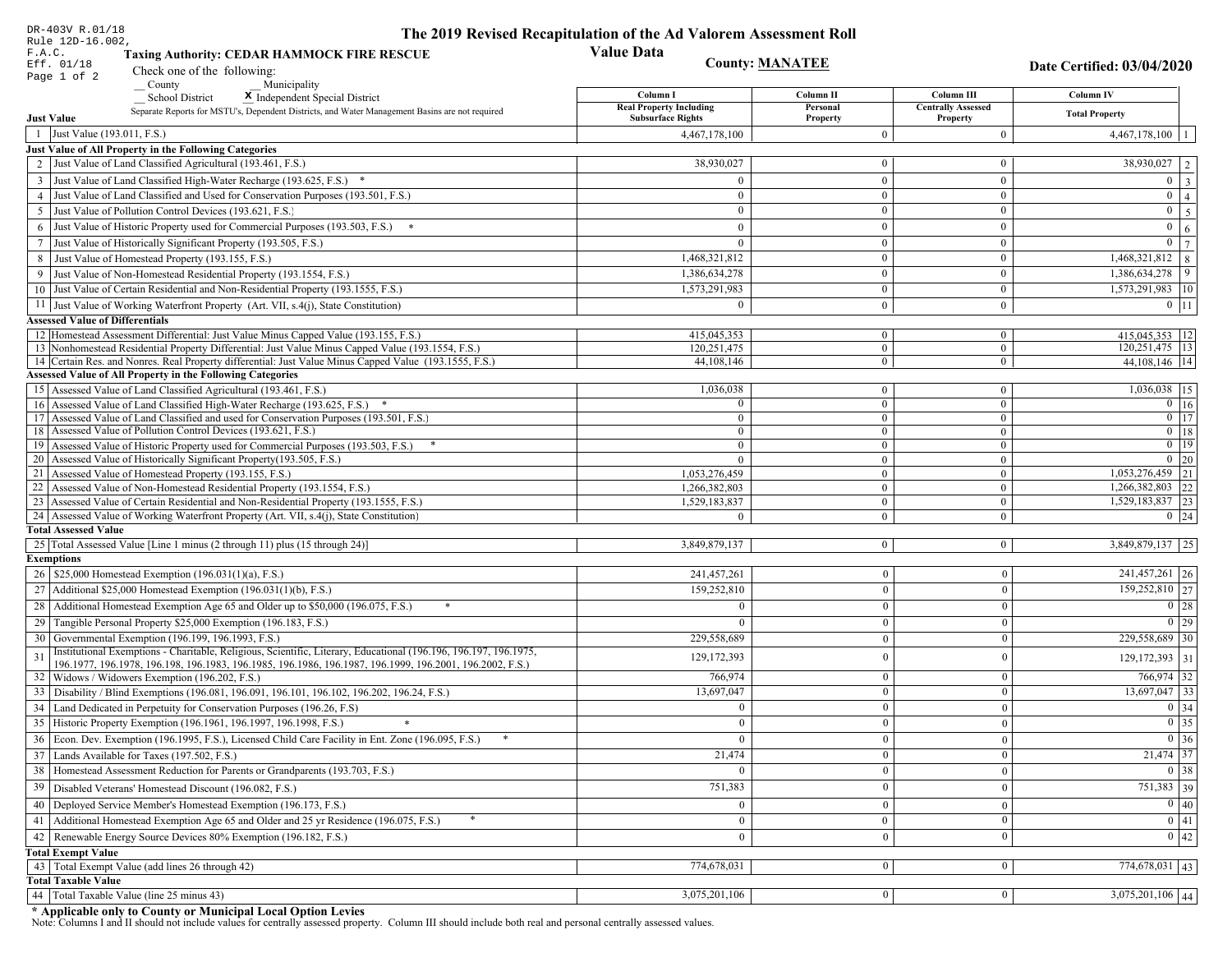| DR-403V R.01/18                                                                                                                                                                   | The 2019 Revised Recapitulation of the Ad Valorem Assessment Roll |                                  |                                       |                                 |
|-----------------------------------------------------------------------------------------------------------------------------------------------------------------------------------|-------------------------------------------------------------------|----------------------------------|---------------------------------------|---------------------------------|
| Rule 12D-16.002,<br>F.A.C.<br><b>Taxing Authority: CEDAR HAMMOCK FIRE RESCUE</b>                                                                                                  | <b>Value Data</b>                                                 |                                  |                                       |                                 |
| Eff. 01/18<br>Check one of the following:                                                                                                                                         | <b>County: MANATEE</b>                                            |                                  |                                       | Date Certified: 03/04/2020      |
| Page 1 of 2<br>County<br>Municipality                                                                                                                                             |                                                                   |                                  |                                       |                                 |
| <b>School District</b><br>X Independent Special District                                                                                                                          | Column I                                                          | Column II                        | Column III                            | <b>Column IV</b>                |
| Separate Reports for MSTU's, Dependent Districts, and Water Management Basins are not required<br><b>Just Value</b>                                                               | <b>Real Property Including</b><br><b>Subsurface Rights</b>        | Personal<br>Property             | <b>Centrally Assessed</b><br>Property | <b>Total Property</b>           |
| 1 Just Value (193.011, F.S.)                                                                                                                                                      | 4,467,178,100                                                     | $\overline{0}$                   | $\boldsymbol{0}$                      | $4,467,178,100$   1             |
| Just Value of All Property in the Following Categories                                                                                                                            |                                                                   |                                  |                                       |                                 |
| 2 Just Value of Land Classified Agricultural (193.461, F.S.)                                                                                                                      | 38,930,027                                                        | $\mathbf{0}$                     | $\bf{0}$                              | $\overline{38,930,027}$   2     |
| 3 Just Value of Land Classified High-Water Recharge (193.625, F.S.) *                                                                                                             | $\Omega$                                                          | $\mathbf{0}$                     | $\bf{0}$                              | $0 \mid 3 \mid$                 |
| 4 Just Value of Land Classified and Used for Conservation Purposes (193.501, F.S.)                                                                                                | $\Omega$                                                          | $\overline{0}$                   | $\bf{0}$                              | $\boxed{0}$ $\boxed{4}$         |
| 5 Just Value of Pollution Control Devices (193.621, F.S.)                                                                                                                         | $\bf{0}$                                                          | $\mathbf{0}$                     | $\bf{0}$                              | $0 \quad 5$                     |
| 6 Just Value of Historic Property used for Commercial Purposes (193.503, F.S.) *                                                                                                  | $\Omega$                                                          | $\theta$                         | $\bf{0}$                              | $\mathbf{0}$<br>6 <sup>1</sup>  |
| 7 Just Value of Historically Significant Property (193.505, F.S.)                                                                                                                 | $\overline{0}$                                                    | $\overline{0}$                   | $\bf{0}$                              | $0 \mid 7 \mid$                 |
| 8 Just Value of Homestead Property (193.155, F.S.)                                                                                                                                | 1,468,321,812                                                     | $\mathbf{0}$                     | $\overline{0}$                        | $1,468,321,812$ 8               |
| 9 Just Value of Non-Homestead Residential Property (193.1554, F.S.)                                                                                                               | 1,386,634,278                                                     | $\overline{0}$                   | $\bf{0}$                              | 1,386,634,278 9                 |
| 10 Just Value of Certain Residential and Non-Residential Property (193.1555, F.S.)                                                                                                | 1,573,291,983                                                     | $\mathbf{0}$                     | $\bf{0}$                              | 1,573,291,983   10              |
| 11 Just Value of Working Waterfront Property (Art. VII, s.4(j), State Constitution)                                                                                               | $\theta$                                                          | $\mathbf{0}$                     | $\bf{0}$                              | $0$   11                        |
| <b>Assessed Value of Differentials</b>                                                                                                                                            |                                                                   |                                  |                                       |                                 |
| 12 Homestead Assessment Differential: Just Value Minus Capped Value (193.155, F.S.)                                                                                               | 415,045,353                                                       | $\bf{0}$                         | $\bf{0}$                              | $415,045,353$ 12                |
| 13 Nonhomestead Residential Property Differential: Just Value Minus Capped Value (193.1554, F.S.)                                                                                 | 120.251.475                                                       | $\overline{0}$                   | $\overline{0}$                        | 120, 251, 475 13                |
| 14 Certain Res. and Nonres. Real Property differential: Just Value Minus Capped Value (193.1555, F.S.)<br>Assessed Value of All Property in the Following Categories              | 44,108,146                                                        | $\overline{0}$                   | $\mathbf{0}$                          | 44, 108, 146   14               |
| 15 Assessed Value of Land Classified Agricultural (193.461, F.S.)                                                                                                                 | 1,036,038                                                         | $\bf{0}$                         | $\bf{0}$                              | 1,036,038 15                    |
| 16 Assessed Value of Land Classified High-Water Recharge (193.625, F.S.) *                                                                                                        | $\Omega$                                                          | $\mathbf{0}$                     | $\bf{0}$                              | $0 \mid 16$                     |
| Assessed Value of Land Classified and used for Conservation Purposes (193.501, F.S.)<br>17                                                                                        | $\theta$                                                          | $\mathbf{0}$                     | $\mathbf{0}$                          | $\boxed{0}$ $\boxed{17}$        |
| 18 Assessed Value of Pollution Control Devices (193.621, F.S.)                                                                                                                    | $\Omega$                                                          | $\mathbf{0}$                     | $\mathbf{0}$                          | $0$ 18                          |
| 19 Assessed Value of Historic Property used for Commercial Purposes (193.503, F.S.)                                                                                               | $\bf{0}$                                                          | $\overline{0}$                   | $\overline{0}$                        | $0$   19                        |
| 20 Assessed Value of Historically Significant Property (193.505, F.S.)                                                                                                            | $\Omega$                                                          | $\overline{0}$                   | $\overline{0}$                        | $0 \mid 20$                     |
| 21 Assessed Value of Homestead Property (193.155, F.S.)                                                                                                                           | 1,053,276,459                                                     | $\overline{0}$                   | $\bf{0}$                              | $1,053,276,459$ 21              |
| 22 Assessed Value of Non-Homestead Residential Property (193.1554, F.S.)                                                                                                          | 1,266,382,803                                                     | $\overline{0}$                   | $\mathbf{0}$                          | $1,266,382,803$ 22              |
| 23 Assessed Value of Certain Residential and Non-Residential Property (193.1555, F.S.)<br>24 Assessed Value of Working Waterfront Property (Art. VII, s.4(j), State Constitution) | 1,529,183,837                                                     | $\overline{0}$<br>$\overline{0}$ | $\bf{0}$<br>$\bf{0}$                  | 1,529,183,837 23<br>$0 \mid 24$ |
| <b>Total Assessed Value</b>                                                                                                                                                       |                                                                   |                                  |                                       |                                 |
| 25 Total Assessed Value [Line 1 minus (2 through 11) plus (15 through 24)]                                                                                                        | 3,849,879,137                                                     | $\overline{0}$                   | $\mathbf{0}$                          | 3,849,879,137 25                |
| <b>Exemptions</b>                                                                                                                                                                 |                                                                   |                                  |                                       |                                 |
| 26   \$25,000 Homestead Exemption (196.031(1)(a), F.S.)                                                                                                                           | 241,457,261                                                       | $\mathbf{0}$                     | $\boldsymbol{0}$                      | 241,457,261 26                  |
| 27   Additional \$25,000 Homestead Exemption (196.031(1)(b), F.S.)                                                                                                                | 159,252,810                                                       | $\Omega$                         | $\mathbf{0}$                          | 159,252,810 27                  |
| 28 Additional Homestead Exemption Age 65 and Older up to \$50,000 (196.075, F.S.)                                                                                                 | $\Omega$                                                          | $\overline{0}$                   | $\mathbf{0}$                          | $\boxed{0}$ 28                  |
| 29 Tangible Personal Property \$25,000 Exemption (196.183, F.S.)                                                                                                                  |                                                                   | $\Omega$                         | $\mathbf{0}$                          | $0$   29                        |
| 30 Governmental Exemption (196.199, 196.1993, F.S.)                                                                                                                               | 229,558,689                                                       | $\mathbf{0}$                     | $\mathbf{0}$                          | 229,558,689 30                  |
| Institutional Exemptions - Charitable, Religious, Scientific, Literary, Educational (196.196, 196.197, 196.1975,                                                                  | 129, 172, 393                                                     | $\theta$                         | $\mathbf{0}$                          | $129, 172, 393$ 31              |
| 196.1977, 196.1978, 196.198, 196.1983, 196.1985, 196.1986, 196.1987, 196.1999, 196.2001, 196.2002, F.S.)                                                                          |                                                                   |                                  |                                       |                                 |
| 32 Widows / Widowers Exemption (196.202, F.S.)                                                                                                                                    | 766,974                                                           | $\mathbf{0}$                     | $\mathbf{0}$                          | 766,974 32                      |
| 33 Disability / Blind Exemptions (196.081, 196.091, 196.101, 196.102, 196.202, 196.24, F.S.)                                                                                      | 13,697,047                                                        | $\overline{0}$                   | $\mathbf{0}$                          | $13,697,047$ 33                 |
| 34 Land Dedicated in Perpetuity for Conservation Purposes (196.26, F.S)                                                                                                           |                                                                   | $\Omega$                         | $\Omega$                              | 0 34                            |
| 35 Historic Property Exemption (196.1961, 196.1997, 196.1998, F.S.)                                                                                                               | 0                                                                 | $\mathbf{U}$                     | $\mathbf{0}$                          | $\boxed{0}$ 35                  |
| 36 Econ. Dev. Exemption (196.1995, F.S.), Licensed Child Care Facility in Ent. Zone (196.095, F.S.)                                                                               |                                                                   | $\Omega$                         | $\Omega$                              | $\boxed{0}$ 36<br>21,474 37     |
| 37 Lands Available for Taxes (197.502, F.S.)                                                                                                                                      | 21,474                                                            | $\Omega$                         | $\mathbf{0}$                          |                                 |
| 38   Homestead Assessment Reduction for Parents or Grandparents (193.703, F.S.)                                                                                                   |                                                                   | $\bf{0}$                         | $\boldsymbol{0}$                      | $0 \mid 38$                     |
| 39   Disabled Veterans' Homestead Discount (196.082, F.S.)                                                                                                                        | 751,383                                                           |                                  | $\mathbf{0}$                          | 751,383 39                      |
| 40 Deployed Service Member's Homestead Exemption (196.173, F.S.)                                                                                                                  |                                                                   | $\theta$                         | $\mathbf{0}$                          | 0 40                            |
| 41   Additional Homestead Exemption Age 65 and Older and 25 yr Residence (196.075, F.S.)                                                                                          | $\mathbf{0}$                                                      | $\mathbf{0}$                     | $\mathbf{0}$                          | $\boxed{0}$ 41                  |
| 42   Renewable Energy Source Devices 80% Exemption (196.182, F.S.)                                                                                                                | $\bf{0}$                                                          | $\mathbf{0}$                     | $\mathbf{0}$                          | $0 \mid 42$                     |
| <b>Total Exempt Value</b>                                                                                                                                                         |                                                                   |                                  |                                       |                                 |
| 43 Total Exempt Value (add lines 26 through 42)<br><b>Total Taxable Value</b>                                                                                                     | 774,678,031                                                       | $\Omega$                         | $\mathbf{0}$                          | 774,678,031 43                  |
| 44   Total Taxable Value (line 25 minus 43)                                                                                                                                       | 3,075,201,106                                                     | 0 <sup>1</sup>                   | $\mathbf{0}$                          | $\overline{3,075,201,106}$ 44   |
|                                                                                                                                                                                   |                                                                   |                                  |                                       |                                 |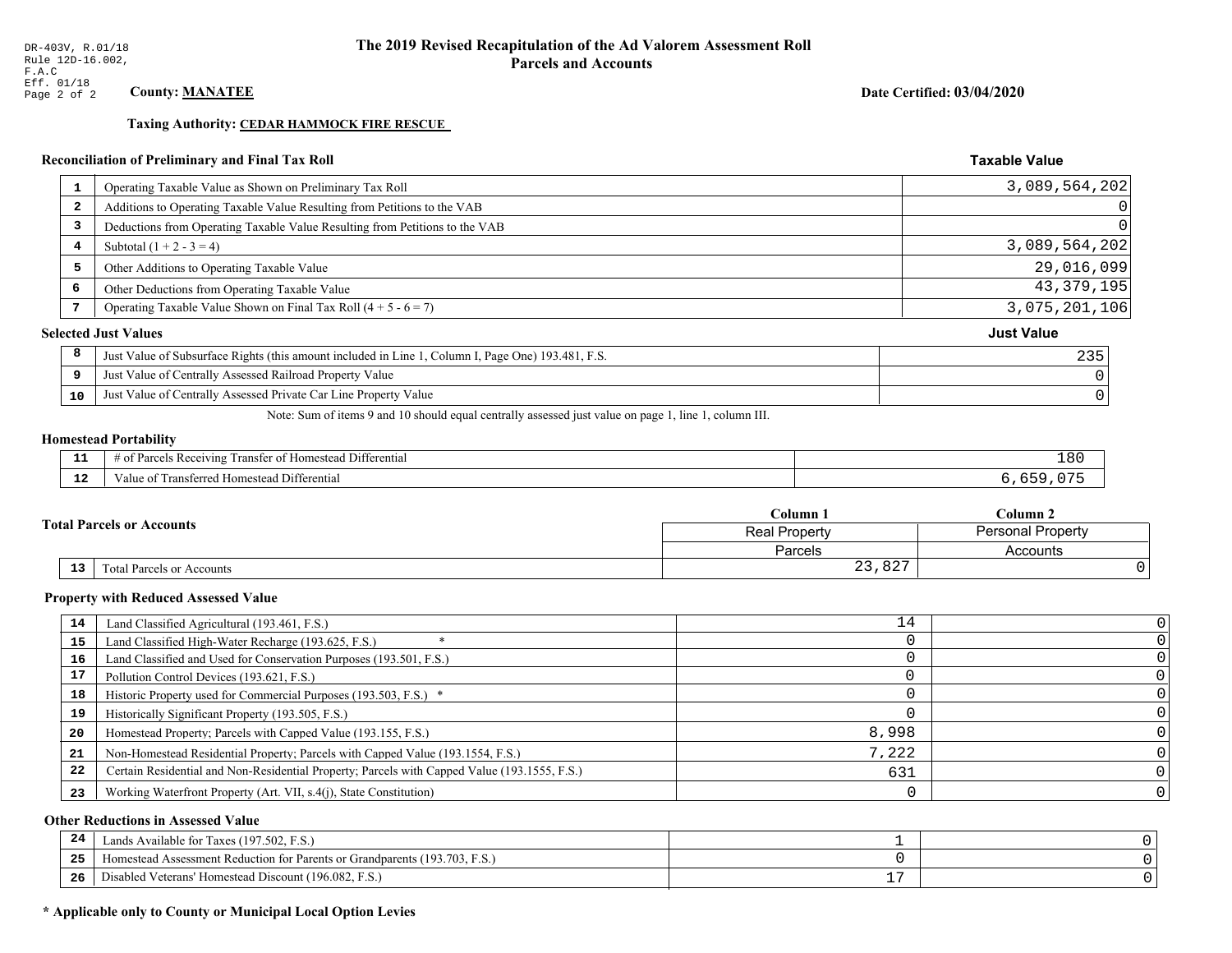**Taxing Authority: CEDAR HAMMOCK FIRE RESCUE** 

## Reconciliation of Preliminary and Final Tax Roll

| 1                       | Operating Taxable Value as Shown on Preliminary Tax Roll                                           | 3,089,564,202     |
|-------------------------|----------------------------------------------------------------------------------------------------|-------------------|
| $\overline{\mathbf{2}}$ | Additions to Operating Taxable Value Resulting from Petitions to the VAB                           |                   |
| 3                       | Deductions from Operating Taxable Value Resulting from Petitions to the VAB                        |                   |
| 4                       | Subtotal $(1 + 2 - 3 = 4)$                                                                         | 3,089,564,202     |
| 5                       | Other Additions to Operating Taxable Value                                                         | 29,016,099        |
| 6                       | Other Deductions from Operating Taxable Value                                                      | 43, 379, 195      |
| 7                       | Operating Taxable Value Shown on Final Tax Roll $(4 + 5 - 6 = 7)$                                  | 3,075,201,106     |
|                         | <b>Selected Just Values</b>                                                                        | <b>Just Value</b> |
| 8                       | Just Value of Subsurface Rights (this amount included in Line 1, Column I, Page One) 193.481, F.S. | 235               |
| 9                       | Just Value of Centrally Assessed Railroad Property Value                                           |                   |
| 10                      | Just Value of Centrally Assessed Private Car Line Property Value                                   |                   |
|                         |                                                                                                    |                   |

Note: Sum of items 9 and 10 should equal centrally assessed just value on page 1, line 1, column III.

#### **Homestead Portability**

| --          | --<br>∵ Rec<br>Differential<br>ranster<br>enving               | 18L |
|-------------|----------------------------------------------------------------|-----|
| $\sim$<br>. | -<br>Jifferential<br>erransterrege :<br>l Homestead<br>aiue of |     |

|                                  | Column 1       | $_{\rm Column~2}$        |  |
|----------------------------------|----------------|--------------------------|--|
| <b>Fotal Parcels or Accounts</b> | Real Property  | <b>Personal Property</b> |  |
|                                  | <b>Parcels</b> | Accounts                 |  |
| 13<br>Total Parcels or Accounts  | 23,827         |                          |  |

#### **Property with Reduced Assessed Value**

| 14 | Land Classified Agricultural (193.461, F.S.)                                                 | 14    |  |
|----|----------------------------------------------------------------------------------------------|-------|--|
| 15 | Land Classified High-Water Recharge (193.625, F.S.)                                          |       |  |
| 16 | Land Classified and Used for Conservation Purposes (193.501, F.S.)                           |       |  |
| 17 | Pollution Control Devices (193.621, F.S.)                                                    |       |  |
| 18 | Historic Property used for Commercial Purposes (193.503, F.S.) *                             |       |  |
| 19 | Historically Significant Property (193.505, F.S.)                                            |       |  |
| 20 | Homestead Property; Parcels with Capped Value (193.155, F.S.)                                | 8,998 |  |
| 21 | Non-Homestead Residential Property; Parcels with Capped Value (193.1554, F.S.)               | 7,222 |  |
| 22 | Certain Residential and Non-Residential Property; Parcels with Capped Value (193.1555, F.S.) | 631   |  |
| 23 | Working Waterfront Property (Art. VII, s.4(j), State Constitution)                           |       |  |

## **Other Reductions in Assessed Value**

| -44 | Available for Taxes (197.502, F.S.)                                          |                          |  |
|-----|------------------------------------------------------------------------------|--------------------------|--|
| 25  | (193.703, F.S.<br>stead Assessment Reduction for Parents or Grandparents (1' |                          |  |
| 26  | isabled Veterans' Homestead Discount (196.082, F.S.)                         | $\overline{\phantom{a}}$ |  |

## \* Applicable only to County or Municipal Local Option Levies

Date Certified: 03/04/2020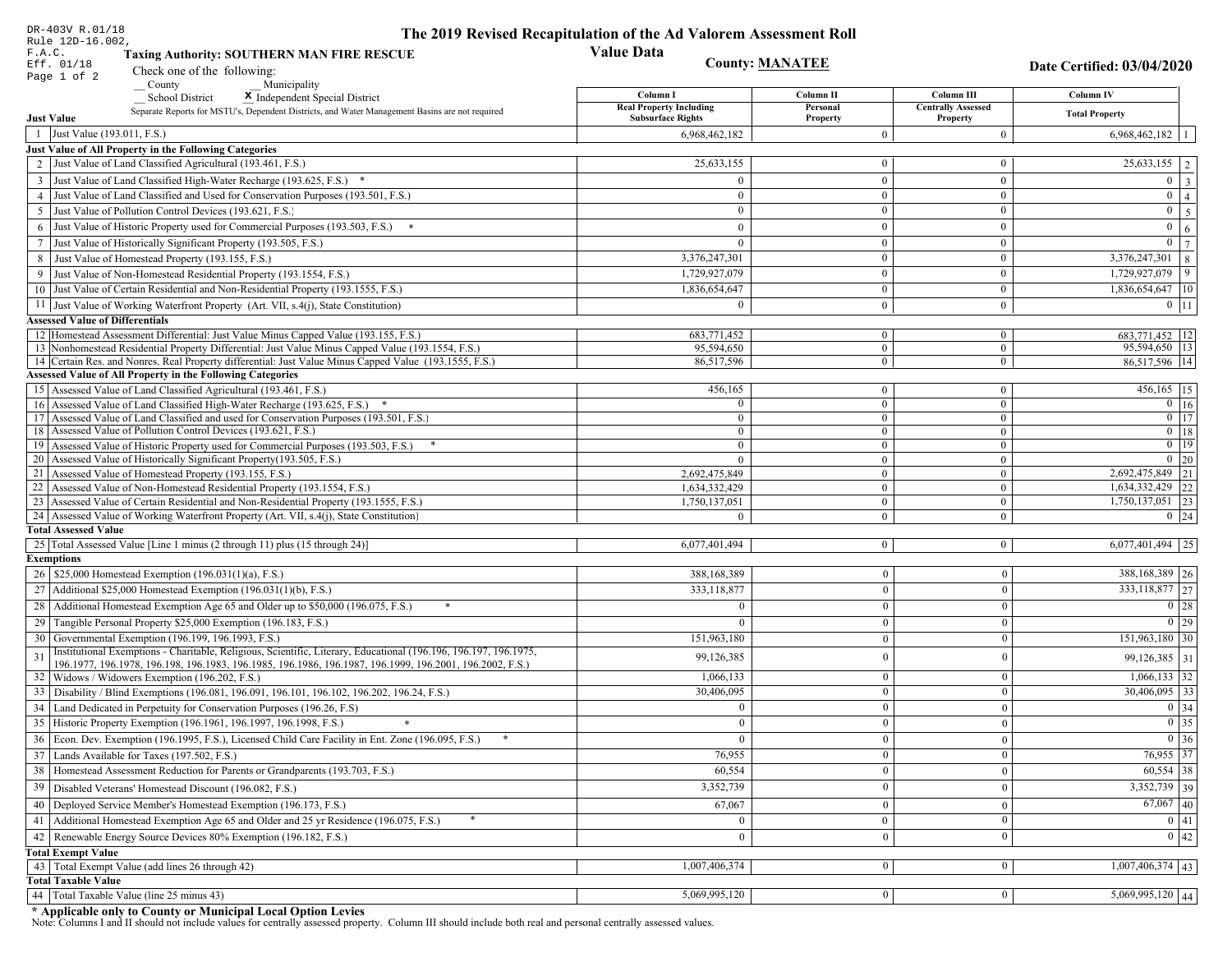| DR-403V R.01/18                                                                                                                                                             | The 2019 Revised Recapitulation of the Ad Valorem Assessment Roll |                              |                                         |                                            |
|-----------------------------------------------------------------------------------------------------------------------------------------------------------------------------|-------------------------------------------------------------------|------------------------------|-----------------------------------------|--------------------------------------------|
| Rule 12D-16.002,<br>F.A.C.<br><b>Taxing Authority: SOUTHERN MAN FIRE RESCUE</b>                                                                                             | <b>Value Data</b>                                                 |                              |                                         |                                            |
| Eff. 01/18<br>Check one of the following:                                                                                                                                   | <b>County: MANATEE</b>                                            |                              |                                         | Date Certified: 03/04/2020                 |
| Page 1 of 2<br>County<br>Municipality                                                                                                                                       |                                                                   |                              |                                         |                                            |
| <b>School District</b><br>X Independent Special District                                                                                                                    | Column I<br><b>Real Property Including</b>                        | Column II<br>Personal        | Column III<br><b>Centrally Assessed</b> | <b>Column IV</b>                           |
| Separate Reports for MSTU's, Dependent Districts, and Water Management Basins are not required<br><b>Just Value</b>                                                         | <b>Subsurface Rights</b>                                          | Property                     | Property                                | <b>Total Property</b>                      |
| 1 Just Value (193.011, F.S.)                                                                                                                                                | 6,968,462,182                                                     | $\Omega$                     | $\boldsymbol{0}$                        | $6,968,462,182$   1                        |
| Just Value of All Property in the Following Categories                                                                                                                      |                                                                   |                              |                                         |                                            |
| 2 Just Value of Land Classified Agricultural (193.461, F.S.)                                                                                                                | 25,633,155                                                        | $\mathbf{0}$                 | $\bf{0}$                                | $25,633,155$   2                           |
| 3 Just Value of Land Classified High-Water Recharge (193.625, F.S.) *                                                                                                       | $\theta$                                                          | $\overline{0}$               | $\bf{0}$                                | $0 \mid 3 \mid$                            |
| 4 Just Value of Land Classified and Used for Conservation Purposes (193.501, F.S.)                                                                                          | $\Omega$                                                          | $\overline{0}$               | $\mathbf{0}$                            | $0 \mid 4 \mid$                            |
| 5 Just Value of Pollution Control Devices (193.621, F.S.)                                                                                                                   | $\overline{0}$                                                    | $\mathbf{0}$                 | $\bf{0}$                                | $0 \quad 5$                                |
| 6 Just Value of Historic Property used for Commercial Purposes (193.503, F.S.) *                                                                                            | $\theta$                                                          | $\theta$                     | $\mathbf{0}$                            | $\mathbf{0}$<br>6 <sup>1</sup>             |
| 7 Just Value of Historically Significant Property (193.505, F.S.)                                                                                                           | $\mathbf{0}$                                                      | $\overline{0}$               | $\mathbf{0}$                            | $0 \mid 7 \mid$                            |
| 8 Just Value of Homestead Property (193.155, F.S.)                                                                                                                          | 3,376,247,301                                                     | $\overline{0}$               | $\overline{0}$                          | $3,376,247,301$ 8                          |
| 9 Just Value of Non-Homestead Residential Property (193.1554, F.S.)                                                                                                         | 1,729,927,079                                                     | $\Omega$                     | $\mathbf{0}$                            | 9 <sup>1</sup><br>1,729,927,079            |
| 10 Just Value of Certain Residential and Non-Residential Property (193.1555, F.S.)                                                                                          | 1,836,654,647                                                     | $\bf{0}$                     | $\bf{0}$                                | $1,836,654,647$   10                       |
| 11 Just Value of Working Waterfront Property (Art. VII, s.4(j), State Constitution)                                                                                         | $\Omega$                                                          | $\bf{0}$                     | $\mathbf{0}$                            | $0 \mid 11$                                |
| <b>Assessed Value of Differentials</b>                                                                                                                                      |                                                                   |                              |                                         |                                            |
| 12 Homestead Assessment Differential: Just Value Minus Capped Value (193.155, F.S.)                                                                                         | 683,771,452                                                       | $\bf{0}$                     | $\overline{0}$                          | 683,771,452 12                             |
| 13 Nonhomestead Residential Property Differential: Just Value Minus Capped Value (193.1554, F.S.)                                                                           | 95,594,650                                                        | $\overline{0}$               | $\overline{0}$<br>$\overline{0}$        | 95,594,650 13                              |
| 14 Certain Res. and Nonres. Real Property differential: Just Value Minus Capped Value (193.1555, F.S.)<br><b>Assessed Value of All Property in the Following Categories</b> | 86,517,596                                                        | $\mathbf{0}$                 |                                         | 86,517,596 14                              |
| 15 Assessed Value of Land Classified Agricultural (193.461, F.S.)                                                                                                           | 456,165                                                           | $\overline{0}$               | $\bf{0}$                                | $456,165$ 15                               |
| 16 Assessed Value of Land Classified High-Water Recharge (193.625, F.S.) *                                                                                                  | $\Omega$                                                          | $\mathbf{0}$                 | $\mathbf{0}$                            | $0 \mid 16$                                |
| 17 Assessed Value of Land Classified and used for Conservation Purposes (193.501, F.S.)                                                                                     | $\Omega$                                                          | $\mathbf{0}$                 | $\overline{0}$                          | $\overline{0}$ $\overline{17}$             |
| 18 Assessed Value of Pollution Control Devices (193.621, F.S.)                                                                                                              | $\Omega$                                                          | $\mathbf{0}$                 | $\mathbf{0}$                            | $0$ 18                                     |
| 19 Assessed Value of Historic Property used for Commercial Purposes (193.503, F.S.)                                                                                         | $\mathbf{0}$                                                      | $\mathbf{0}$                 | $\overline{0}$                          | $0$   19                                   |
| 20 Assessed Value of Historically Significant Property (193.505, F.S.)                                                                                                      | $\Omega$                                                          | $\overline{0}$               | $\overline{0}$                          | $0 \quad 20$                               |
| 21 Assessed Value of Homestead Property (193.155, F.S.)<br>22 Assessed Value of Non-Homestead Residential Property (193.1554, F.S.)                                         | 2,692,475,849<br>1,634,332,429                                    | $\mathbf{0}$<br>$\mathbf{0}$ | $\bf{0}$<br>$\mathbf{0}$                | 2,692,475,849   21  <br>$1,634,332,429$ 22 |
| 23 Assessed Value of Certain Residential and Non-Residential Property (193.1555, F.S.)                                                                                      | 1,750,137,051                                                     | $\mathbf{0}$                 | $\bf{0}$                                | 1,750,137,051 23                           |
| 24 Assessed Value of Working Waterfront Property (Art. VII, s.4(j), State Constitution                                                                                      |                                                                   | $\overline{0}$               | $\bf{0}$                                | $0 \mid 24$                                |
| <b>Total Assessed Value</b>                                                                                                                                                 |                                                                   |                              |                                         |                                            |
| 25 Total Assessed Value [Line 1 minus (2 through 11) plus (15 through 24)]                                                                                                  | 6,077,401,494                                                     | $\overline{0}$               | $\mathbf{0}$                            | $6,077,401,494$   25                       |
| <b>Exemptions</b>                                                                                                                                                           |                                                                   |                              |                                         |                                            |
| 26   \$25,000 Homestead Exemption (196.031(1)(a), F.S.)                                                                                                                     | 388,168,389                                                       | $\mathbf{0}$                 | $\boldsymbol{0}$                        | 388, 168, 389 26                           |
| 27   Additional \$25,000 Homestead Exemption $(196.031(1)(b), F.S.)$                                                                                                        | 333,118,877                                                       | $\overline{0}$               | $\mathbf{0}$                            | 333,118,877 27                             |
| 28 Additional Homestead Exemption Age 65 and Older up to \$50,000 (196.075, F.S.)                                                                                           | $\Omega$                                                          | $\overline{0}$               | $\boldsymbol{0}$                        | $\boxed{0}$ 28                             |
| 29 Tangible Personal Property \$25,000 Exemption (196.183, F.S.)                                                                                                            |                                                                   | $\mathbf{0}$                 | $\boldsymbol{0}$                        | $\boxed{0}$ 29                             |
| 30 Governmental Exemption (196.199, 196.1993, F.S.)                                                                                                                         | 151,963,180                                                       | $\bf{0}$                     | $\mathbf{0}$                            | 151,963,180   30                           |
| Institutional Exemptions - Charitable, Religious, Scientific, Literary, Educational (196.196, 196.197, 196.1975,<br>31                                                      | 99,126,385                                                        | $\mathbf{0}$                 | $\mathbf{0}$                            | $99,126,385$ 31                            |
| 196.1977, 196.1978, 196.198, 196.1983, 196.1985, 196.1986, 196.1987, 196.1999, 196.2001, 196.2002, F.S.)<br>32   Widows / Widowers Exemption (196.202, F.S.)                | 1,066,133                                                         | $\mathbf{0}$                 | $\mathbf{0}$                            | $1,066,133$ 32                             |
| 33<br>Disability / Blind Exemptions (196.081, 196.091, 196.101, 196.102, 196.202, 196.24, F.S.)                                                                             | 30,406,095                                                        | $\overline{0}$               | $\mathbf{0}$                            | $30,406,095$ 33                            |
| Land Dedicated in Perpetuity for Conservation Purposes (196.26, F.S)                                                                                                        | $\Omega$                                                          | $\mathbf{0}$                 | $\theta$                                | 0 34                                       |
| 35 Historic Property Exemption (196.1961, 196.1997, 196.1998, F.S.)                                                                                                         | 0                                                                 | $\mathbf{U}$                 | $\mathbf{0}$                            | $\boxed{0}$ 35                             |
| 36 Econ. Dev. Exemption (196.1995, F.S.), Licensed Child Care Facility in Ent. Zone (196.095, F.S.)                                                                         | $\Omega$                                                          | $\mathbf{0}$                 | $\Omega$                                | $\boxed{0}$ 36                             |
| 37 Lands Available for Taxes (197.502, F.S.)                                                                                                                                | 76,955                                                            | $\mathbf{0}$                 | $\mathbf{0}$                            | 76,955 37                                  |
| 38   Homestead Assessment Reduction for Parents or Grandparents (193.703, F.S.)                                                                                             | 60,554                                                            | $\mathbf{0}$                 | $\boldsymbol{0}$                        | $60,554$ 38                                |
| 39<br>Disabled Veterans' Homestead Discount (196.082, F.S.)                                                                                                                 | 3,352,739                                                         | $\mathbf{0}$                 | $\mathbf{0}$                            | $3,352,739$ 39                             |
| Deployed Service Member's Homestead Exemption (196.173, F.S.)                                                                                                               |                                                                   | $\Omega$                     |                                         | $67,067$ 40                                |
| 40                                                                                                                                                                          | 67,067                                                            |                              | $\mathbf{0}$<br>$\mathbf{0}$            | $\boxed{0}$ 41                             |
| 41   Additional Homestead Exemption Age 65 and Older and 25 yr Residence (196.075, F.S.)                                                                                    | $\mathbf{0}$                                                      | $\overline{0}$               | $\mathbf{0}$                            |                                            |
| 42 Renewable Energy Source Devices 80% Exemption (196.182, F.S.)                                                                                                            | $\mathbf{0}$                                                      | $\mathbf{0}$                 |                                         | 0 42                                       |
| <b>Total Exempt Value</b><br>43 Total Exempt Value (add lines 26 through 42)                                                                                                | 1,007,406,374                                                     | $\mathbf{0}$                 | $\mathbf{0}$                            | $1,007,406,374$ 43                         |
| <b>Total Taxable Value</b>                                                                                                                                                  |                                                                   |                              |                                         |                                            |
| 44   Total Taxable Value (line 25 minus 43)                                                                                                                                 | 5,069,995,120                                                     | 0 <sup>1</sup>               | $\bf{0}$                                | $5,069,995,120$ 44                         |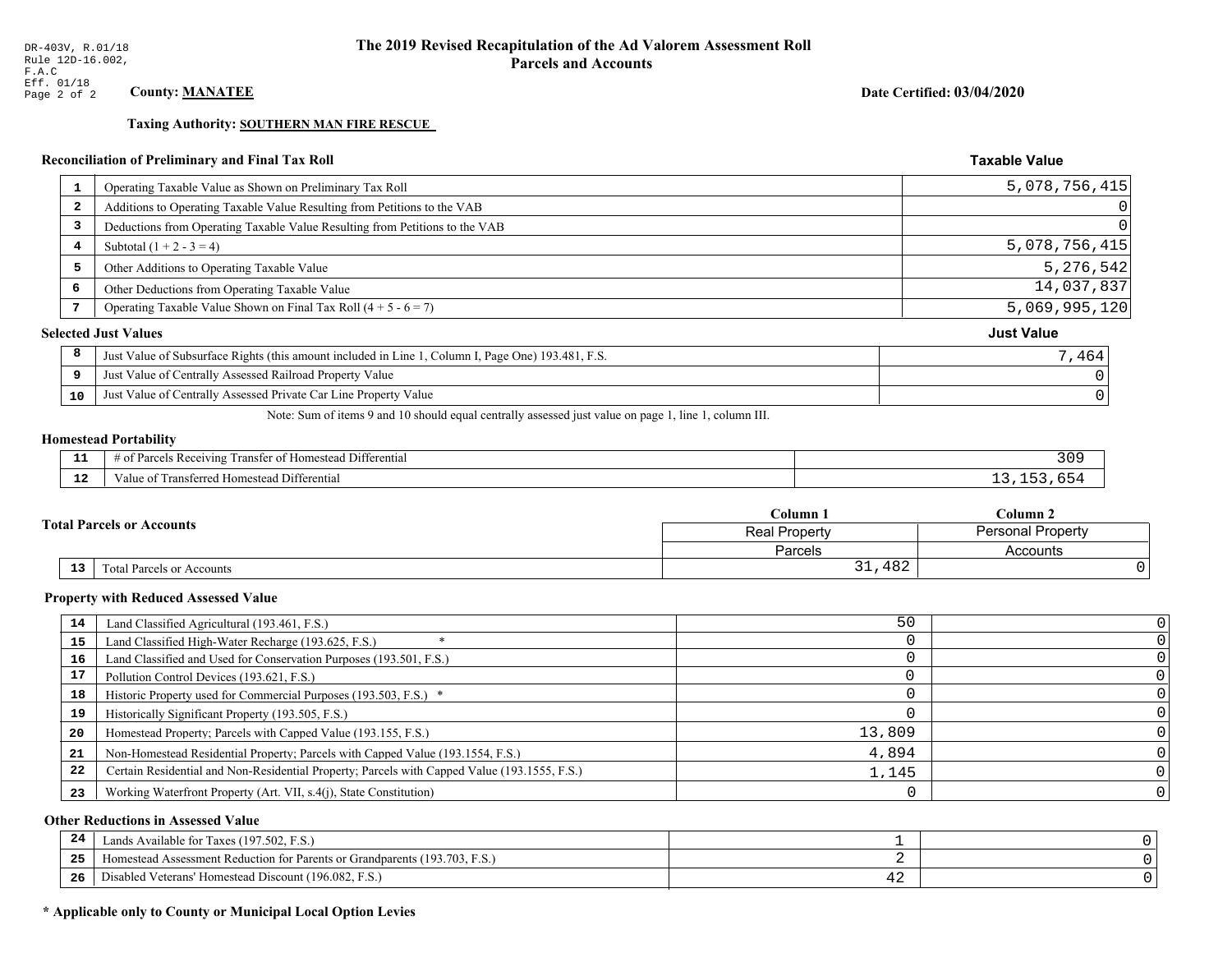**Taxing Authority: SOUTHERN MAN FIRE RESCUE** 

## Reconciliation of Preliminary and Final Tax Roll

| 1                       | Operating Taxable Value as Shown on Preliminary Tax Roll                                           | 5,078,756,415     |
|-------------------------|----------------------------------------------------------------------------------------------------|-------------------|
| $\overline{\mathbf{2}}$ | Additions to Operating Taxable Value Resulting from Petitions to the VAB                           | $\Omega$          |
| 3                       | Deductions from Operating Taxable Value Resulting from Petitions to the VAB                        | $\Omega$          |
| 4                       | Subtotal $(1 + 2 - 3 = 4)$                                                                         | 5,078,756,415     |
| 5                       | Other Additions to Operating Taxable Value                                                         | 5,276,542         |
| 6                       | Other Deductions from Operating Taxable Value                                                      | 14,037,837        |
| 7                       | Operating Taxable Value Shown on Final Tax Roll $(4 + 5 - 6 = 7)$                                  | 5,069,995,120     |
|                         | <b>Selected Just Values</b>                                                                        | <b>Just Value</b> |
| 8                       | Just Value of Subsurface Rights (this amount included in Line 1, Column I, Page One) 193.481, F.S. | 7,464             |
| 9                       | Just Value of Centrally Assessed Railroad Property Value                                           |                   |
| 10                      | Just Value of Centrally Assessed Private Car Line Property Value                                   |                   |
|                         |                                                                                                    |                   |

Note: Sum of items 9 and 10 should equal centrally assessed just value on page 1, line 1, column III.

## **Homestead Portability**

| .           | $\sim$ $\sim$<br>Differential<br>ranster<br>Receiving<br>$-+$<br>estes.<br><b>CHANGE</b><br>' 01<br>arcer-<br>n. | $\sqrt{ }$<br>JU. |
|-------------|------------------------------------------------------------------------------------------------------------------|-------------------|
| $\sim$<br>. | ronc<br>Differential<br>alue<br><b>Homestea</b><br>:11 C O                                                       |                   |

|    |                                  | $\mathbb C$ olumn $\;$ .                  | $C$ olumn 2 |
|----|----------------------------------|-------------------------------------------|-------------|
|    | <b>Total Parcels or Accounts</b> | Personal Property<br><b>Real Property</b> |             |
|    |                                  | Parcels                                   | Accounts    |
| 13 | Fotal Parcels or Accounts        | 31,482                                    |             |

#### **Property with Reduced Assessed Value**

| 14 | Land Classified Agricultural (193.461, F.S.)                                                 | 50     |  |
|----|----------------------------------------------------------------------------------------------|--------|--|
| 15 | Land Classified High-Water Recharge (193.625, F.S.)                                          |        |  |
| 16 | Land Classified and Used for Conservation Purposes (193.501, F.S.)                           |        |  |
| 17 | Pollution Control Devices (193.621, F.S.)                                                    |        |  |
| 18 | Historic Property used for Commercial Purposes (193.503, F.S.) *                             |        |  |
| 19 | Historically Significant Property (193.505, F.S.)                                            |        |  |
| 20 | Homestead Property; Parcels with Capped Value (193.155, F.S.)                                | 13,809 |  |
| 21 | Non-Homestead Residential Property; Parcels with Capped Value (193.1554, F.S.)               | 4,894  |  |
| 22 | Certain Residential and Non-Residential Property; Parcels with Capped Value (193.1555, F.S.) | 1,145  |  |
| 23 | Working Waterfront Property (Art. VII, s.4(j), State Constitution)                           |        |  |

## **Other Reductions in Assessed Value**

| 24    | Lands Available for Taxes (197.502, F.S.)                                  |    |  |
|-------|----------------------------------------------------------------------------|----|--|
| - - - | Iomestead Assessment Reduction for Parents or Grandparents (193.703, F.S.) |    |  |
| -26   | l Veterans' Homestead Discount (196.082, F.S.)<br>Disabled                 | -- |  |

## \* Applicable only to County or Municipal Local Option Levies

Date Certified: 03/04/2020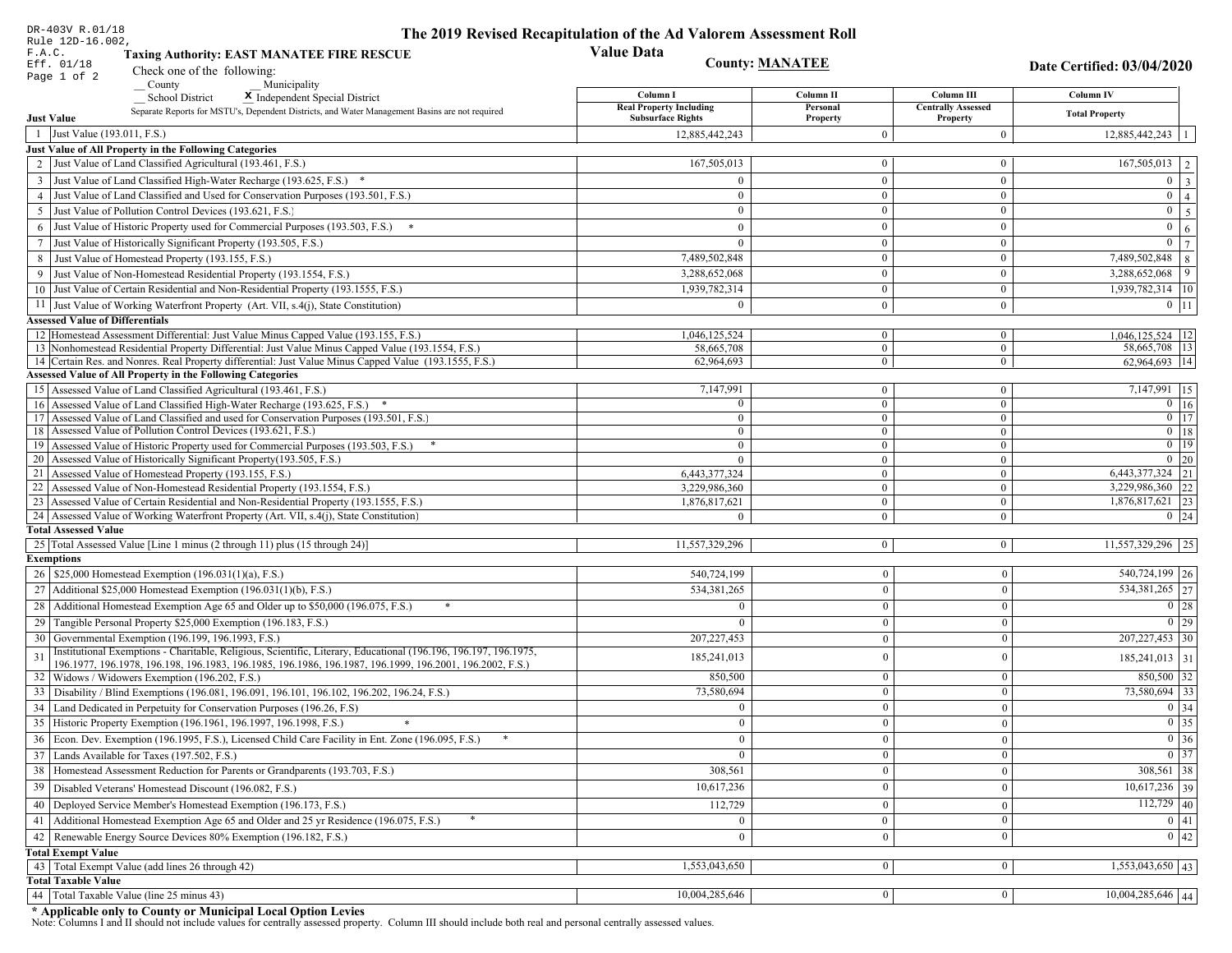|                   | DR-403V R.01/18<br>Rule 12D-16.002,                                                                                                                     | The 2019 Revised Recapitulation of the Ad Valorem Assessment Roll |                                |                                       |                                   |
|-------------------|---------------------------------------------------------------------------------------------------------------------------------------------------------|-------------------------------------------------------------------|--------------------------------|---------------------------------------|-----------------------------------|
| F.A.C.            | <b>Taxing Authority: EAST MANATEE FIRE RESCUE</b>                                                                                                       | <b>Value Data</b>                                                 |                                |                                       |                                   |
|                   | Eff. 01/18<br>Check one of the following:                                                                                                               |                                                                   | <b>County: MANATEE</b>         |                                       |                                   |
|                   | Page 1 of 2<br>County<br>Municipality                                                                                                                   |                                                                   |                                |                                       | Date Certified: 03/04/2020        |
|                   | <b>School District</b><br>X Independent Special District                                                                                                | Column I                                                          | Column II                      | Column III                            | Column IV                         |
| <b>Just Value</b> | Separate Reports for MSTU's, Dependent Districts, and Water Management Basins are not required                                                          | <b>Real Property Including</b><br><b>Subsurface Rights</b>        | Personal<br>Property           | <b>Centrally Assessed</b><br>Property | <b>Total Property</b>             |
|                   | 1 Just Value (193.011, F.S.)                                                                                                                            | 12,885,442,243                                                    | $\Omega$                       | $\theta$                              | 12,885,442,243                    |
|                   | Just Value of All Property in the Following Categories                                                                                                  |                                                                   |                                |                                       |                                   |
|                   | 2 Just Value of Land Classified Agricultural (193.461, F.S.)                                                                                            | 167,505,013                                                       | $\mathbf{0}$                   | $\mathbf{0}$                          | $167,505,013$ 2                   |
| 3                 | Just Value of Land Classified High-Water Recharge (193.625, F.S.) *                                                                                     | $\Omega$                                                          | $\theta$                       | $\theta$                              | $0 \quad 3$                       |
| $\overline{4}$    | Just Value of Land Classified and Used for Conservation Purposes (193.501, F.S.)                                                                        | $\Omega$                                                          | $\mathbf{0}$                   | $\mathbf{0}$                          | $\mathbf{0}$<br>$\overline{4}$    |
| 5                 | Just Value of Pollution Control Devices (193.621, F.S.)                                                                                                 | $\mathbf{0}$                                                      | $\overline{0}$                 | $\mathbf{0}$                          | $\overline{0}$<br>$5\overline{5}$ |
| 6                 | Just Value of Historic Property used for Commercial Purposes (193.503, F.S.) *                                                                          | $\Omega$                                                          | $\theta$                       | $\theta$                              | $\mathbf{0}$<br>6                 |
| 7                 | Just Value of Historically Significant Property (193.505, F.S.)                                                                                         | $\mathbf{0}$                                                      | $\overline{0}$                 | $\overline{0}$                        | $\overline{0}$<br>7               |
| 8                 | Just Value of Homestead Property (193.155, F.S.)                                                                                                        | 7,489,502,848                                                     | $\overline{0}$                 | $\mathbf{0}$                          | 7,489,502,848<br>8                |
|                   | Just Value of Non-Homestead Residential Property (193.1554, F.S.)                                                                                       | 3,288,652,068                                                     | $\mathbf{0}$                   | $\Omega$                              | 9<br>3,288,652,068                |
|                   | 10 Just Value of Certain Residential and Non-Residential Property (193.1555, F.S.)                                                                      | 1,939,782,314                                                     | $\mathbf{0}$                   | $\overline{0}$                        | 1,939,782,314 10                  |
|                   | 11 Just Value of Working Waterfront Property (Art. VII, s.4(j), State Constitution)                                                                     | $\Omega$                                                          | $\mathbf{0}$                   | $\overline{0}$                        | $0 \mid 11$                       |
|                   | <b>Assessed Value of Differentials</b>                                                                                                                  |                                                                   |                                |                                       |                                   |
|                   | 12 Homestead Assessment Differential: Just Value Minus Capped Value (193.155, F.S.)                                                                     | 1,046,125,524                                                     | $\bf{0}$                       | $\mathbf{0}$                          | $1,046,125,524$   12              |
|                   | 13 Nonhomestead Residential Property Differential: Just Value Minus Capped Value (193.1554, F.S.)                                                       | 58.665.708                                                        | $\overline{0}$                 | $\overline{0}$                        | 58,665,708   13                   |
|                   | 14 Certain Res. and Nonres. Real Property differential: Just Value Minus Capped Value (193.1555, F.S.)                                                  | 62,964,693                                                        | $\mathbf{0}$                   | $\overline{0}$                        | 62,964,693 14                     |
|                   | <b>Assessed Value of All Property in the Following Categories</b>                                                                                       |                                                                   |                                |                                       |                                   |
|                   | Assessed Value of Land Classified Agricultural (193.461, F.S.)                                                                                          | 7,147,991                                                         | $\mathbf{0}$                   | $\boldsymbol{0}$                      | $7,147,991$ 15                    |
| 16                | Assessed Value of Land Classified High-Water Recharge (193.625, F.S.) *                                                                                 | $\Omega$                                                          | $\overline{0}$                 | $\Omega$                              | $0$ 16                            |
| 17                | Assessed Value of Land Classified and used for Conservation Purposes (193.501, F.S.)                                                                    | $\Omega$                                                          | $\mathbf{0}$                   | $\mathbf{0}$                          | $\overline{0}$ $\overline{17}$    |
| 18                | Assessed Value of Pollution Control Devices (193.621, F.S.)                                                                                             | $\mathbf{0}$                                                      | $\mathbf{0}$                   | $\theta$                              | $\overline{0}$ 18                 |
| 19                | Assessed Value of Historic Property used for Commercial Purposes (193.503, F.S.)<br>Assessed Value of Historically Significant Property (193.505, F.S.) | $\mathbf{0}$                                                      | $\mathbf{0}$                   | $\mathbf{0}$                          | $0$ 19<br>$0\vert 20$             |
| 20<br>21          | Assessed Value of Homestead Property (193.155, F.S.)                                                                                                    | $\Omega$<br>6,443,377,324                                         | $\overline{0}$<br>$\mathbf{0}$ | $\mathbf{0}$<br>$\boldsymbol{0}$      | $\overline{6,443,377,324}$ 21     |
| 22                | Assessed Value of Non-Homestead Residential Property (193.1554, F.S.)                                                                                   | 3,229,986,360                                                     | $\overline{0}$                 | $\Omega$                              | 3,229,986,360 22                  |
|                   | 23 Assessed Value of Certain Residential and Non-Residential Property (193.1555, F.S.)                                                                  | 1,876,817,621                                                     | $\mathbf{0}$                   | $\mathbf{0}$                          | 1,876,817,621 23                  |
|                   | 24 Assessed Value of Working Waterfront Property (Art. VII, s.4(j), State Constitution                                                                  |                                                                   | $\overline{0}$                 | $\Omega$                              | $0 \mid 24$                       |
|                   | <b>Total Assessed Value</b>                                                                                                                             |                                                                   |                                |                                       |                                   |
|                   | 25 Total Assessed Value [Line 1 minus (2 through 11) plus (15 through 24)]                                                                              | 11,557,329,296                                                    | $\overline{0}$                 | $\mathbf{0}$                          | 11,557,329,296 25                 |
| <b>Exemptions</b> |                                                                                                                                                         |                                                                   |                                |                                       |                                   |
|                   | 26   \$25,000 Homestead Exemption (196.031(1)(a), F.S.)                                                                                                 | 540,724,199                                                       | $\mathbf{0}$                   | $\mathbf{0}$                          | 540,724,199 26                    |
|                   | 27   Additional \$25,000 Homestead Exemption (196.031(1)(b), F.S.)                                                                                      | 534, 381, 265                                                     | $\theta$                       | $\mathbf{0}$                          | 534,381,265 27                    |
|                   | 28 Additional Homestead Exemption Age 65 and Older up to \$50,000 (196.075, F.S.)                                                                       | $\Omega$                                                          | $\theta$                       | $\Omega$                              | $0 \mid 28$                       |
|                   | 29 Tangible Personal Property \$25,000 Exemption (196.183, F.S.)                                                                                        |                                                                   | $\theta$                       | $\mathbf{0}$                          | $\boxed{0}$ 29                    |
|                   | 30 Governmental Exemption (196.199, 196.1993, F.S.)                                                                                                     | 207, 227, 453                                                     |                                | $\mathbf{0}$                          | $\overline{207,227,453}$ 30       |
| 31                | Institutional Exemptions - Charitable, Religious, Scientific, Literary, Educational (196.196, 196.197, 196.1975,                                        | 185,241,013                                                       | $\theta$                       | $\mathbf{0}$                          | $185,241,013$ 31                  |
|                   | 196.1977, 196.1978, 196.198, 196.1983, 196.1985, 196.1986, 196.1987, 196.1999, 196.2001, 196.2002, F.S.)                                                |                                                                   |                                |                                       |                                   |
|                   | 32   Widows / Widowers Exemption (196.202, F.S.)                                                                                                        | 850,500                                                           | $\mathbf{0}$                   | $\mathbf{0}$                          | $850,500$ 32                      |
|                   | 33 Disability / Blind Exemptions (196.081, 196.091, 196.101, 196.102, 196.202, 196.24, F.S.)                                                            | 73,580,694                                                        | $\Omega$                       | $\mathbf{0}$                          | 73,580,694 33                     |
|                   | 34 Land Dedicated in Perpetuity for Conservation Purposes (196.26, F.S)                                                                                 |                                                                   | $\Omega$                       | $\theta$                              | $0 \mid 34$                       |
|                   | 35 Historic Property Exemption (196.1961, 196.1997, 196.1998, F.S.)                                                                                     | 0                                                                 | $\mathbf{0}$                   | $\mathbf{0}$                          | $\boxed{0}$ 35                    |
|                   | 36 Econ. Dev. Exemption (196.1995, F.S.), Licensed Child Care Facility in Ent. Zone (196.095, F.S.)                                                     | $\theta$                                                          | $\theta$                       | $\mathbf{0}$                          | $\boxed{0}$ 36                    |
|                   | 37 Lands Available for Taxes (197.502, F.S.)                                                                                                            |                                                                   | $\theta$                       | $\mathbf{0}$                          | $0 \mid 37$                       |
|                   | 38   Homestead Assessment Reduction for Parents or Grandparents (193.703, F.S.)                                                                         | 308,561                                                           | 0                              | $\boldsymbol{0}$                      | $308,561$ 38                      |
| 39                | Disabled Veterans' Homestead Discount (196.082, F.S.)                                                                                                   | 10,617,236                                                        |                                | $\mathbf{0}$                          | $10,617,236$ 39                   |
| 40                | Deployed Service Member's Homestead Exemption (196.173, F.S.)                                                                                           | 112,729                                                           | $\theta$                       | $\mathbf{0}$                          | $112,729$ 40                      |
|                   | 41 Additional Homestead Exemption Age 65 and Older and 25 yr Residence (196.075, F.S.)                                                                  | $\mathbf{0}$                                                      | $\mathbf{0}$                   | $\boldsymbol{0}$                      | $\boxed{0}$ 41                    |
| 42                | Renewable Energy Source Devices 80% Exemption (196.182, F.S.)                                                                                           | $\mathbf{0}$                                                      | $\mathbf{0}$                   | $\mathbf{0}$                          | 0 42                              |
|                   | <b>Total Exempt Value</b>                                                                                                                               |                                                                   |                                |                                       |                                   |
|                   | 43 Total Exempt Value (add lines 26 through 42)                                                                                                         | 1,553,043,650                                                     | $\Omega$                       | $\overline{0}$                        | $\overline{1,553,043,650}$ 43     |
|                   | <b>Total Taxable Value</b>                                                                                                                              |                                                                   |                                |                                       |                                   |
|                   | 44 Total Taxable Value (line 25 minus 43)                                                                                                               | 10,004,285,646                                                    | $\boldsymbol{0}$               | $\overline{0}$                        | 10,004,285,646 44                 |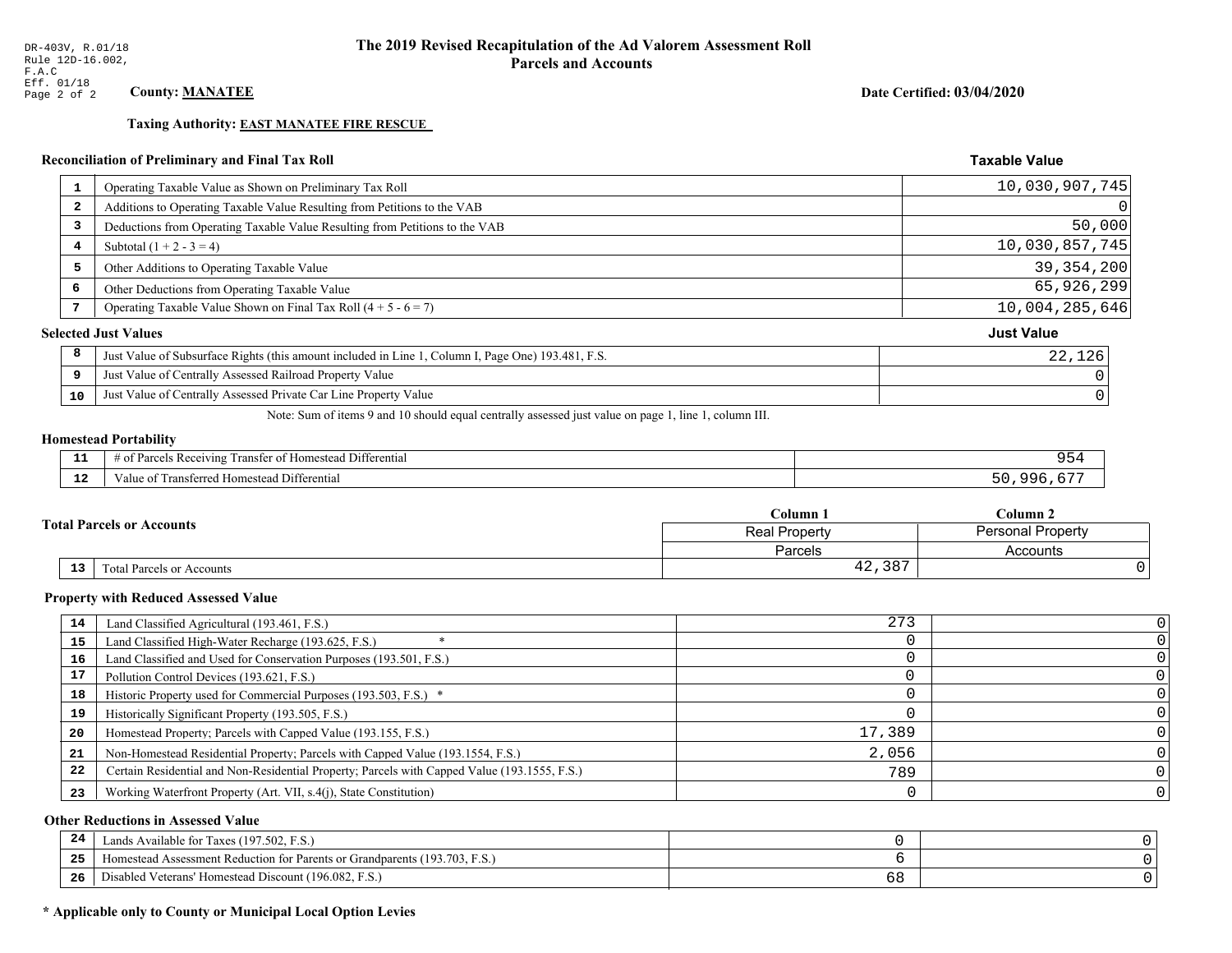**Taxing Authority: EAST MANATEE FIRE RESCUE** 

## Reconciliation of Preliminary and Final Tax Roll

| $\mathbf{1}$            | Operating Taxable Value as Shown on Preliminary Tax Roll                                           | 10,030,907,745    |
|-------------------------|----------------------------------------------------------------------------------------------------|-------------------|
| $\overline{\mathbf{2}}$ | Additions to Operating Taxable Value Resulting from Petitions to the VAB                           | 0                 |
| 3                       | Deductions from Operating Taxable Value Resulting from Petitions to the VAB                        | 50,000            |
| 4                       | Subtotal $(1 + 2 - 3 = 4)$                                                                         | 10,030,857,745    |
| 5                       | Other Additions to Operating Taxable Value                                                         | 39, 354, 200      |
| 6                       | Other Deductions from Operating Taxable Value                                                      | 65,926,299        |
|                         | Operating Taxable Value Shown on Final Tax Roll $(4 + 5 - 6 = 7)$                                  | 10,004,285,646    |
|                         | <b>Selected Just Values</b>                                                                        | <b>Just Value</b> |
| 8                       | Just Value of Subsurface Rights (this amount included in Line 1, Column I, Page One) 193.481, F.S. | 22,126            |
| 9                       | Just Value of Centrally Assessed Railroad Property Value                                           |                   |
| 10                      | Just Value of Centrally Assessed Private Car Line Property Value                                   |                   |
|                         |                                                                                                    |                   |

Note: Sum of items 9 and 10 should equal centrally assessed just value on page 1, line 1, column III.

## **Homestead Portability**

| --            | Differential<br>$\cdot$ D $\circ$<br>ranster<br>enving<br><b>Kt</b> |     |
|---------------|---------------------------------------------------------------------|-----|
| $\sim$<br>. . | <br>Jifferential<br>I ransterred<br><b>Homestead</b><br>'aiue oi    | . . |

|  |                                              | Column 1      | Column 2                 |  |
|--|----------------------------------------------|---------------|--------------------------|--|
|  | <b>Fotal Parcels or Accounts</b>             | Real Property | <b>Personal Property</b> |  |
|  |                                              | Parcels       | Accounts                 |  |
|  | 13 <sub>1</sub><br>Total Parcels or Accounts | 42,387        |                          |  |

#### **Property with Reduced Assessed Value**

| 14 | Land Classified Agricultural (193.461, F.S.)                                                 | 273    |  |
|----|----------------------------------------------------------------------------------------------|--------|--|
| 15 | Land Classified High-Water Recharge (193.625, F.S.)                                          |        |  |
| 16 | Land Classified and Used for Conservation Purposes (193.501, F.S.)                           |        |  |
| 17 | Pollution Control Devices (193.621, F.S.)                                                    |        |  |
| 18 | Historic Property used for Commercial Purposes (193.503, F.S.) *                             |        |  |
| 19 | Historically Significant Property (193.505, F.S.)                                            |        |  |
| 20 | Homestead Property; Parcels with Capped Value (193.155, F.S.)                                | 17,389 |  |
| 21 | Non-Homestead Residential Property; Parcels with Capped Value (193.1554, F.S.)               | 2,056  |  |
| 22 | Certain Residential and Non-Residential Property; Parcels with Capped Value (193.1555, F.S.) | 789    |  |
| 23 | Working Waterfront Property (Art. VII, s.4(j), State Constitution)                           |        |  |

## **Other Reductions in Assessed Value**

| 24    | Lands Available for Taxes (197.502, F.S.)                                  |     |  |
|-------|----------------------------------------------------------------------------|-----|--|
| - - - | Iomestead Assessment Reduction for Parents or Grandparents (193.703, F.S.) |     |  |
| -26   | l Veterans' Homestead Discount (196.082, F.S.)<br>Disabled                 | ৩ ୪ |  |

## \* Applicable only to County or Municipal Local Option Levies

Date Certified: 03/04/2020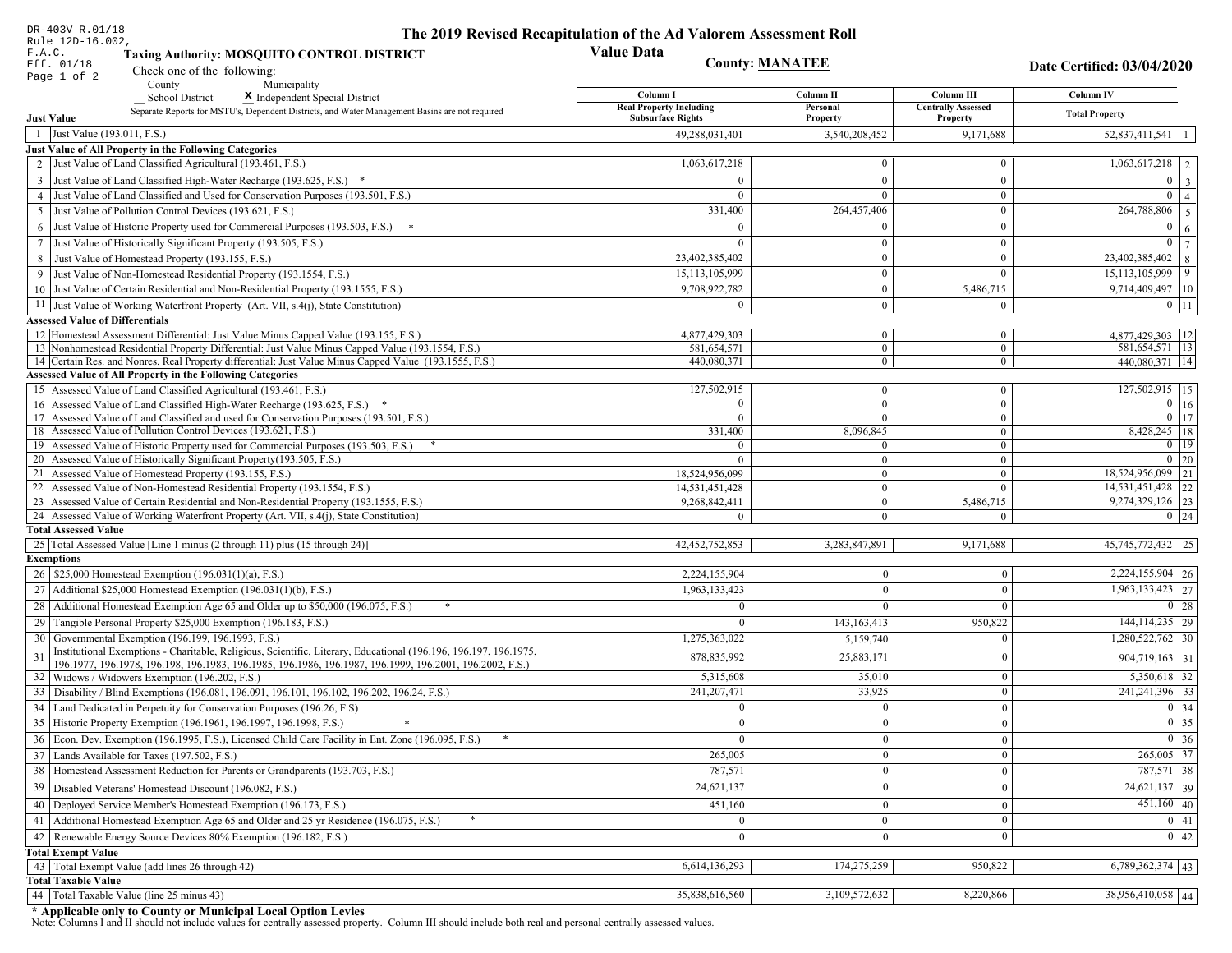| DR-403V R.01/18                                                                                                                                                                                             | The 2019 Revised Recapitulation of the Ad Valorem Assessment Roll |                                  |                                         |                                      |
|-------------------------------------------------------------------------------------------------------------------------------------------------------------------------------------------------------------|-------------------------------------------------------------------|----------------------------------|-----------------------------------------|--------------------------------------|
| Rule 12D-16.002,<br>F.A.C.<br><b>Taxing Authority: MOSQUITO CONTROL DISTRICT</b>                                                                                                                            | <b>Value Data</b>                                                 |                                  |                                         |                                      |
| Eff. 01/18<br>Check one of the following:                                                                                                                                                                   |                                                                   | <b>County: MANATEE</b>           |                                         | Date Certified: 03/04/2020           |
| Page 1 of 2<br>County<br>Municipality                                                                                                                                                                       |                                                                   |                                  |                                         |                                      |
| <b>School District</b><br>X Independent Special District                                                                                                                                                    | Column I<br><b>Real Property Including</b>                        | Column II<br>Personal            | Column III<br><b>Centrally Assessed</b> | Column IV                            |
| Separate Reports for MSTU's, Dependent Districts, and Water Management Basins are not required<br><b>Just Value</b>                                                                                         | <b>Subsurface Rights</b>                                          | Property                         | Property                                | <b>Total Property</b>                |
| 1 Just Value (193.011, F.S.)                                                                                                                                                                                | 49,288,031,401                                                    | 3,540,208,452                    | 9,171,688                               | $52,837,411,541$   1                 |
| Just Value of All Property in the Following Categories                                                                                                                                                      |                                                                   |                                  |                                         |                                      |
| 2 Just Value of Land Classified Agricultural (193.461, F.S.)                                                                                                                                                | 1,063,617,218                                                     | $\bf{0}$                         | $\bf{0}$                                | $1,063,617,218$   2                  |
| 3 Just Value of Land Classified High-Water Recharge (193.625, F.S.) *                                                                                                                                       | $\Omega$                                                          | $\mathbf{0}$                     | $\mathbf{0}$                            | $0 \mid 3$                           |
| 4 Just Value of Land Classified and Used for Conservation Purposes (193.501, F.S.)                                                                                                                          | $\Omega$                                                          | $\Omega$                         | $\boldsymbol{0}$                        | $\overline{0}$<br>$\vert$ 4          |
| 5 Just Value of Pollution Control Devices (193.621, F.S.)                                                                                                                                                   | 331,400                                                           | 264,457,406                      | $\bf{0}$                                | $\overline{264,788,806}$ 5           |
| 6 Just Value of Historic Property used for Commercial Purposes (193.503, F.S.) *                                                                                                                            | $\Omega$                                                          | $\theta$                         | $\boldsymbol{0}$                        | $\overline{0}$<br>6                  |
| 7 Just Value of Historically Significant Property (193.505, F.S.)                                                                                                                                           | $\Omega$                                                          | $\bf{0}$                         | $\bf{0}$                                | $0 \mid 7$                           |
| 8 Just Value of Homestead Property (193.155, F.S.)                                                                                                                                                          | 23,402,385,402                                                    | $\mathbf{0}$                     | $\boldsymbol{0}$                        | $23,402,385,402$ 8                   |
| 9 Just Value of Non-Homestead Residential Property (193.1554, F.S.)                                                                                                                                         | 15,113,105,999                                                    | $\bf{0}$                         | $\theta$                                | $15,113,105,999$ 9                   |
| 10 Just Value of Certain Residential and Non-Residential Property (193.1555, F.S.)                                                                                                                          | 9,708,922,782                                                     | $\mathbf{0}$                     | 5,486,715                               | 9,714,409,497 10                     |
| 11 Just Value of Working Waterfront Property (Art. VII, s.4(j), State Constitution)                                                                                                                         | $\Omega$                                                          | $\bf{0}$                         | $\mathbf{0}$                            | $0$   11                             |
| <b>Assessed Value of Differentials</b>                                                                                                                                                                      |                                                                   |                                  |                                         |                                      |
| 12   Homestead Assessment Differential: Just Value Minus Capped Value (193.155, F.S.)                                                                                                                       | 4,877,429,303                                                     | $\bf{0}$                         | $\bf{0}$                                | 4,877,429,303   12                   |
| 13 Nonhomestead Residential Property Differential: Just Value Minus Capped Value (193.1554, F.S.)<br>14 Certain Res. and Nonres. Real Property differential: Just Value Minus Capped Value (193.1555, F.S.) | 581,654,571<br>440,080,371                                        | $\overline{0}$<br>$\overline{0}$ | $\mathbf{0}$<br>$\overline{0}$          | 581,654,571   13<br>440,080,371   14 |
| <b>Assessed Value of All Property in the Following Categories</b>                                                                                                                                           |                                                                   |                                  |                                         |                                      |
| 15 Assessed Value of Land Classified Agricultural (193.461, F.S.)                                                                                                                                           | 127,502,915                                                       | $\mathbf{0}$                     | $\mathbf{0}$                            | 127,502,915 15                       |
| Assessed Value of Land Classified High-Water Recharge (193.625, F.S.) *                                                                                                                                     | $\Omega$                                                          | $\overline{0}$                   | $\mathbf{0}$                            | $\overline{0}$ 16                    |
| Assessed Value of Land Classified and used for Conservation Purposes (193.501, F.S.)<br>17                                                                                                                  | $\Omega$                                                          | $\overline{0}$                   | $\boldsymbol{0}$                        | $0$   17                             |
| 18 Assessed Value of Pollution Control Devices (193.621, F.S.)                                                                                                                                              | 331,400                                                           | 8,096,845                        | $\mathbf{0}$                            | 8,428,245   18                       |
| 19 Assessed Value of Historic Property used for Commercial Purposes (193.503, F.S.)                                                                                                                         | $\overline{0}$                                                    | $\overline{0}$                   | $\overline{0}$                          | $0 \mid 19$                          |
| 20 Assessed Value of Historically Significant Property (193.505, F.S.)<br>21 Assessed Value of Homestead Property (193.155, F.S.)                                                                           | $\Omega$<br>18,524,956,099                                        | $\overline{0}$                   | $\overline{0}$                          | $0 \mid 20$<br>18,524,956,099 21     |
| 22 Assessed Value of Non-Homestead Residential Property (193.1554, F.S.)                                                                                                                                    | 14,531,451,428                                                    | $\overline{0}$<br>$\overline{0}$ | $\boldsymbol{0}$<br>$\mathbf{0}$        | 14,531,451,428 22                    |
| 23 Assessed Value of Certain Residential and Non-Residential Property (193.1555, F.S.)                                                                                                                      | 9,268,842,411                                                     | $\overline{0}$                   | 5,486,715                               | 9,274,329,126 23                     |
| 24 Assessed Value of Working Waterfront Property (Art. VII, s.4(j), State Constitution)                                                                                                                     | $\Omega$                                                          | $\overline{0}$                   | $\mathbf{0}$                            | $0 \mid 24$                          |
| <b>Total Assessed Value</b>                                                                                                                                                                                 |                                                                   |                                  |                                         |                                      |
| 25 Total Assessed Value [Line 1 minus (2 through 11) plus (15 through 24)]                                                                                                                                  | 42, 452, 752, 853                                                 | 3,283,847,891                    | 9,171,688                               | 45, 745, 772, 432 25                 |
| <b>Exemptions</b>                                                                                                                                                                                           |                                                                   |                                  |                                         |                                      |
| 26   \$25,000 Homestead Exemption (196.031(1)(a), F.S.)                                                                                                                                                     | 2,224,155,904                                                     | $\mathbf{0}$                     | $\mathbf{0}$                            | $2,224,155,904$ 26                   |
| 27   Additional \$25,000 Homestead Exemption $(196.031(1)(b), F.S.)$                                                                                                                                        | 1,963,133,423                                                     | $\Omega$                         | $\Omega$                                | $\overline{1,963,133,423}$ 27        |
| 28 Additional Homestead Exemption Age 65 and Older up to \$50,000 (196.075, F.S.)                                                                                                                           | $\Omega$                                                          | $\Omega$                         | $\Omega$                                | 0 28                                 |
| 29 Tangible Personal Property \$25,000 Exemption (196.183, F.S.)                                                                                                                                            | $\theta$                                                          | 143, 163, 413                    | 950,822                                 | 144, 114, 235 29                     |
| 30 Governmental Exemption (196.199, 196.1993, F.S.)                                                                                                                                                         | 1,275,363,022                                                     | 5,159,740                        | $\Omega$                                | 1,280,522,762 30                     |
| Institutional Exemptions - Charitable, Religious, Scientific, Literary, Educational (196.196, 196.197, 196.1975,                                                                                            | 878,835,992                                                       | 25,883,171                       | $\Omega$                                | $904,719,163$ 31                     |
| 196.1977, 196.1978, 196.198, 196.1983, 196.1985, 196.1986, 196.1987, 196.1999, 196.2001, 196.2002, F.S.)<br>32 Widows / Widowers Exemption (196.202, F.S.)                                                  | 5,315,608                                                         | 35,010                           | $\mathbf{0}$                            | $5,350,618$ 32                       |
| 33 Disability / Blind Exemptions (196.081, 196.091, 196.101, 196.102, 196.202, 196.24, F.S.)                                                                                                                | 241,207,471                                                       | 33,925                           | $\Omega$                                | 241, 241, 396 33                     |
| 34 Land Dedicated in Perpetuity for Conservation Purposes (196.26, F.S)                                                                                                                                     | $\Omega$                                                          | $\mathbf{0}$                     | $\Omega$                                | 0 34                                 |
| 35 Historic Property Exemption (196.1961, 196.1997, 196.1998, F.S.)                                                                                                                                         | 0                                                                 | $\mathbf{0}$                     | $\mathbf{0}$                            | $\boxed{0}$ 35                       |
| 36 Econ. Dev. Exemption (196.1995, F.S.), Licensed Child Care Facility in Ent. Zone (196.095, F.S.)                                                                                                         |                                                                   | $\mathbf{0}$                     | $\Omega$                                | $0 \mid 36$                          |
| 37 Lands Available for Taxes (197.502, F.S.)                                                                                                                                                                | 265,005                                                           | $\mathbf{0}$                     | $\Omega$                                | $265,005$ 37                         |
| 38   Homestead Assessment Reduction for Parents or Grandparents (193.703, F.S.)                                                                                                                             | 787,571                                                           | $\mathbf{0}$                     | $\overline{0}$                          | 787,571 38                           |
| 39   Disabled Veterans' Homestead Discount (196.082, F.S.)                                                                                                                                                  | 24,621,137                                                        | $\mathbf{0}$                     | $\overline{0}$                          | $\overline{24,621,137}$ 39           |
| 40   Deployed Service Member's Homestead Exemption (196.173, F.S.)                                                                                                                                          | 451,160                                                           | $\mathbf{0}$                     | $\Omega$                                | $451,160$ $40$                       |
| 41 Additional Homestead Exemption Age 65 and Older and 25 yr Residence (196.075, F.S.)                                                                                                                      | $\overline{0}$                                                    | $\mathbf{0}$                     | $\mathbf{0}$                            | 0 41                                 |
| 42 Renewable Energy Source Devices 80% Exemption (196.182, F.S.)                                                                                                                                            | $\mathbf{0}$                                                      | $\mathbf{0}$                     | $\Omega$                                | $\boxed{0}$   42                     |
| <b>Total Exempt Value</b>                                                                                                                                                                                   |                                                                   |                                  |                                         |                                      |
| 43 Total Exempt Value (add lines 26 through 42)                                                                                                                                                             | 6,614,136,293                                                     | 174,275,259                      | 950,822                                 | $6,789,362,374$ 43                   |
| <b>Total Taxable Value</b>                                                                                                                                                                                  |                                                                   |                                  |                                         |                                      |
| 44 Total Taxable Value (line 25 minus 43)                                                                                                                                                                   | 35,838,616,560                                                    | 3,109,572,632                    | 8,220,866                               | 38,956,410,058 44                    |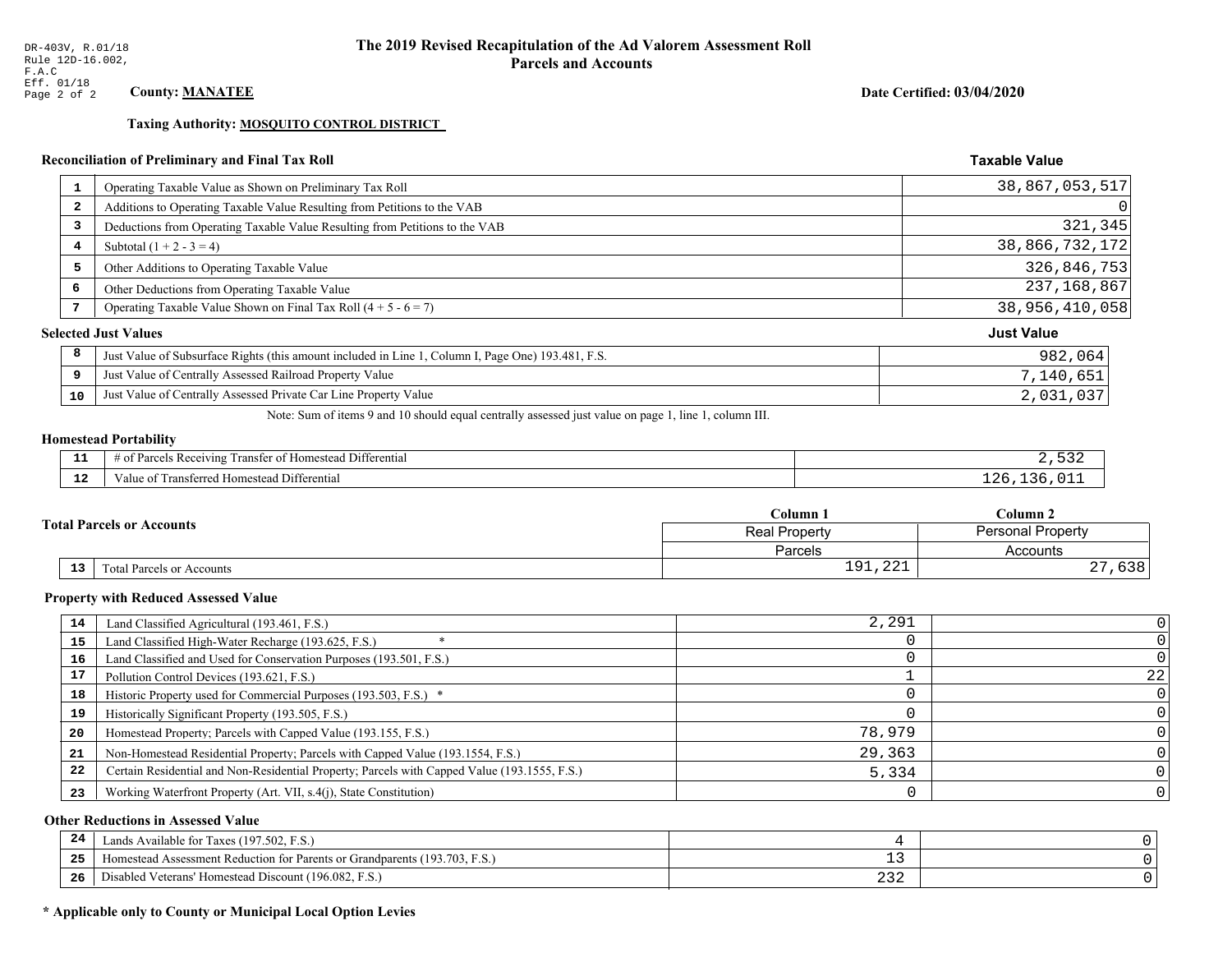Taxing Authority: MOSQUITO CONTROL DISTRICT

## Reconciliation of Preliminary and Final Tax Roll

| $\mathbf{1}$ | Operating Taxable Value as Shown on Preliminary Tax Roll                                           | 38,867,053,517    |
|--------------|----------------------------------------------------------------------------------------------------|-------------------|
| 2            | Additions to Operating Taxable Value Resulting from Petitions to the VAB                           | 0                 |
| 3            | Deductions from Operating Taxable Value Resulting from Petitions to the VAB                        | 321,345           |
| 4            | Subtotal $(1 + 2 - 3 = 4)$                                                                         | 38,866,732,172    |
| 5            | Other Additions to Operating Taxable Value                                                         | 326,846,753       |
| 6            | Other Deductions from Operating Taxable Value                                                      | 237, 168, 867     |
| 7            | Operating Taxable Value Shown on Final Tax Roll $(4 + 5 - 6 = 7)$                                  | 38,956,410,058    |
|              | <b>Selected Just Values</b>                                                                        | <b>Just Value</b> |
| 8            | Just Value of Subsurface Rights (this amount included in Line 1, Column I, Page One) 193.481, F.S. | 982,064           |
| 9            | Just Value of Centrally Assessed Railroad Property Value                                           | 7,140,651         |
| 10           | Just Value of Centrally Assessed Private Car Line Property Value                                   | 2,031,037         |

Note: Sum of items 9 and 10 should equal centrally assessed just value on page 1, line 1, column III.

# **Homestead Portability**

| - -<br>---   | $\cdots$<br>. Differential<br>' Rec<br>enving<br>…er ot P<br>ranster |  |
|--------------|----------------------------------------------------------------------|--|
| $\sim$<br>-- | Differential<br>l ransterred<br>Homestead i<br>Value oi              |  |

|    |                                  | Column 1                           | Column 2                 |  |
|----|----------------------------------|------------------------------------|--------------------------|--|
|    | <b>Total Parcels or Accounts</b> | <b>Real Property</b>               | <b>Personal Property</b> |  |
|    |                                  | Parcels                            | Accounts                 |  |
| 13 | <b>Fotal Parcels or Accounts</b> | $\bigcap$<br>01<br><b>⊥</b> ノ⊥/△△⊥ | $\sim$ $\sim$<br>りうさ     |  |

#### **Property with Reduced Assessed Value**

| 14 | Land Classified Agricultural (193.461, F.S.)                                                 | 2,291  |    |
|----|----------------------------------------------------------------------------------------------|--------|----|
| 15 | Land Classified High-Water Recharge (193.625, F.S.)                                          |        |    |
| 16 | Land Classified and Used for Conservation Purposes (193.501, F.S.)                           |        |    |
|    | Pollution Control Devices (193.621, F.S.)                                                    |        | 22 |
| 18 | Historic Property used for Commercial Purposes (193.503, F.S.) *                             |        |    |
| 19 | Historically Significant Property (193.505, F.S.)                                            |        |    |
| 20 | Homestead Property; Parcels with Capped Value (193.155, F.S.)                                | 78,979 |    |
| 21 | Non-Homestead Residential Property; Parcels with Capped Value (193.1554, F.S.)               | 29,363 |    |
| 22 | Certain Residential and Non-Residential Property; Parcels with Capped Value (193.1555, F.S.) | 5,334  |    |
| 23 | Working Waterfront Property (Art. VII, s.4(j), State Constitution)                           |        |    |

## **Other Reductions in Assessed Value**

| 24    | Lands Available for Taxes (197.502, F.S.)                                  |     |  |
|-------|----------------------------------------------------------------------------|-----|--|
| - - - | Homestead Assessment Reduction for Parents or Grandparents (193.703, F.S.) | - - |  |
| -26   | Disabled Veterans' Homestead Discount (196.082, F.<br>F.S.                 | ے ت |  |

## \* Applicable only to County or Municipal Local Option Levies

Date Certified: 03/04/2020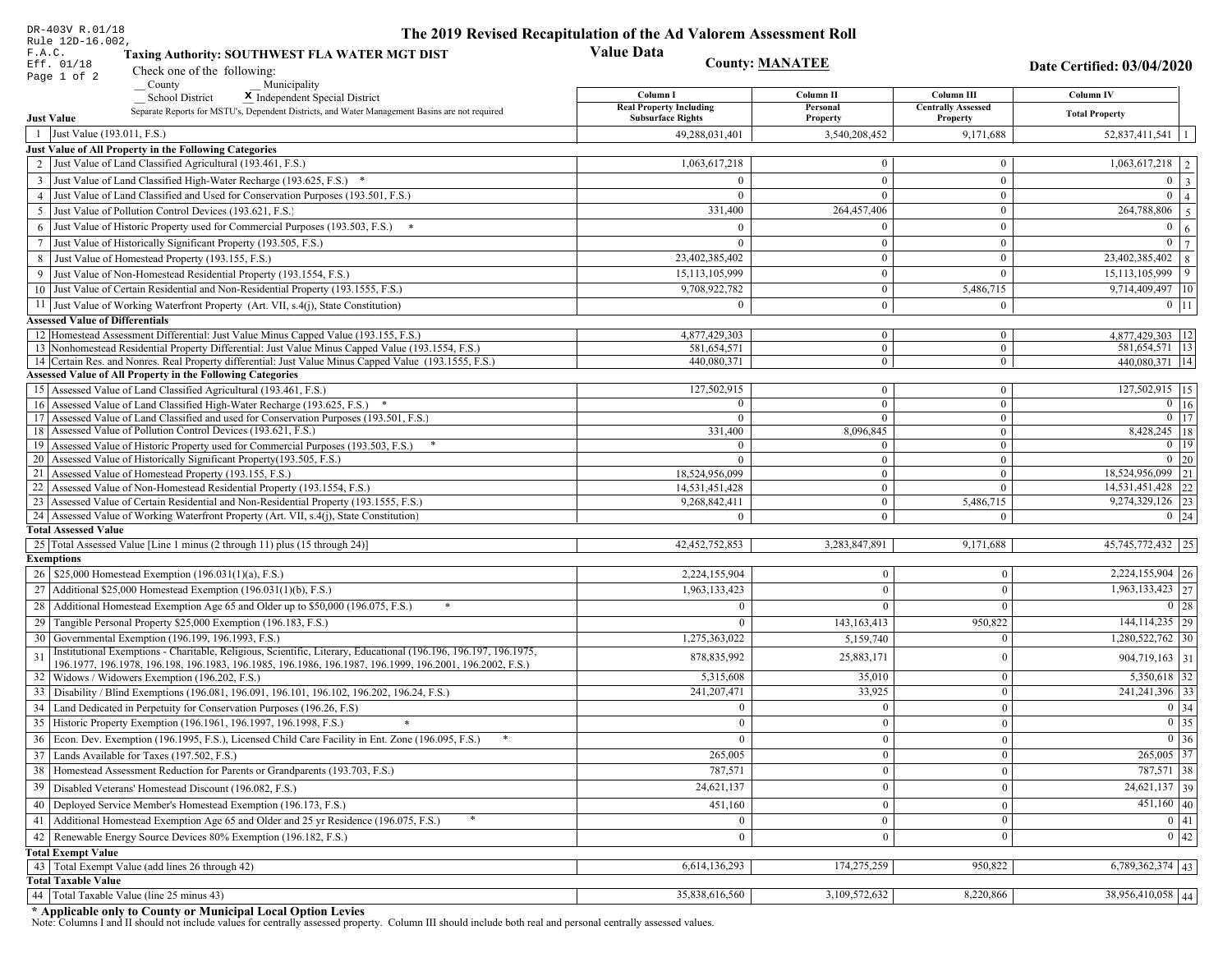| DR-403V R.01/18                                                                                                                                                                                                              | The 2019 Revised Recapitulation of the Ad Valorem Assessment Roll |                                  |                                         |                                          |
|------------------------------------------------------------------------------------------------------------------------------------------------------------------------------------------------------------------------------|-------------------------------------------------------------------|----------------------------------|-----------------------------------------|------------------------------------------|
| Rule 12D-16.002,<br>F.A.C.<br>Taxing Authority: SOUTHWEST FLA WATER MGT DIST                                                                                                                                                 | <b>Value Data</b>                                                 |                                  |                                         |                                          |
| Eff. 01/18<br>Check one of the following:<br>Page 1 of 2                                                                                                                                                                     |                                                                   | <b>County: MANATEE</b>           |                                         | Date Certified: 03/04/2020               |
| County<br>Municipality                                                                                                                                                                                                       |                                                                   |                                  |                                         |                                          |
| <b>School District</b><br>X Independent Special District                                                                                                                                                                     | Column I<br><b>Real Property Including</b>                        | Column II<br>Personal            | Column III<br><b>Centrally Assessed</b> | Column IV                                |
| Separate Reports for MSTU's, Dependent Districts, and Water Management Basins are not required<br><b>Just Value</b>                                                                                                          | <b>Subsurface Rights</b>                                          | Property                         | Property                                | <b>Total Property</b>                    |
| 1 Just Value (193.011, F.S.)                                                                                                                                                                                                 | 49,288,031,401                                                    | 3,540,208,452                    | 9,171,688                               | $52,837,411,541$   1                     |
| Just Value of All Property in the Following Categories                                                                                                                                                                       |                                                                   |                                  |                                         |                                          |
| 2 Just Value of Land Classified Agricultural (193.461, F.S.)                                                                                                                                                                 | 1,063,617,218                                                     | $\bf{0}$                         | $\bf{0}$                                | $1,063,617,218$   2                      |
| 3 Just Value of Land Classified High-Water Recharge (193.625, F.S.) *                                                                                                                                                        | $\Omega$                                                          | $\mathbf{0}$                     | $\boldsymbol{0}$                        | $0 \mid 3$                               |
| 4 Just Value of Land Classified and Used for Conservation Purposes (193.501, F.S.)                                                                                                                                           | $\Omega$                                                          | $\Omega$                         | $\boldsymbol{0}$                        | $\overline{0}$<br>$\vert$ 4              |
| 5 Just Value of Pollution Control Devices (193.621, F.S.)                                                                                                                                                                    | 331,400                                                           | 264,457,406                      | $\bf{0}$                                | $\overline{264,788,806}$ 5               |
| 6 Just Value of Historic Property used for Commercial Purposes (193.503, F.S.) *                                                                                                                                             | $\Omega$                                                          | $\theta$                         | $\boldsymbol{0}$                        | $\overline{0}$<br>6                      |
| 7 Just Value of Historically Significant Property (193.505, F.S.)                                                                                                                                                            | $\Omega$                                                          | $\bf{0}$                         | $\bf{0}$                                | $0 \mid 7$                               |
| 8 Just Value of Homestead Property (193.155, F.S.)                                                                                                                                                                           | 23,402,385,402                                                    | $\mathbf{0}$                     | $\boldsymbol{0}$                        | $23,402,385,402$ 8                       |
| 9 Just Value of Non-Homestead Residential Property (193.1554, F.S.)                                                                                                                                                          | 15,113,105,999                                                    | $\bf{0}$                         | $\theta$                                | $15,113,105,999$ 9                       |
| 10 Just Value of Certain Residential and Non-Residential Property (193.1555, F.S.)                                                                                                                                           | 9,708,922,782                                                     | $\mathbf{0}$                     | 5,486,715                               | 9,714,409,497 10                         |
| 11 Just Value of Working Waterfront Property (Art. VII, s.4(j), State Constitution)                                                                                                                                          | $\Omega$                                                          | $\bf{0}$                         | $\mathbf{0}$                            | $0$   11                                 |
| <b>Assessed Value of Differentials</b>                                                                                                                                                                                       |                                                                   |                                  |                                         |                                          |
| 12   Homestead Assessment Differential: Just Value Minus Capped Value (193.155, F.S.)<br>13 Nonhomestead Residential Property Differential: Just Value Minus Capped Value (193.1554, F.S.)                                   | 4,877,429,303<br>581,654,571                                      | $\bf{0}$<br>$\overline{0}$       | $\bf{0}$<br>$\mathbf{0}$                | 4,877,429,303   12  <br>581,654,571   13 |
| 14 Certain Res. and Nonres. Real Property differential: Just Value Minus Capped Value (193.1555, F.S.)                                                                                                                       | 440,080,371                                                       | $\overline{0}$                   | $\overline{0}$                          | 440,080,371   14                         |
| <b>Assessed Value of All Property in the Following Categories</b>                                                                                                                                                            |                                                                   |                                  |                                         |                                          |
| 15 Assessed Value of Land Classified Agricultural (193.461, F.S.)                                                                                                                                                            | 127,502,915                                                       | $\mathbf{0}$                     | $\mathbf{0}$                            | 127,502,915 15                           |
| Assessed Value of Land Classified High-Water Recharge (193.625, F.S.) *                                                                                                                                                      | $\Omega$                                                          | $\overline{0}$                   | $\mathbf{0}$                            | $\overline{0}$ 16                        |
| Assessed Value of Land Classified and used for Conservation Purposes (193.501, F.S.)<br>17                                                                                                                                   | $\Omega$                                                          | $\overline{0}$                   | $\boldsymbol{0}$                        | $0$   17                                 |
| 18 Assessed Value of Pollution Control Devices (193.621, F.S.)                                                                                                                                                               | 331,400                                                           | 8,096,845                        | $\mathbf{0}$                            | 8,428,245   18<br>$0 \mid 19$            |
| 19 Assessed Value of Historic Property used for Commercial Purposes (193.503, F.S.)<br>20 Assessed Value of Historically Significant Property (193.505, F.S.)                                                                | $\overline{0}$<br>$\Omega$                                        | $\overline{0}$<br>$\overline{0}$ | $\overline{0}$<br>$\overline{0}$        | $0 \mid 20$                              |
| 21 Assessed Value of Homestead Property (193.155, F.S.)                                                                                                                                                                      | 18,524,956,099                                                    | $\overline{0}$                   | $\boldsymbol{0}$                        | 18,524,956,099 21                        |
| 22 Assessed Value of Non-Homestead Residential Property (193.1554, F.S.)                                                                                                                                                     | 14,531,451,428                                                    | $\overline{0}$                   | $\mathbf{0}$                            | 14,531,451,428 22                        |
| 23 Assessed Value of Certain Residential and Non-Residential Property (193.1555, F.S.)                                                                                                                                       | 9,268,842,411                                                     | $\overline{0}$                   | 5,486,715                               | 9,274,329,126 23                         |
| 24 Assessed Value of Working Waterfront Property (Art. VII, s.4(j), State Constitution)                                                                                                                                      | $\Omega$                                                          | $\overline{0}$                   | $\mathbf{0}$                            | $0 \mid 24$                              |
| <b>Total Assessed Value</b>                                                                                                                                                                                                  |                                                                   |                                  |                                         |                                          |
| 25 Total Assessed Value [Line 1 minus (2 through 11) plus (15 through 24)]                                                                                                                                                   | 42, 452, 752, 853                                                 | 3,283,847,891                    | 9,171,688                               | 45, 745, 772, 432 25                     |
| <b>Exemptions</b>                                                                                                                                                                                                            |                                                                   |                                  |                                         |                                          |
| 26   \$25,000 Homestead Exemption (196.031(1)(a), F.S.)                                                                                                                                                                      | 2,224,155,904                                                     | $\mathbf{0}$                     | $\mathbf{0}$                            | $2,224,155,904$ 26                       |
| 27   Additional \$25,000 Homestead Exemption $(196.031(1)(b), F.S.)$                                                                                                                                                         | 1,963,133,423                                                     | $\Omega$                         | $\Omega$                                | $\overline{1,963,133,423}$ 27            |
| 28 Additional Homestead Exemption Age 65 and Older up to \$50,000 (196.075, F.S.)                                                                                                                                            | $\Omega$                                                          | $\Omega$                         | $\Omega$                                | 0 28                                     |
| 29 Tangible Personal Property \$25,000 Exemption (196.183, F.S.)                                                                                                                                                             | $\theta$                                                          | 143, 163, 413                    | 950,822                                 | 144, 114, 235 29                         |
| 30 Governmental Exemption (196.199, 196.1993, F.S.)                                                                                                                                                                          | 1,275,363,022                                                     | 5,159,740                        | $\Omega$                                | 1,280,522,762 30                         |
| Institutional Exemptions - Charitable, Religious, Scientific, Literary, Educational (196.196, 196.197, 196.1975,<br>196.1977, 196.1978, 196.198, 196.1983, 196.1985, 196.1986, 196.1987, 196.1999, 196.2001, 196.2002, F.S.) | 878,835,992                                                       | 25,883,171                       | $\Omega$                                | $904,719,163$ 31                         |
| 32 Widows / Widowers Exemption (196.202, F.S.)                                                                                                                                                                               | 5,315,608                                                         | 35,010                           | $\mathbf{0}$                            | $5,350,618$ 32                           |
| 33 Disability / Blind Exemptions (196.081, 196.091, 196.101, 196.102, 196.202, 196.24, F.S.)                                                                                                                                 | 241,207,471                                                       | 33,925                           | $\Omega$                                | 241, 241, 396 33                         |
| 34 Land Dedicated in Perpetuity for Conservation Purposes (196.26, F.S)                                                                                                                                                      | $\Omega$                                                          | $\mathbf{0}$                     | $\Omega$                                | 0 34                                     |
| 35 Historic Property Exemption (196.1961, 196.1997, 196.1998, F.S.)                                                                                                                                                          | 0                                                                 | $\mathbf{0}$                     | $\mathbf{0}$                            | $\boxed{0}$ 35                           |
| 36 Econ. Dev. Exemption (196.1995, F.S.), Licensed Child Care Facility in Ent. Zone (196.095, F.S.)                                                                                                                          |                                                                   | $\mathbf{0}$                     | $\Omega$                                | $0 \mid 36$                              |
| 37 Lands Available for Taxes (197.502, F.S.)                                                                                                                                                                                 | 265,005                                                           | $\mathbf{0}$                     | $\Omega$                                | $265,005$ 37                             |
| 38   Homestead Assessment Reduction for Parents or Grandparents (193.703, F.S.)                                                                                                                                              | 787,571                                                           | $\mathbf{0}$                     | $\overline{0}$                          | 787,571 38                               |
| 39   Disabled Veterans' Homestead Discount (196.082, F.S.)                                                                                                                                                                   | 24,621,137                                                        | $\mathbf{0}$                     | $\overline{0}$                          | $\overline{24,621,137}$ 39               |
| 40   Deployed Service Member's Homestead Exemption (196.173, F.S.)                                                                                                                                                           | 451,160                                                           | $\mathbf{0}$                     | $\Omega$                                | $451,160$ $40$                           |
| 41 Additional Homestead Exemption Age 65 and Older and 25 yr Residence (196.075, F.S.)                                                                                                                                       | $\overline{0}$                                                    | $\mathbf{0}$                     | $\mathbf{0}$                            | 0 41                                     |
| 42 Renewable Energy Source Devices 80% Exemption (196.182, F.S.)                                                                                                                                                             | $\mathbf{0}$                                                      | $\mathbf{0}$                     | $\Omega$                                | $\boxed{0}$   42                         |
| <b>Total Exempt Value</b>                                                                                                                                                                                                    |                                                                   |                                  |                                         |                                          |
| 43 Total Exempt Value (add lines 26 through 42)                                                                                                                                                                              | 6,614,136,293                                                     | 174,275,259                      | 950,822                                 | $6,789,362,374$ 43                       |
| <b>Total Taxable Value</b>                                                                                                                                                                                                   |                                                                   |                                  |                                         |                                          |
| 44 Total Taxable Value (line 25 minus 43)                                                                                                                                                                                    | 35,838,616,560                                                    | 3,109,572,632                    | 8,220,866                               | 38,956,410,058 44                        |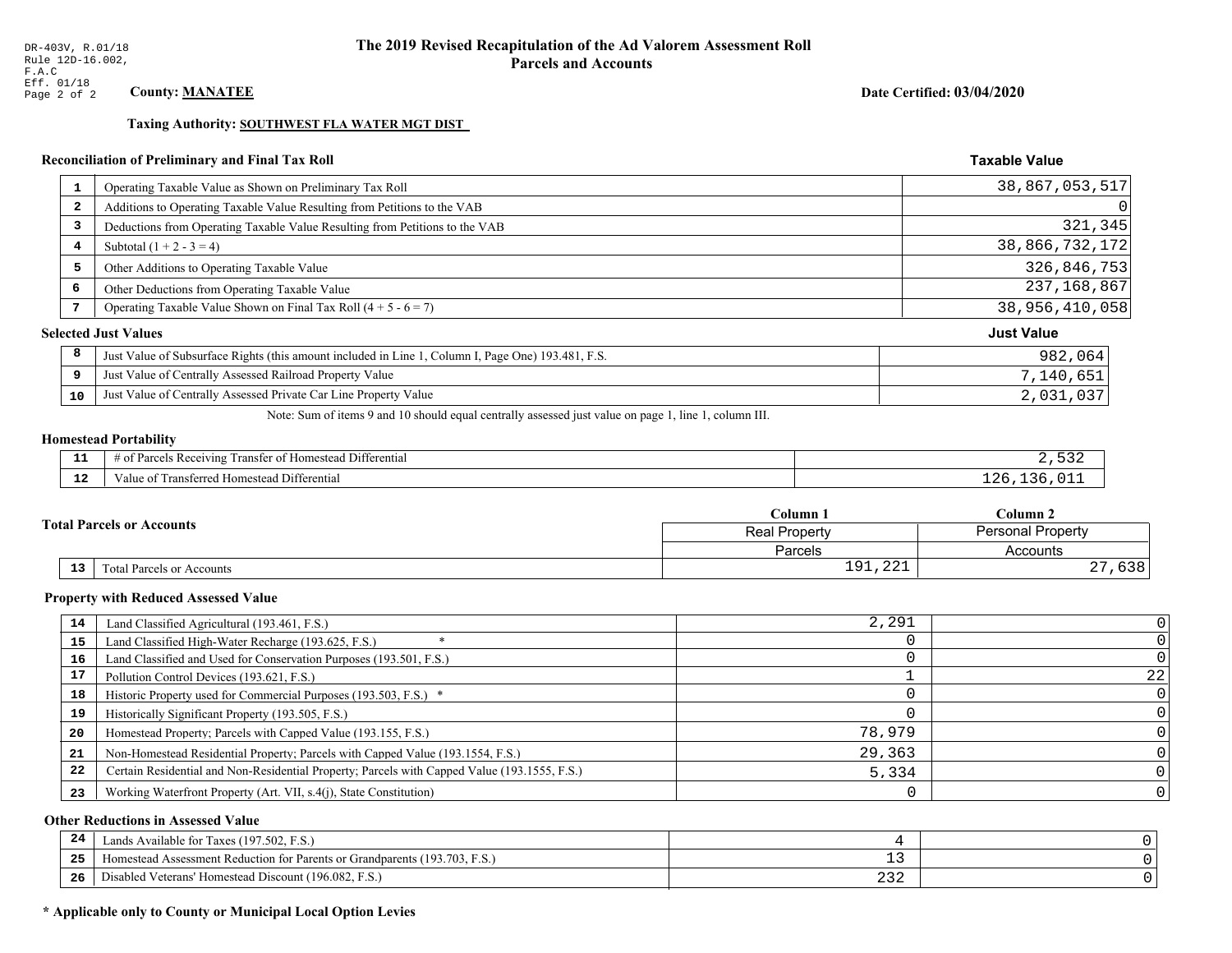## Date Certified: 03/04/2020

**Taxable Value** 

## Taxing Authority: SOUTHWEST FLA WATER MGT DIST

## Reconciliation of Preliminary and Final Tax Roll

| $\mathbf{1}$   | Operating Taxable Value as Shown on Preliminary Tax Roll                                           | 38,867,053,517    |
|----------------|----------------------------------------------------------------------------------------------------|-------------------|
| $\overline{2}$ | Additions to Operating Taxable Value Resulting from Petitions to the VAB                           | 0                 |
| 3              | Deductions from Operating Taxable Value Resulting from Petitions to the VAB                        | 321,345           |
| 4              | Subtotal $(1 + 2 - 3 = 4)$                                                                         | 38,866,732,172    |
| 5              | Other Additions to Operating Taxable Value                                                         | 326,846,753       |
| 6              | Other Deductions from Operating Taxable Value                                                      | 237, 168, 867     |
| 7              | Operating Taxable Value Shown on Final Tax Roll $(4 + 5 - 6 = 7)$                                  | 38,956,410,058    |
|                | <b>Selected Just Values</b>                                                                        | <b>Just Value</b> |
| 8              | Just Value of Subsurface Rights (this amount included in Line 1, Column I, Page One) 193.481, F.S. | 982,064           |
| 9              | Just Value of Centrally Assessed Railroad Property Value                                           | 7,140,651         |
| 10             | Just Value of Centrally Assessed Private Car Line Property Value                                   | 2,031,037         |
|                |                                                                                                    |                   |

Note: Sum of items 9 and 10 should equal centrally assessed just value on page 1, line 1, column III.

# **Homestead Portability**

| - -<br>---  | $\sim$ $-$<br>l Differential<br>--<br>3 Rec<br>ิ∩†<br>eivin<br>ranster<br>,,,,,,<br>$\cdots$ |  |
|-------------|----------------------------------------------------------------------------------------------|--|
| $\sim$<br>. | Transferred Homestead Differential<br>alue oi                                                |  |

|    |                                  | Column 1                           | Column 2                 |  |
|----|----------------------------------|------------------------------------|--------------------------|--|
|    | <b>Total Parcels or Accounts</b> | <b>Real Property</b>               | <b>Personal Property</b> |  |
|    |                                  | Parcels                            | Accounts                 |  |
| 13 | <b>Fotal Parcels or Accounts</b> | $\bigcap$<br>01<br><b>⊥</b> ノ⊥/△△⊥ | $\sim$ $\sim$<br>りうさ     |  |

#### **Property with Reduced Assessed Value**

| 14 | Land Classified Agricultural (193.461, F.S.)                                                 | 2,291  |    |
|----|----------------------------------------------------------------------------------------------|--------|----|
| 15 | Land Classified High-Water Recharge (193.625, F.S.)                                          |        |    |
| 16 | Land Classified and Used for Conservation Purposes (193.501, F.S.)                           |        |    |
| 17 | Pollution Control Devices (193.621, F.S.)                                                    |        | 22 |
| 18 | Historic Property used for Commercial Purposes (193.503, F.S.) *                             |        |    |
| 19 | Historically Significant Property (193.505, F.S.)                                            |        |    |
| 20 | Homestead Property; Parcels with Capped Value (193.155, F.S.)                                | 78,979 |    |
| 21 | Non-Homestead Residential Property; Parcels with Capped Value (193.1554, F.S.)               | 29,363 |    |
| 22 | Certain Residential and Non-Residential Property; Parcels with Capped Value (193.1555, F.S.) | 5,334  |    |
| 23 | Working Waterfront Property (Art. VII, s.4(j), State Constitution)                           |        |    |

## **Other Reductions in Assessed Value**

| 24  | Lands Available for Taxes (197.502, F.S.)                                                  |                              |  |
|-----|--------------------------------------------------------------------------------------------|------------------------------|--|
| -25 | 7103<br>93.703<br>Assessment Reduction for Parents or Grandparents<br>F.S.<br>-Homestead A | - -                          |  |
| -26 | d Veterans' Homestead Discount (196.082, F.S.)<br>Jisabled                                 | $\sim$ $\sim$ $\sim$<br>ے رے |  |

## \* Applicable only to County or Municipal Local Option Levies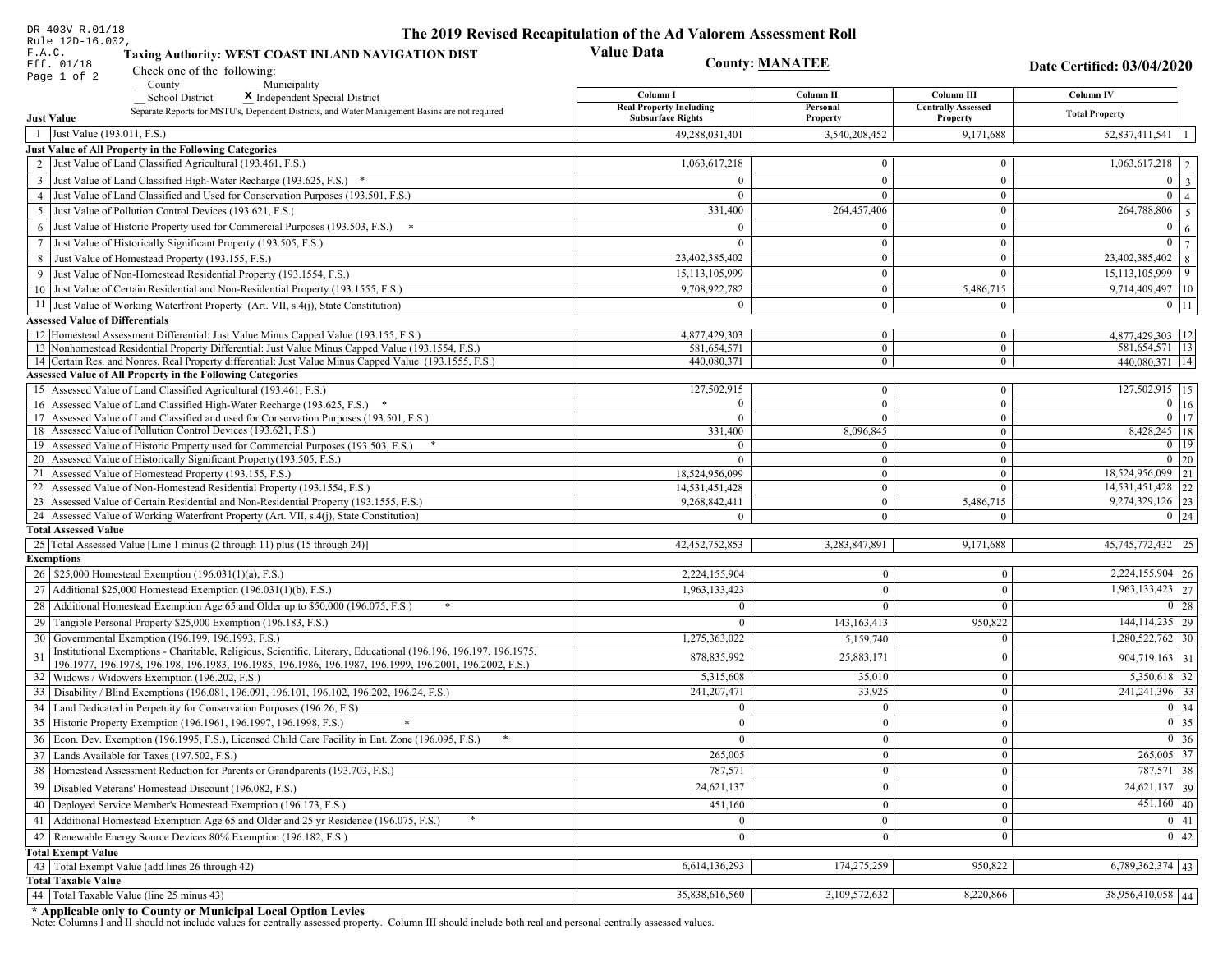| DR-403V R.01/18                                                                                                                                                                          | The 2019 Revised Recapitulation of the Ad Valorem Assessment Roll |                                  |                                  |                                      |  |
|------------------------------------------------------------------------------------------------------------------------------------------------------------------------------------------|-------------------------------------------------------------------|----------------------------------|----------------------------------|--------------------------------------|--|
| Rule 12D-16.002,<br>F.A.C.<br>Taxing Authority: WEST COAST INLAND NAVIGATION DIST<br>Eff. 01/18                                                                                          | <b>Value Data</b><br><b>County: MANATEE</b>                       |                                  |                                  |                                      |  |
| Check one of the following:<br>Page 1 of 2                                                                                                                                               |                                                                   |                                  |                                  | Date Certified: 03/04/2020           |  |
| County<br>Municipality<br><b>School District</b><br>X Independent Special District                                                                                                       | Column I                                                          | Column II                        | Column III                       | Column IV                            |  |
| Separate Reports for MSTU's, Dependent Districts, and Water Management Basins are not required                                                                                           | <b>Real Property Including</b>                                    | Personal                         | <b>Centrally Assessed</b>        | <b>Total Property</b>                |  |
| <b>Just Value</b>                                                                                                                                                                        | <b>Subsurface Rights</b>                                          | Property                         | Property                         |                                      |  |
| 1 Just Value (193.011, F.S.)                                                                                                                                                             | 49,288,031,401                                                    | 3,540,208,452                    | 9,171,688                        | 52,837,411,541                       |  |
| Just Value of All Property in the Following Categories                                                                                                                                   |                                                                   |                                  |                                  |                                      |  |
| 2 Just Value of Land Classified Agricultural (193.461, F.S.)                                                                                                                             | 1,063,617,218                                                     | $\overline{0}$                   | $\overline{0}$                   | $\boxed{1,063,617,218}$   2          |  |
| 3 Just Value of Land Classified High-Water Recharge (193.625, F.S.) *                                                                                                                    |                                                                   | $\overline{0}$                   | $\theta$                         | $0 \quad 3$                          |  |
| 4 Just Value of Land Classified and Used for Conservation Purposes (193.501, F.S.)                                                                                                       | $\Omega$                                                          | $\overline{0}$                   | $\overline{0}$                   | $\overline{0}$<br>$\overline{4}$     |  |
| 5 Just Value of Pollution Control Devices (193.621, F.S.)                                                                                                                                | 331,400                                                           | 264,457,406                      | $\overline{0}$                   | 264,788,806<br>$5\overline{5}$       |  |
| 6 Just Value of Historic Property used for Commercial Purposes (193.503, F.S.) *                                                                                                         | $\Omega$                                                          | $\theta$                         | $\theta$                         | $\mathbf{0}$<br>6                    |  |
| 7 Just Value of Historically Significant Property (193.505, F.S.)                                                                                                                        | $\overline{0}$                                                    | $\overline{0}$                   | $\overline{0}$                   | $\overline{0}$<br>$7^{\circ}$        |  |
| 8 Just Value of Homestead Property (193.155, F.S.)                                                                                                                                       | 23,402,385,402                                                    | $\overline{0}$                   | $\boldsymbol{0}$                 | $\overline{23,402,385,402}$ 8        |  |
| 9 Just Value of Non-Homestead Residential Property (193.1554, F.S.)                                                                                                                      | 15,113,105,999                                                    | $\mathbf{0}$                     | $\Omega$                         | 15, 113, 105, 999<br>9               |  |
| 10 Just Value of Certain Residential and Non-Residential Property (193.1555, F.S.)                                                                                                       | 9,708,922,782                                                     | $\overline{0}$                   | 5,486,715                        | 9,714,409,497   10                   |  |
| 11 Just Value of Working Waterfront Property (Art. VII, s.4(j), State Constitution)                                                                                                      | $\Omega$                                                          | $\overline{0}$                   | $\overline{0}$                   | $0 \mid 11$                          |  |
| <b>Assessed Value of Differentials</b>                                                                                                                                                   |                                                                   |                                  |                                  |                                      |  |
| 12 Homestead Assessment Differential: Just Value Minus Capped Value (193.155, F.S.)<br>13 Nonhomestead Residential Property Differential: Just Value Minus Capped Value (193.1554, F.S.) | 4,877,429,303<br>581,654,571                                      | $\overline{0}$<br>$\overline{0}$ | $\mathbf{0}$<br>$\overline{0}$   | 4,877,429,303 12<br>581,654,571   13 |  |
| 14 Certain Res. and Nonres. Real Property differential: Just Value Minus Capped Value (193.1555, F.S.)                                                                                   | 440,080,371                                                       | $\overline{0}$                   | $\overline{0}$                   | 440,080,371 14                       |  |
| Assessed Value of All Property in the Following Categories                                                                                                                               |                                                                   |                                  |                                  |                                      |  |
| 15 Assessed Value of Land Classified Agricultural (193.461, F.S.)                                                                                                                        | 127,502,915                                                       | $\overline{0}$                   | $\overline{0}$                   | 127,502,915 15                       |  |
| 16 Assessed Value of Land Classified High-Water Recharge (193.625, F.S.) *                                                                                                               | $\Omega$                                                          | $\overline{0}$                   | $\Omega$                         | $\boxed{0}$ 16                       |  |
| Assessed Value of Land Classified and used for Conservation Purposes (193.501, F.S.)<br>17                                                                                               | $\Omega$                                                          | $\mathbf{0}$                     | $\overline{0}$                   | $\overline{0}$ $\overline{17}$       |  |
| 18 Assessed Value of Pollution Control Devices (193.621, F.S.)                                                                                                                           | 331,400                                                           | 8,096,845                        | $\overline{0}$                   | $8,428,245$ 18                       |  |
| 19 Assessed Value of Historic Property used for Commercial Purposes (193.503, F.S.)                                                                                                      | $\Omega$                                                          | $\mathbf{0}$                     | $\overline{0}$                   | $0$ 19                               |  |
| 20 Assessed Value of Historically Significant Property (193.505, F.S.)<br>21 Assessed Value of Homestead Property (193.155, F.S.)                                                        | $\Omega$                                                          | $\overline{0}$<br>$\overline{0}$ | $\overline{0}$<br>$\overline{0}$ | $0\quad20$<br>18,524,956,099 21      |  |
| 22 Assessed Value of Non-Homestead Residential Property (193.1554, F.S.)                                                                                                                 | 18,524,956,099<br>14,531,451,428                                  | $\overline{0}$                   | $\Omega$                         | 14,531,451,428 22                    |  |
| 23 Assessed Value of Certain Residential and Non-Residential Property (193.1555, F.S.)                                                                                                   | 9,268,842,411                                                     | $\overline{0}$                   | 5,486,715                        | 9,274,329,126 23                     |  |
| 24 Assessed Value of Working Waterfront Property (Art. VII, s.4(j), State Constitution)                                                                                                  |                                                                   | $\overline{0}$                   | $\Omega$                         | $0 \mid 24$                          |  |
| <b>Total Assessed Value</b>                                                                                                                                                              |                                                                   |                                  |                                  |                                      |  |
| 25 Total Assessed Value [Line 1 minus (2 through 11) plus (15 through 24)]                                                                                                               | 42, 452, 752, 853                                                 | 3,283,847,891                    | 9,171,688                        | 45,745,772,432 25                    |  |
| <b>Exemptions</b>                                                                                                                                                                        |                                                                   |                                  |                                  |                                      |  |
| 26   \$25,000 Homestead Exemption (196.031(1)(a), F.S.)                                                                                                                                  | 2,224,155,904                                                     | $\bf{0}$                         | $\mathbf{0}$                     | $2,224,155,904$ 26                   |  |
| 27   Additional \$25,000 Homestead Exemption (196.031(1)(b), F.S.)                                                                                                                       | 1,963,133,423                                                     | $\Omega$                         | $\Omega$                         | $1,963,133,423$ 27                   |  |
| 28 Additional Homestead Exemption Age 65 and Older up to \$50,000 (196.075, F.S.)                                                                                                        | $\Omega$                                                          | $\Omega$                         | $\Omega$                         | $0 \mid 28$                          |  |
| 29 Tangible Personal Property \$25,000 Exemption (196.183, F.S.)                                                                                                                         | $\theta$                                                          | 143, 163, 413                    | 950,822                          | $144, 114, 235$ 29                   |  |
| 30 Governmental Exemption (196.199, 196.1993, F.S.)                                                                                                                                      | 1,275,363,022                                                     | 5,159,740                        | $\mathbf{0}$                     | $1,280,522,762$ 30                   |  |
| Institutional Exemptions - Charitable, Religious, Scientific, Literary, Educational (196.196, 196.197, 196.1975,                                                                         | 878,835,992                                                       | 25,883,171                       | $\Omega$                         | $904,719,163$ 31                     |  |
| 196.1977, 196.1978, 196.198, 196.1983, 196.1985, 196.1986, 196.1987, 196.1999, 196.2001, 196.2002, F.S.)                                                                                 |                                                                   |                                  |                                  |                                      |  |
| 32 Widows / Widowers Exemption (196.202, F.S.)                                                                                                                                           | 5,315,608                                                         | 35,010                           | $\bf{0}$                         | $5,350,618$ 32                       |  |
| 33 Disability / Blind Exemptions (196.081, 196.091, 196.101, 196.102, 196.202, 196.24, F.S.)                                                                                             | 241,207,471                                                       | 33,925                           | $\mathbf{0}$                     | 241, 241, 396 33                     |  |
| 34 Land Dedicated in Perpetuity for Conservation Purposes (196.26, F.S)                                                                                                                  | $\Omega$                                                          | $\overline{0}$                   | $\theta$                         | $0 \mid 34$                          |  |
| 35 Historic Property Exemption (196.1961, 196.1997, 196.1998, F.S.)                                                                                                                      | 0                                                                 | $\mathbf{0}$                     | $\mathbf{0}$                     | $\boxed{0}$ 35                       |  |
| 36 Econ. Dev. Exemption (196.1995, F.S.), Licensed Child Care Facility in Ent. Zone (196.095, F.S.)                                                                                      | $\Omega$                                                          | $\boldsymbol{0}$                 | $\mathbf{0}$                     | $\boxed{0}$ 36                       |  |
| 37 Lands Available for Taxes (197.502, F.S.)                                                                                                                                             | 265,005                                                           | $\mathbf{0}$                     | $\mathbf{0}$                     | 265,005 37                           |  |
| 38   Homestead Assessment Reduction for Parents or Grandparents (193.703, F.S.)                                                                                                          | 787,571                                                           | $\bf{0}$                         | $\bf{0}$                         | 787,571 38                           |  |
| 39   Disabled Veterans' Homestead Discount (196.082, F.S.)                                                                                                                               | 24,621,137                                                        | $\mathbf{0}$                     | $\mathbf{0}$                     | $24,621,137$ 39                      |  |
| 40   Deployed Service Member's Homestead Exemption (196.173, F.S.)                                                                                                                       | 451,160                                                           | $\overline{0}$                   | $\mathbf{0}$                     | $\overline{451,160}$ 40              |  |
| 41 Additional Homestead Exemption Age 65 and Older and 25 yr Residence (196.075, F.S.)                                                                                                   | $\bf{0}$                                                          | $\mathbf{0}$                     | $\boldsymbol{0}$                 | $\boxed{0}$ 41                       |  |
| 42 Renewable Energy Source Devices 80% Exemption (196.182, F.S.)                                                                                                                         | $\mathbf{0}$                                                      | $\boldsymbol{0}$                 | $\mathbf{0}$                     | 0 42                                 |  |
| <b>Total Exempt Value</b>                                                                                                                                                                |                                                                   |                                  |                                  |                                      |  |
| 43 Total Exempt Value (add lines 26 through 42)                                                                                                                                          | 6,614,136,293                                                     | 174,275,259                      | 950,822                          | $6,789,362,374$ 43                   |  |
| <b>Total Taxable Value</b>                                                                                                                                                               |                                                                   |                                  |                                  |                                      |  |
| 44   Total Taxable Value (line 25 minus 43)                                                                                                                                              | 35,838,616,560                                                    | 3,109,572,632                    | 8,220,866                        | 38,956,410,058 44                    |  |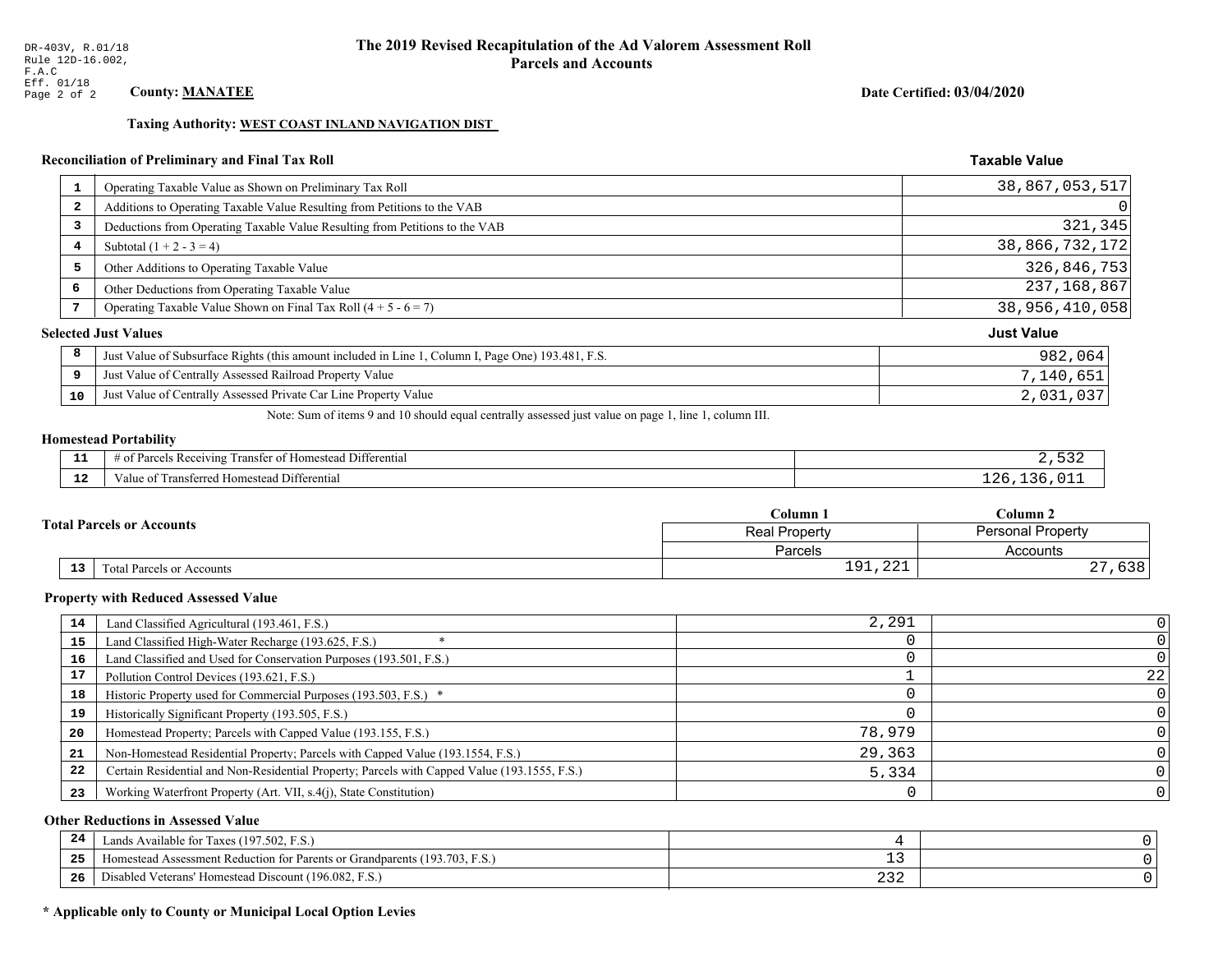## Date Certified: 03/04/2020

**Taxable Value** 

## Taxing Authority: WEST COAST INLAND NAVIGATION DIST

#### **Reconciliation of Preliminary and Final Tax Roll**

| $\mathbf{1}$ | Operating Taxable Value as Shown on Preliminary Tax Roll                                           | 38,867,053,517    |
|--------------|----------------------------------------------------------------------------------------------------|-------------------|
| 2            | Additions to Operating Taxable Value Resulting from Petitions to the VAB                           | 0                 |
| 3            | Deductions from Operating Taxable Value Resulting from Petitions to the VAB                        | 321,345           |
| 4            | Subtotal $(1 + 2 - 3 = 4)$                                                                         | 38,866,732,172    |
| 5            | Other Additions to Operating Taxable Value                                                         | 326,846,753       |
| 6            | Other Deductions from Operating Taxable Value                                                      | 237,168,867       |
| 7            | Operating Taxable Value Shown on Final Tax Roll $(4 + 5 - 6 = 7)$                                  | 38,956,410,058    |
|              | <b>Selected Just Values</b>                                                                        | <b>Just Value</b> |
| 8            | Just Value of Subsurface Rights (this amount included in Line 1, Column I, Page One) 193.481, F.S. | 982,064           |
| 9            | Just Value of Centrally Assessed Railroad Property Value                                           | 7,140,651         |
| 10           | Just Value of Centrally Assessed Private Car Line Property Value                                   | 2,031,037         |
|              |                                                                                                    |                   |

Note: Sum of items 9 and 10 should equal centrally assessed just value on page 1, line 1, column III.

# **Homestead Portability**

| ---         | $\cdots$<br>$\sim$ $-$<br>. .<br>Differential<br>; Rec<br>ranster<br>$\sim$<br>enving<br>$\cdots$ |  |
|-------------|---------------------------------------------------------------------------------------------------|--|
| $\sim$<br>. | <br>Transferred Homestead Differential<br>alue oi                                                 |  |

|    |                                  | Column 1                                         | Column 2             |  |
|----|----------------------------------|--------------------------------------------------|----------------------|--|
|    | <b>Total Parcels or Accounts</b> | <b>Personal Property</b><br><b>Real Property</b> |                      |  |
|    |                                  | Parcels                                          | Accounts             |  |
| 13 | <b>Fotal Parcels or Accounts</b> | $\bigcap$<br>01<br><b>⊥</b> ノ⊥/△△⊥               | $\sim$ $\sim$<br>りうさ |  |

#### **Property with Reduced Assessed Value**

| 14 | Land Classified Agricultural (193.461, F.S.)                                                 | 2,291  |    |
|----|----------------------------------------------------------------------------------------------|--------|----|
| 15 | Land Classified High-Water Recharge (193.625, F.S.)                                          |        |    |
| 16 | Land Classified and Used for Conservation Purposes (193.501, F.S.)                           |        |    |
| 17 | Pollution Control Devices (193.621, F.S.)                                                    |        | 22 |
| 18 | Historic Property used for Commercial Purposes (193.503, F.S.) *                             |        |    |
| 19 | Historically Significant Property (193.505, F.S.)                                            |        |    |
| 20 | Homestead Property; Parcels with Capped Value (193.155, F.S.)                                | 78,979 |    |
| 21 | Non-Homestead Residential Property; Parcels with Capped Value (193.1554, F.S.)               | 29,363 |    |
| 22 | Certain Residential and Non-Residential Property; Parcels with Capped Value (193.1555, F.S.) | 5,334  |    |
| 23 | Working Waterfront Property (Art. VII, s.4(j), State Constitution)                           |        |    |

## **Other Reductions in Assessed Value**

| 24  | Lands Available for Taxes (197.502, F.S.)                                                  |                              |  |
|-----|--------------------------------------------------------------------------------------------|------------------------------|--|
| -25 | 7103<br>93.703<br>Assessment Reduction for Parents or Grandparents<br>F.S.<br>-Homestead A | - -                          |  |
| -26 | d Veterans' Homestead Discount (196.082, F.S.)<br>Jisabled                                 | $\sim$ $\sim$ $\sim$<br>ے رے |  |

## \* Applicable only to County or Municipal Local Option Levies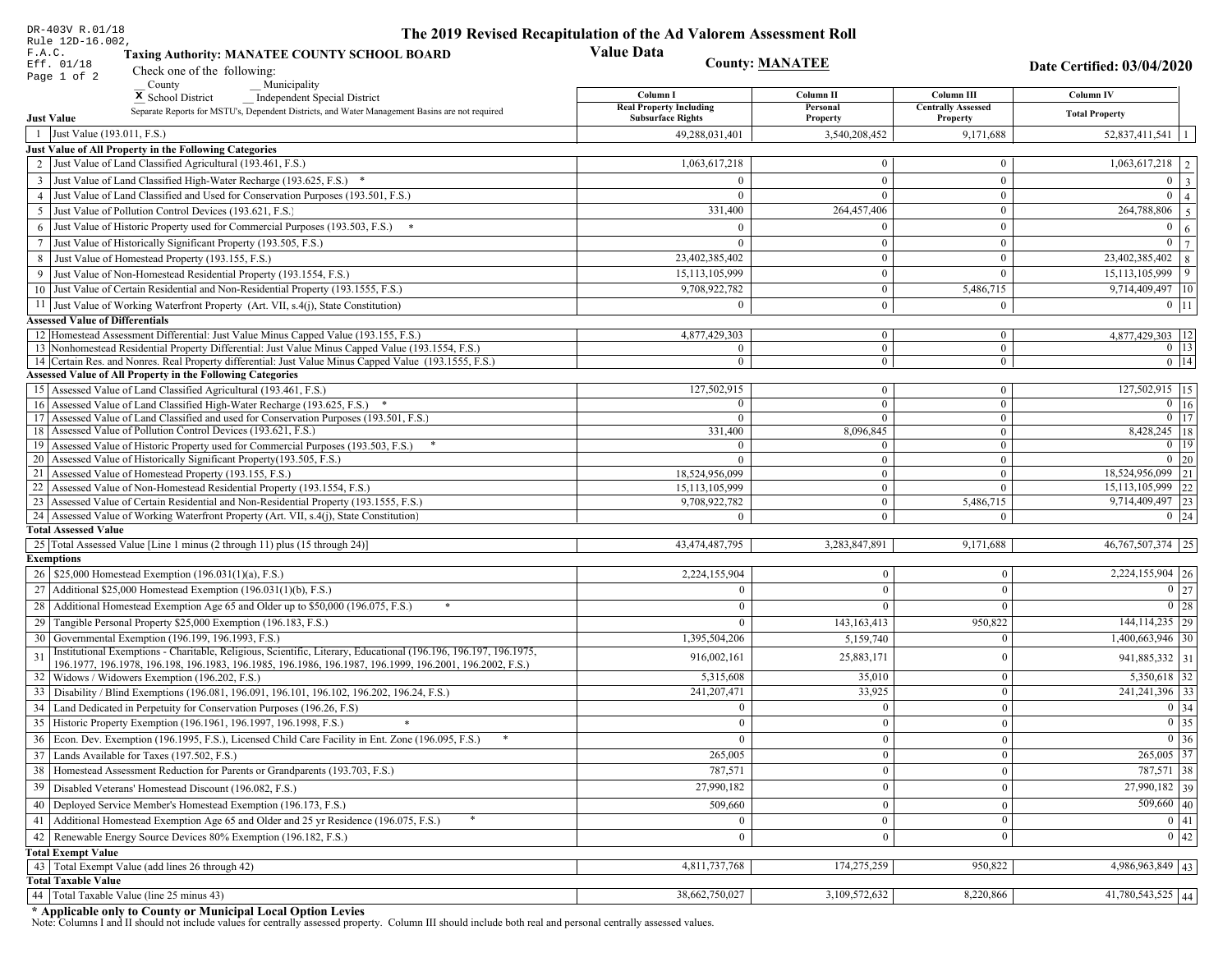| DR-403V R.01/18                                                                                                                                                                                             | The 2019 Revised Recapitulation of the Ad Valorem Assessment Roll |                                  |                           |                                    |
|-------------------------------------------------------------------------------------------------------------------------------------------------------------------------------------------------------------|-------------------------------------------------------------------|----------------------------------|---------------------------|------------------------------------|
| Rule 12D-16.002,<br>F.A.C.<br><b>Taxing Authority: MANATEE COUNTY SCHOOL BOARD</b>                                                                                                                          | <b>Value Data</b>                                                 |                                  |                           |                                    |
| Eff. 01/18<br>Check one of the following:<br>Page 1 of 2                                                                                                                                                    | <b>County: MANATEE</b>                                            |                                  |                           | Date Certified: 03/04/2020         |
| County<br>Municipality                                                                                                                                                                                      | Column I                                                          | Column II                        | Column III                | <b>Column IV</b>                   |
| <sup>x</sup> School District<br>Independent Special District<br>Separate Reports for MSTU's, Dependent Districts, and Water Management Basins are not required                                              | <b>Real Property Including</b>                                    | Personal                         | <b>Centrally Assessed</b> |                                    |
| <b>Just Value</b>                                                                                                                                                                                           | <b>Subsurface Rights</b>                                          | Property                         | Property                  | <b>Total Property</b>              |
| 1 Just Value (193.011, F.S.)                                                                                                                                                                                | 49,288,031,401                                                    | 3,540,208,452                    | 9,171,688                 | $52,837,411,541$   1               |
| Just Value of All Property in the Following Categories                                                                                                                                                      |                                                                   |                                  |                           |                                    |
| 2 Just Value of Land Classified Agricultural (193.461, F.S.)                                                                                                                                                | 1,063,617,218                                                     | $\bf{0}$                         | $\bf{0}$                  | $1,063,617,218$   2                |
| 3 Just Value of Land Classified High-Water Recharge (193.625, F.S.) *                                                                                                                                       |                                                                   | $\mathbf{0}$                     | $\theta$                  | $0 \quad 3$                        |
| 4 Just Value of Land Classified and Used for Conservation Purposes (193.501, F.S.)                                                                                                                          | $\Omega$                                                          | $\theta$                         | $\boldsymbol{0}$          | $\overline{0}$<br>$\overline{4}$   |
| 5 Just Value of Pollution Control Devices (193.621, F.S.)                                                                                                                                                   | 331,400                                                           | 264,457,406                      | $\bf{0}$                  | $\overline{264,788,806}$ 5         |
| 6 Just Value of Historic Property used for Commercial Purposes (193.503, F.S.) *                                                                                                                            |                                                                   | $\theta$                         | $\mathbf{0}$              | $\boldsymbol{0}$<br><sup>6</sup>   |
| 7 Just Value of Historically Significant Property (193.505, F.S.)                                                                                                                                           | $\Omega$                                                          | $\bf{0}$                         | $\overline{0}$            | $0 \overline{7}$                   |
| 8 Just Value of Homestead Property (193.155, F.S.)                                                                                                                                                          | 23,402,385,402                                                    | $\bf{0}$                         | $\boldsymbol{0}$          | $23,402,385,402$ 8                 |
| 9 Just Value of Non-Homestead Residential Property (193.1554, F.S.)                                                                                                                                         | 15,113,105,999                                                    | $\bf{0}$                         | $\Omega$                  | $ 9\rangle$<br>15, 113, 105, 999   |
| 10 Just Value of Certain Residential and Non-Residential Property (193.1555, F.S.)                                                                                                                          | 9,708,922,782                                                     | $\mathbf{0}$                     | 5,486,715                 | 9,714,409,497 10                   |
| 11 Just Value of Working Waterfront Property (Art. VII, s.4(j), State Constitution)                                                                                                                         | $\Omega$                                                          | $\mathbf{0}$                     | $\bf{0}$                  | $0$   11                           |
| <b>Assessed Value of Differentials</b>                                                                                                                                                                      |                                                                   |                                  |                           |                                    |
| 12 Homestead Assessment Differential: Just Value Minus Capped Value (193.155, F.S.)                                                                                                                         | 4,877,429,303<br>$\Omega$                                         | $\bf{0}$<br>$\overline{0}$       | $\bf{0}$<br>$\mathbf{0}$  | 4,877,429,303   12                 |
| 13 Nonhomestead Residential Property Differential: Just Value Minus Capped Value (193.1554, F.S.)<br>14 Certain Res. and Nonres. Real Property differential: Just Value Minus Capped Value (193.1555, F.S.) | $\overline{0}$                                                    | $\overline{0}$                   | $\overline{0}$            | $0$   13 <br>$0$   14              |
| <b>Assessed Value of All Property in the Following Categories</b>                                                                                                                                           |                                                                   |                                  |                           |                                    |
| 15 Assessed Value of Land Classified Agricultural (193.461, F.S.)                                                                                                                                           | 127,502,915                                                       | $\mathbf{0}$                     | $\bf{0}$                  | 127,502,915 15                     |
| 16 Assessed Value of Land Classified High-Water Recharge (193.625, F.S.) *                                                                                                                                  | $\Omega$                                                          | $\overline{0}$                   | $\mathbf{0}$              | $\overline{0}$ 16                  |
| 17 Assessed Value of Land Classified and used for Conservation Purposes (193.501, F.S.)                                                                                                                     | $\Omega$                                                          | $\mathbf{0}$                     | $\bf{0}$                  | $0$   17                           |
| 18 Assessed Value of Pollution Control Devices (193.621, F.S.)                                                                                                                                              | 331,400                                                           | 8,096,845                        | $\mathbf{0}$              | 8,428,245   18                     |
| 19 Assessed Value of Historic Property used for Commercial Purposes (193.503, F.S.)                                                                                                                         | $\Omega$                                                          | $\mathbf{0}$                     | $\bf{0}$                  | $0 \mid 19$                        |
| 20 Assessed Value of Historically Significant Property (193.505, F.S.)<br>21 Assessed Value of Homestead Property (193.155, F.S.)                                                                           | $\Omega$                                                          | $\overline{0}$<br>$\mathbf{0}$   | $\mathbf{0}$<br>$\bf{0}$  | $0\vert 20$<br>18,524,956,099 21   |
| 22 Assessed Value of Non-Homestead Residential Property (193.1554, F.S.)                                                                                                                                    | 18,524,956,099<br>15, 113, 105, 999                               | $\overline{0}$                   | $\mathbf{0}$              | 15,113,105,999 22                  |
| 23 Assessed Value of Certain Residential and Non-Residential Property (193.1555, F.S.)                                                                                                                      | 9,708,922,782                                                     | $\overline{0}$                   | 5,486,715                 | 9,714,409,497 23                   |
| 24 Assessed Value of Working Waterfront Property (Art. VII, s.4(j), State Constitution)                                                                                                                     |                                                                   | $\overline{0}$                   | $\mathbf{0}$              | $0 \mid 24$                        |
| <b>Total Assessed Value</b>                                                                                                                                                                                 |                                                                   |                                  |                           |                                    |
| 25 Total Assessed Value [Line 1 minus (2 through 11) plus (15 through 24)]                                                                                                                                  | 43,474,487,795                                                    | 3,283,847,891                    | 9,171,688                 | 46, 767, 507, 374 25               |
| <b>Exemptions</b>                                                                                                                                                                                           |                                                                   |                                  |                           |                                    |
| 26   \$25,000 Homestead Exemption (196.031(1)(a), F.S.)                                                                                                                                                     | 2,224,155,904                                                     | $\bf{0}$                         | $\mathbf{0}$              | $2,224,155,904$ 26                 |
| 27   Additional \$25,000 Homestead Exemption (196.031(1)(b), F.S.)                                                                                                                                          | $\Omega$                                                          | $\Omega$                         | $\Omega$                  | $\boxed{0}$ 27                     |
| 28 Additional Homestead Exemption Age 65 and Older up to \$50,000 (196.075, F.S.)                                                                                                                           | $\Omega$                                                          | $\mathbf{0}$                     | $\Omega$                  | $\boxed{0}$ 28                     |
| 29 Tangible Personal Property \$25,000 Exemption (196.183, F.S.)                                                                                                                                            | $\theta$                                                          | 143, 163, 413                    | 950,822                   | $144, 114, 235$ 29                 |
| 30 Governmental Exemption (196.199, 196.1993, F.S.)                                                                                                                                                         | 1,395,504,206                                                     | 5,159,740                        | $\Omega$                  | $1,400,663,946$ 30                 |
| Institutional Exemptions - Charitable, Religious, Scientific, Literary, Educational (196.196, 196.197, 196.1975,<br>31                                                                                      | 916,002,161                                                       | 25,883,171                       | $\Omega$                  | 941,885,332 31                     |
| 196.1977, 196.1978, 196.198, 196.1983, 196.1985, 196.1986, 196.1987, 196.1999, 196.2001, 196.2002, F.S.)                                                                                                    | 5,315,608                                                         | 35,010                           | $\mathbf{0}$              |                                    |
| 32   Widows / Widowers Exemption (196.202, F.S.)<br>33<br>Disability / Blind Exemptions (196.081, 196.091, 196.101, 196.102, 196.202, 196.24, F.S.)                                                         | 241,207,471                                                       | 33,925                           | $\Omega$                  | $5,350,618$ 32<br>241, 241, 396 33 |
| Land Dedicated in Perpetuity for Conservation Purposes (196.26, F.S)                                                                                                                                        | $\Omega$                                                          | $\mathbf{0}$                     | $\Omega$                  | 0 34                               |
| 35 Historic Property Exemption (196.1961, 196.1997, 196.1998, F.S.)                                                                                                                                         |                                                                   |                                  |                           | $\boxed{0}$ 35                     |
| 36 Econ. Dev. Exemption (196.1995, F.S.), Licensed Child Care Facility in Ent. Zone (196.095, F.S.)                                                                                                         | 0.<br>$\Omega$                                                    | $\mathbf{0}$<br>$\boldsymbol{0}$ | $\mathbf{0}$<br>$\Omega$  | $0 \mid 36$                        |
| $37$ Lands Available for Taxes (197.502, F.S.)                                                                                                                                                              | 265,005                                                           | $\mathbf{0}$                     | $\Omega$                  | 265,005 37                         |
| 38   Homestead Assessment Reduction for Parents or Grandparents (193.703, F.S.)                                                                                                                             |                                                                   |                                  |                           | 787,571 38                         |
|                                                                                                                                                                                                             | 787,571                                                           | $\bf{0}$                         | $\mathbf{0}$              | 27,990,182 39                      |
| 39<br>Disabled Veterans' Homestead Discount (196.082, F.S.)                                                                                                                                                 | 27,990,182                                                        | $\mathbf{0}$                     | $\overline{0}$            |                                    |
| Deployed Service Member's Homestead Exemption (196.173, F.S.)<br>40                                                                                                                                         | 509,660                                                           | $\mathbf{0}$                     | $\Omega$                  | $\overline{509,660}$ 40            |
| 41   Additional Homestead Exemption Age 65 and Older and 25 yr Residence (196.075, F.S.)                                                                                                                    | $\overline{0}$                                                    | $\overline{0}$                   | $\mathbf{0}$              | 0 41                               |
| 42 Renewable Energy Source Devices 80% Exemption (196.182, F.S.)                                                                                                                                            | $\mathbf{0}$                                                      | $\mathbf{0}$                     | $\Omega$                  | $\boxed{0}$ 42                     |
| <b>Total Exempt Value</b>                                                                                                                                                                                   | 4,811,737,768                                                     | 174,275,259                      | 950,822                   |                                    |
| 43 Total Exempt Value (add lines 26 through 42)<br><b>Total Taxable Value</b>                                                                                                                               |                                                                   |                                  |                           | $4,986,963,849$ 43                 |
| 44   Total Taxable Value (line 25 minus 43)                                                                                                                                                                 | 38,662,750,027                                                    | 3,109,572,632                    | 8,220,866                 | 41,780,543,525 44                  |
|                                                                                                                                                                                                             |                                                                   |                                  |                           |                                    |